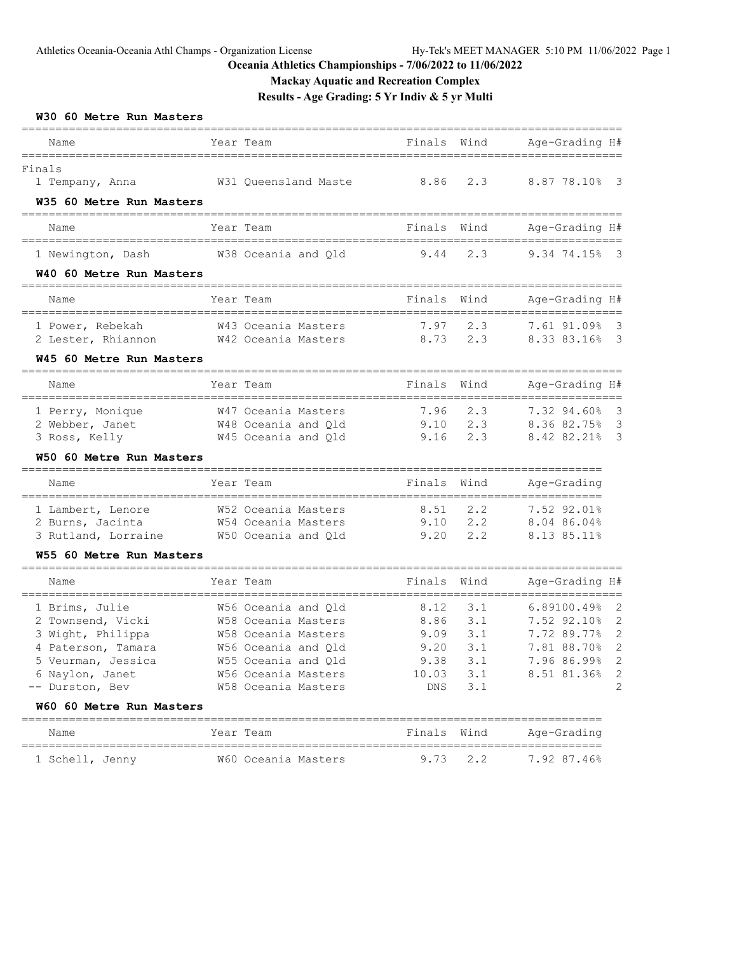### **Mackay Aquatic and Recreation Complex**

|                                                                                                                                            |              | Results - Age Grading: 5 Yr Indiv & 5 yr Multi                                                                                                                |                                                      |                                               |                                                                                                                                                                    |
|--------------------------------------------------------------------------------------------------------------------------------------------|--------------|---------------------------------------------------------------------------------------------------------------------------------------------------------------|------------------------------------------------------|-----------------------------------------------|--------------------------------------------------------------------------------------------------------------------------------------------------------------------|
| W30 60 Metre Run Masters<br>----------------------------<br>Name                                                                           |              | Year Team                                                                                                                                                     | Finals                                               | Wind                                          | Age-Grading H#                                                                                                                                                     |
| Finals<br>1 Tempany, Anna<br>W35 60 Metre Run Masters                                                                                      |              | W31 Queensland Maste                                                                                                                                          | ------------------------<br>8.86                     | 2.3                                           | ==================<br>8.87 78.10%<br>$\overline{\mathbf{3}}$                                                                                                       |
| =========================<br>Name                                                                                                          |              | Year Team                                                                                                                                                     | Finals                                               | Wind                                          | Age-Grading H#                                                                                                                                                     |
| _________________________<br>1 Newington, Dash<br>W40 60 Metre Run Masters                                                                 |              | W38 Oceania and Qld                                                                                                                                           | 9.44                                                 | 2.3                                           | 9.34 74.15% 3                                                                                                                                                      |
| --------------------------<br>Name                                                                                                         |              | Year Team                                                                                                                                                     | Finals                                               | Wind                                          | Age-Grading H#                                                                                                                                                     |
| 1 Power, Rebekah<br>2 Lester, Rhiannon<br>W45 60 Metre Run Masters                                                                         |              | W43 Oceania Masters<br>W42 Oceania Masters                                                                                                                    | 7.97<br>8.73                                         | 2.3<br>2.3                                    | 7.61 91.09%<br>$\overline{\mathbf{3}}$<br>8.33 83.16% 3                                                                                                            |
| Name                                                                                                                                       |              | Year Team                                                                                                                                                     | Finals                                               | Wind                                          | Age-Grading H#                                                                                                                                                     |
| =======================<br>1 Perry, Monique<br>2 Webber, Janet<br>3 Ross, Kelly                                                            | ============ | W47 Oceania Masters<br>W48 Oceania and Qld<br>W45 Oceania and Qld                                                                                             | 7.96<br>9.10<br>9.16                                 | 2.3<br>2.3<br>2.3                             | 7.32 94.60%<br>$\overline{\mathbf{3}}$<br>8.36 82.75%<br>$\overline{\mathbf{3}}$<br>8.42 82.21%<br>$\overline{\mathbf{3}}$                                         |
| W50 60 Metre Run Masters                                                                                                                   |              |                                                                                                                                                               |                                                      |                                               |                                                                                                                                                                    |
| Name                                                                                                                                       | ============ | Year Team                                                                                                                                                     | Finals                                               | Wind                                          | Age-Grading<br>===============================                                                                                                                     |
| 1 Lambert, Lenore<br>2 Burns, Jacinta<br>3 Rutland, Lorraine                                                                               |              | W52 Oceania Masters<br>W54 Oceania Masters<br>W50 Oceania and Qld                                                                                             | 8.51<br>9.10<br>9.20                                 | 2.2<br>2, 2<br>2, 2                           | 7.52 92.01%<br>8.04 86.04%<br>8.13 85.11%                                                                                                                          |
| W55 60 Metre Run Masters                                                                                                                   |              |                                                                                                                                                               |                                                      |                                               |                                                                                                                                                                    |
| Name                                                                                                                                       |              | Year Team                                                                                                                                                     | Finals                                               | Wind                                          | Age-Grading H#<br>-----------------------                                                                                                                          |
| 1 Brims, Julie<br>2 Townsend, Vicki<br>3 Wight, Philippa<br>4 Paterson, Tamara<br>5 Veurman, Jessica<br>6 Naylon, Janet<br>-- Durston, Bev |              | W56 Oceania and Qld<br>W58 Oceania Masters<br>W58 Oceania Masters<br>W56 Oceania and Qld<br>W55 Oceania and Qld<br>W56 Oceania Masters<br>W58 Oceania Masters | 8.12<br>8.86<br>9.09<br>9.20<br>9.38<br>10.03<br>DNS | 3.1<br>3.1<br>3.1<br>3.1<br>3.1<br>3.1<br>3.1 | 6.89100.49%<br>2<br>7.52 92.10%<br>2<br>7.72 89.77%<br>$\overline{\phantom{0}}$<br>2<br>7.81 88.70%<br>$\sqrt{2}$<br>7.96 86.99%<br>$\sqrt{2}$<br>8.51 81.36%<br>2 |
| W60 60 Metre Run Masters                                                                                                                   |              |                                                                                                                                                               |                                                      |                                               |                                                                                                                                                                    |
| Name                                                                                                                                       |              | Year Team                                                                                                                                                     | Finals                                               | Wind                                          | Age-Grading<br>==========                                                                                                                                          |
| 1 Schell, Jenny                                                                                                                            |              | W60 Oceania Masters                                                                                                                                           | 9.73                                                 | $2 \cdot 2$                                   | 7.92 87.46%                                                                                                                                                        |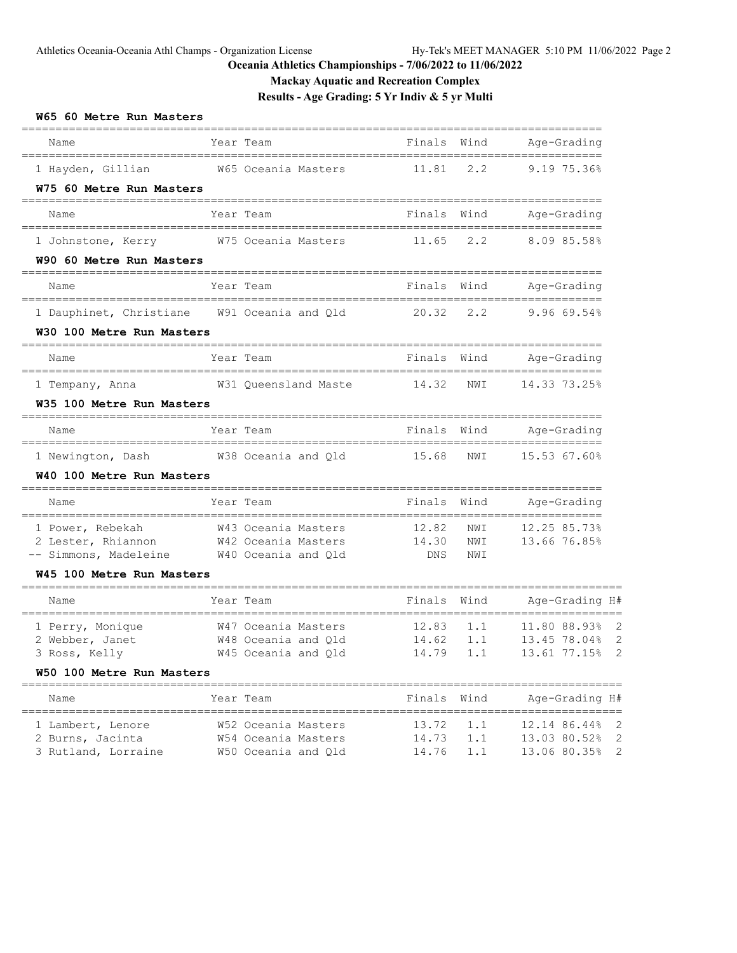**Mackay Aquatic and Recreation Complex**

**Results - Age Grading: 5 Yr Indiv & 5 yr Multi**

| W65 60 Metre Run Masters                                                                                         |             |                                                                   |                             |                   |                                                             |
|------------------------------------------------------------------------------------------------------------------|-------------|-------------------------------------------------------------------|-----------------------------|-------------------|-------------------------------------------------------------|
| Name                                                                                                             |             | Year Team                                                         | Finals                      | Wind              | Age-Grading                                                 |
| 1 Hayden, Gillian M65 Oceania Masters<br>W75 60 Metre Run Masters                                                |             |                                                                   | 11.81                       | 2.2               | 9.19 75.36%                                                 |
| ================================<br>Name                                                                         |             | Year Team                                                         | Finals                      | Wind              | -------------------------<br>Age-Grading                    |
| 1 Johnstone, Kerry W75 Oceania Masters                                                                           |             |                                                                   | 11.65                       | 2.2               | 8.0985.58%                                                  |
| W90 60 Metre Run Masters<br>-------------------------------------                                                |             |                                                                   |                             |                   |                                                             |
| Name                                                                                                             |             | Year Team                                                         | Finals                      | Wind              | Age-Grading                                                 |
| 1 Dauphinet, Christiane W91 Oceania and Qld<br>W30 100 Metre Run Masters                                         |             |                                                                   | 20.32                       | 2.2               | 9.96 69.54%                                                 |
| =====================================<br>Name                                                                    |             | Year Team                                                         | Finals                      |                   | Wind Age-Grading                                            |
| 1 Tempany, Anna<br>W35 100 Metre Run Masters                                                                     |             | W31 Queensland Maste 14.32                                        |                             | NWI               | 14.33 73.25%                                                |
| Name                                                                                                             | ___________ | Year Team                                                         | Finals                      | Wind              | ------------------<br>Age-Grading                           |
| 1 Newington, Dash W38 Oceania and Qld                                                                            |             |                                                                   | 15.68                       | NWI               | 15.53 67.60%                                                |
| W40 100 Metre Run Masters                                                                                        |             |                                                                   |                             |                   |                                                             |
| Name                                                                                                             |             | Year Team                                                         | Finals                      | Wind              | Age-Grading                                                 |
| 1 Power, Rebekah<br>2 Lester, Rhiannon<br>-- Simmons, Madeleine W40 Oceania and Qld<br>W45 100 Metre Run Masters |             | W43 Oceania Masters<br>W42 Oceania Masters                        | 12.82<br>14.30<br>DNS       | NWI<br>NWI<br>NWI | 12.25 85.73%<br>13.66 76.85%                                |
| Name                                                                                                             |             | Year Team                                                         | Finals                      | Wind              | Age-Grading H#                                              |
| 1 Perry, Monique<br>2 Webber, Janet<br>3 Ross, Kelly<br>W50 100 Metre Run Masters                                |             | W47 Oceania Masters<br>W48 Oceania and Old<br>W45 Oceania and Qld | 12.83<br>14.62<br>14.79 1.1 | 1.1<br>1.1        | 11.80 88.93%<br>2<br>-2<br>13.45 78.04%<br>13.61 77.15% 2   |
| ____________________________________<br>Name                                                                     |             | Year Team                                                         | Finals                      | Wind              | Age-Grading H#                                              |
| 1 Lambert, Lenore<br>2 Burns, Jacinta<br>3 Rutland, Lorraine                                                     |             | W52 Oceania Masters<br>W54 Oceania Masters<br>W50 Oceania and Qld | 13.72<br>14.73<br>14.76     | 1.1<br>1.1<br>1.1 | 12.14 86.44%<br>2<br>13.03 80.52%<br>2<br>13.06 80.35%<br>2 |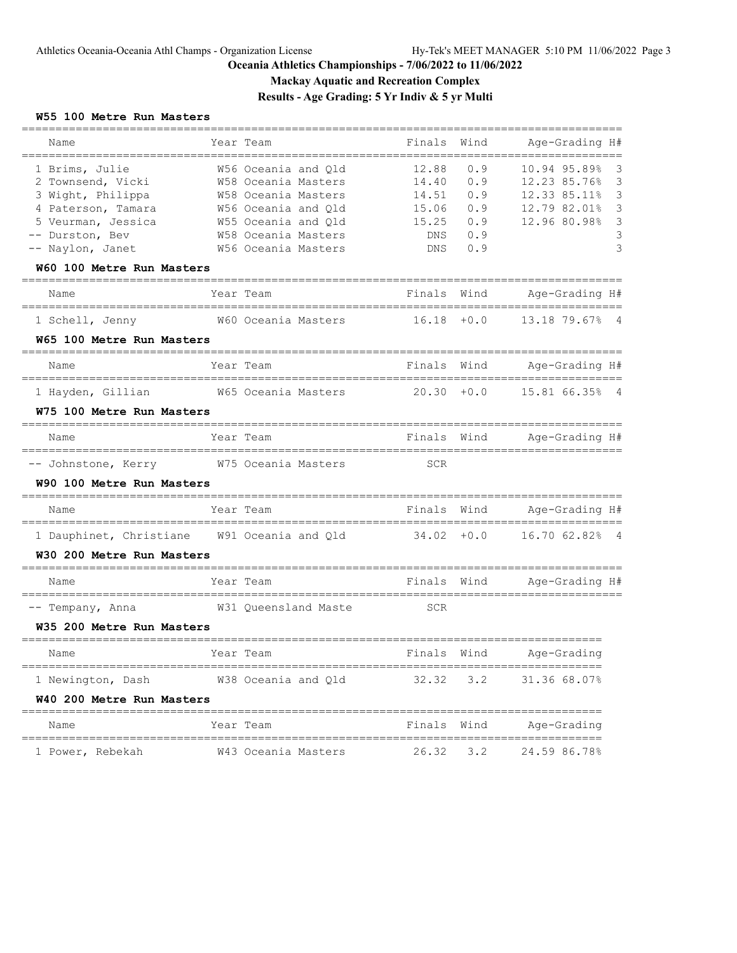**Mackay Aquatic and Recreation Complex**

**Results - Age Grading: 5 Yr Indiv & 5 yr Multi**

### **W55 100 Metre Run Masters**

| Name                                                 | Year Team                                  | Finals         | Wind       | Age-Grading H#                 |        |
|------------------------------------------------------|--------------------------------------------|----------------|------------|--------------------------------|--------|
| 1 Brims, Julie<br>2 Townsend, Vicki                  | W56 Oceania and Qld<br>W58 Oceania Masters | 12.88<br>14.40 | 0.9<br>0.9 | 10.94 95.89%<br>12.23 85.76%   | 3<br>3 |
| 3 Wight, Philippa                                    | W58 Oceania Masters                        | 14.51          | 0.9        | 12.33 85.11%                   | 3      |
| 4 Paterson, Tamara                                   | W56 Oceania and Old                        | 15.06          | 0.9        | 12.79 82.01%                   | 3      |
| 5 Veurman, Jessica                                   | W55 Oceania and Qld                        | 15.25          | 0.9        | 12.96 80.98%                   | 3      |
| -- Durston, Bev                                      | W58 Oceania Masters                        | DNS            | 0.9        |                                |        |
| -- Naylon, Janet<br>W60 100 Metre Run Masters        | W56 Oceania Masters                        | DNS            | 0.9        |                                |        |
| Name                                                 | Year Team                                  | Finals         | Wind       | Age-Grading H#                 |        |
| 1 Schell, Jenny                                      | W60 Oceania Masters                        | 16.18          | $+0.0$     | 13.18 79.67%<br>- 4            |        |
| W65 100 Metre Run Masters                            |                                            |                |            |                                |        |
| Name                                                 | Year Team                                  | Finals         | Wind       | Age-Grading H#                 |        |
| 1 Hayden, Gillian                                    | W65 Oceania Masters                        | 20.30          | $+0.0$     | 15.81 66.35%<br>- 4            |        |
| W75 100 Metre Run Masters                            |                                            |                |            |                                |        |
| Name                                                 | Year Team                                  | Finals         | Wind       | Age-Grading H#                 |        |
| -- Johnstone, Kerry                                  | W75 Oceania Masters                        | <b>SCR</b>     |            |                                |        |
| W90 100 Metre Run Masters                            |                                            |                |            |                                |        |
| Name                                                 | Year Team                                  | Finals         | Wind       | Age-Grading H#                 |        |
| 1 Dauphinet, Christiane W91 Oceania and Qld          |                                            | $34.02 + 0.0$  |            | 16.70 62.82%<br>$\overline{4}$ |        |
| W30 200 Metre Run Masters                            |                                            |                |            |                                |        |
| Name                                                 | Year Team                                  | Finals         | Wind       | Age-Grading H#                 |        |
| -- Tempany, Anna                                     | W31 Queensland Maste                       | <b>SCR</b>     |            |                                |        |
| W35 200 Metre Run Masters<br>======================= |                                            |                |            |                                |        |
| Name                                                 | Year Team                                  | Finals         | Wind       | Age-Grading                    |        |
| 1 Newington, Dash                                    | W38 Oceania and Qld                        | 32.32          | 3.2        | 31.36 68.07%                   |        |
| W40 200 Metre Run Masters                            |                                            |                |            |                                |        |
| Name                                                 | Year Team                                  | Finals         | Wind       | Age-Grading                    |        |
| 1 Power, Rebekah                                     | W43 Oceania Masters                        | 26.32          | 3.2        | 24.59 86.78%                   |        |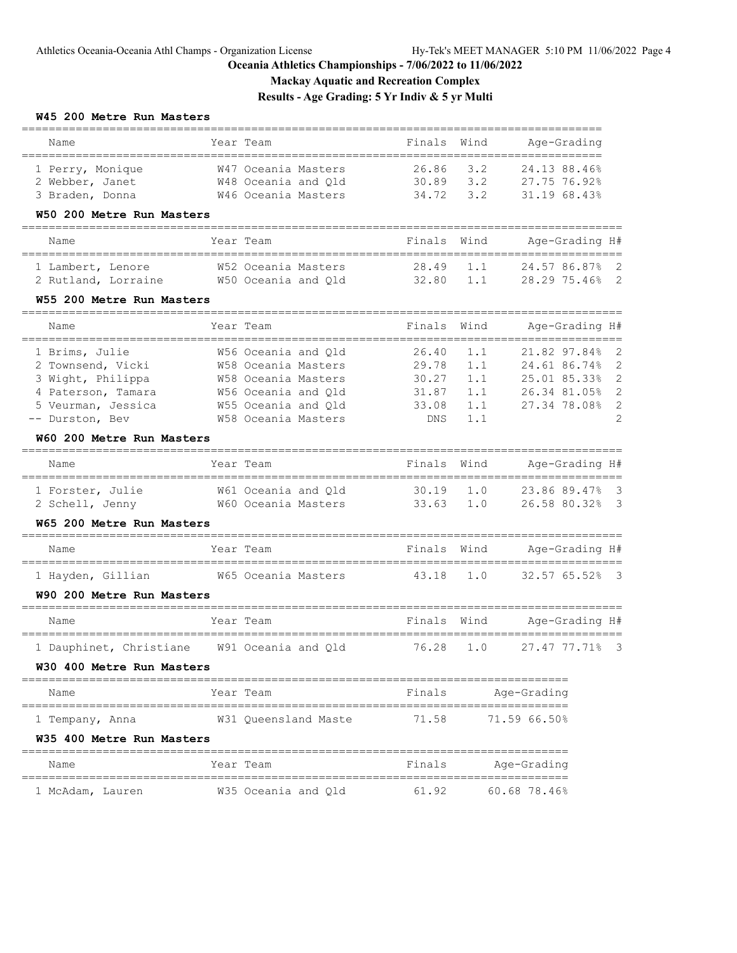**Mackay Aquatic and Recreation Complex**

**Results - Age Grading: 5 Yr Indiv & 5 yr Multi**

### **W45 200 Metre Run Masters**

| Name                                                                                                                                                                          | Year Team                                                                                                                                                   | Finals                                                  | Wind                                   | Age-Grading                                                                  |                                                               |
|-------------------------------------------------------------------------------------------------------------------------------------------------------------------------------|-------------------------------------------------------------------------------------------------------------------------------------------------------------|---------------------------------------------------------|----------------------------------------|------------------------------------------------------------------------------|---------------------------------------------------------------|
| 1 Perry, Monique<br>2 Webber, Janet<br>3 Braden, Donna<br>W50 200 Metre Run Masters                                                                                           | W47 Oceania Masters<br>W48 Oceania and Qld<br>W46 Oceania Masters                                                                                           | 26.86<br>30.89<br>34.72                                 | 3.2<br>3.2<br>3.2                      | 24.13 88.46%<br>27.75 76.92%<br>31.19 68.43%                                 |                                                               |
| Name                                                                                                                                                                          | Year Team                                                                                                                                                   | Finals                                                  | Wind                                   | Age-Grading H#                                                               |                                                               |
| 1 Lambert, Lenore<br>2 Rutland, Lorraine<br>W55 200 Metre Run Masters                                                                                                         | W52 Oceania Masters<br>W50 Oceania and Qld                                                                                                                  | 28.49<br>32.80                                          | 1.1<br>1.1                             | 24.57 86.87%<br>28.29 75.46%                                                 | 2<br>- 2                                                      |
| Name                                                                                                                                                                          | Year Team                                                                                                                                                   | Finals                                                  | Wind                                   | Age-Grading H#                                                               |                                                               |
| ---------------------<br>1 Brims, Julie<br>2 Townsend, Vicki<br>3 Wight, Philippa<br>4 Paterson, Tamara<br>5 Veurman, Jessica<br>-- Durston, Bev<br>W60 200 Metre Run Masters | _________________<br>W56 Oceania and Qld<br>W58 Oceania Masters<br>W58 Oceania Masters<br>W56 Oceania and Old<br>W55 Oceania and Qld<br>W58 Oceania Masters | 26.40<br>29.78<br>30.27<br>31.87<br>33.08<br><b>DNS</b> | 1.1<br>1.1<br>1.1<br>1.1<br>1.1<br>1.1 | 21.82 97.84%<br>24.61 86.74%<br>25.01 85.33%<br>26.34 81.05%<br>27.34 78.08% | 2<br>$\overline{2}$<br>$\mathbf{2}$<br>2<br>$\mathbf{2}$<br>2 |
| ==================================<br>Name                                                                                                                                    | Year Team                                                                                                                                                   | Finals                                                  | Wind                                   | Age-Grading H#                                                               |                                                               |
| 1 Forster, Julie<br>2 Schell, Jenny<br>W65 200 Metre Run Masters                                                                                                              | W61 Oceania and Qld<br>W60 Oceania Masters                                                                                                                  | 30.19<br>33.63                                          | 1.0<br>1.0                             | 23.86 89.47%<br>26.58 80.32%                                                 | -3<br>-3                                                      |
| Name                                                                                                                                                                          | Year Team                                                                                                                                                   | Finals                                                  | Wind                                   | Age-Grading H#                                                               |                                                               |
| ======================================<br>1 Hayden, Gillian<br>W90 200 Metre Run Masters                                                                                      | ==========================<br>W65 Oceania Masters                                                                                                           | 43.18                                                   | 1.0                                    | ==========<br>========<br>32.57 65.52%                                       | - 3                                                           |
| Name                                                                                                                                                                          | Year Team                                                                                                                                                   | ________________<br>Finals                              | Wind                                   | Age-Grading H#                                                               |                                                               |
| 1 Dauphinet, Christiane<br>W30 400 Metre Run Masters                                                                                                                          | ===============================<br>W91 Oceania and Qld                                                                                                      | 76.28                                                   | 1.0                                    | ==================<br>27.47 77.71%                                           | - 3                                                           |
| Name                                                                                                                                                                          | Year Team                                                                                                                                                   | Finals                                                  |                                        | Age-Grading                                                                  |                                                               |
| 1 Tempany, Anna<br>W35 400 Metre Run Masters                                                                                                                                  | W31 Queensland Maste                                                                                                                                        | 71.58                                                   |                                        | 71.59 66.50%                                                                 |                                                               |
| Name                                                                                                                                                                          | Year Team                                                                                                                                                   | Finals                                                  |                                        | Age-Grading                                                                  |                                                               |
| ================<br>1 McAdam, Lauren                                                                                                                                          | ====================================<br>W35 Oceania and Old                                                                                                 | 61.92                                                   |                                        | $60.68$ 78.46%                                                               |                                                               |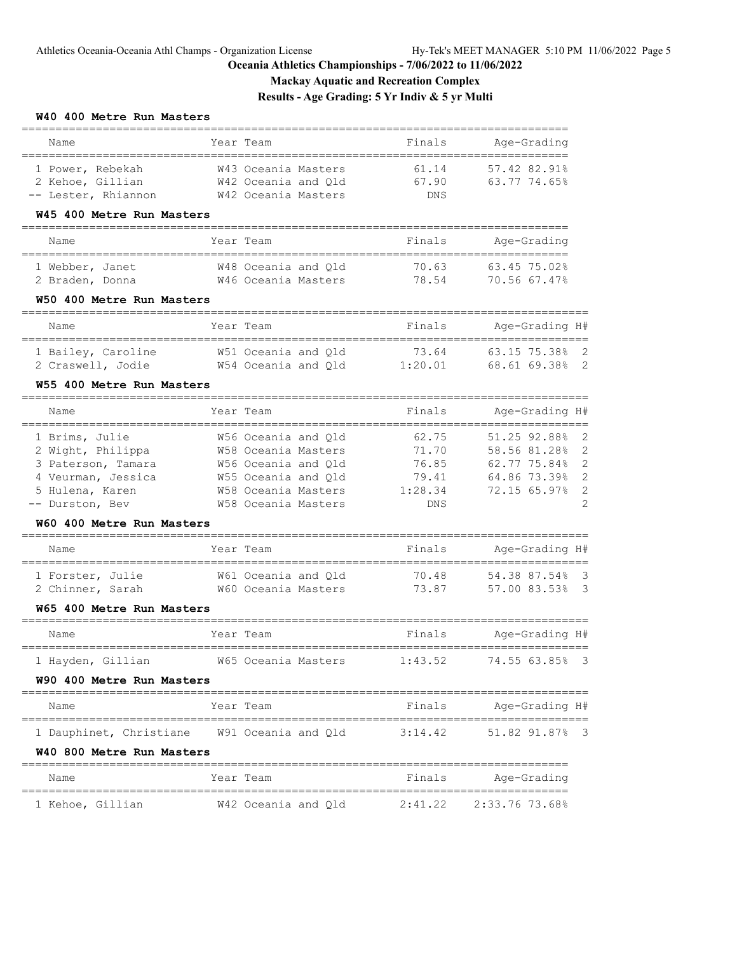# **Mackay Aquatic and Recreation Complex**

**Results - Age Grading: 5 Yr Indiv & 5 yr Multi**

### **W40 400 Metre Run Masters**

| Name                                           | Year Team |                                            | Finals                        | ==============<br>Age-Grading             |                |
|------------------------------------------------|-----------|--------------------------------------------|-------------------------------|-------------------------------------------|----------------|
| 1 Power, Rebekah                               |           | W43 Oceania Masters                        | 61.14                         | 57.42 82.91%                              |                |
| 2 Kehoe, Gillian                               |           | W42 Oceania and Qld                        | 67.90                         | 63.77 74.65%                              |                |
| -- Lester, Rhiannon                            |           | W42 Oceania Masters                        | DNS                           |                                           |                |
| W45 400 Metre Run Masters                      |           |                                            |                               |                                           |                |
| Name                                           | Year Team |                                            | Finals                        | Age-Grading                               |                |
|                                                |           |                                            |                               |                                           |                |
| 1 Webber, Janet                                |           | W48 Oceania and Old<br>W46 Oceania Masters | 70.63<br>78.54                | 63.45 75.02%<br>70.56 67.47%              |                |
| 2 Braden, Donna<br>W50 400 Metre Run Masters   |           |                                            |                               |                                           |                |
| ------------------------------------           |           |                                            |                               |                                           |                |
| Name                                           | Year Team |                                            | Finals                        | Age-Grading H#                            |                |
| 1 Bailey, Caroline                             |           | W51 Oceania and Qld                        | 73.64                         | 63.15 75.38%                              | 2              |
| 2 Craswell, Jodie                              |           | W54 Oceania and Qld                        | 1:20.01                       | 68.61 69.38% 2                            |                |
| W55 400 Metre Run Masters                      |           |                                            |                               |                                           |                |
| Name                                           | Year Team |                                            | Finals                        | Age-Grading H#                            |                |
|                                                |           |                                            |                               |                                           |                |
| 1 Brims, Julie                                 |           | W56 Oceania and Old                        | 62.75                         | 51.25 92.88%                              | 2              |
| 2 Wight, Philippa                              |           | W58 Oceania Masters                        | 71.70                         | 58.56 81.28%                              | $\overline{c}$ |
| 3 Paterson, Tamara                             |           | W56 Oceania and Qld                        | 76.85                         | 62.77 75.84%                              | $\overline{c}$ |
| 4 Veurman, Jessica                             |           | W55 Oceania and Qld                        | 79.41                         | 64.86 73.39%                              | $\overline{c}$ |
| 5 Hulena, Karen                                |           | W58 Oceania Masters                        | 1:28.34                       | 72.15 65.97%                              | $\overline{c}$ |
| -- Durston, Bev                                |           | W58 Oceania Masters                        | DNS                           |                                           | $\overline{c}$ |
| W60 400 Metre Run Masters                      |           |                                            |                               |                                           |                |
| Name                                           | Year Team |                                            | Finals                        | Age-Grading H#<br>======================= |                |
| 1 Forster, Julie                               |           | W61 Oceania and Qld                        | 70.48                         | 54.38 87.54% 3                            |                |
| 2 Chinner, Sarah                               |           | W60 Oceania Masters                        | 73.87                         | 57.00 83.53% 3                            |                |
| W65 400 Metre Run Masters                      |           |                                            |                               |                                           |                |
| ======================================<br>Name | Year Team |                                            | ===================<br>Finals | Age-Grading H#                            |                |
| 1 Hayden, Gillian                              |           | W65 Oceania Masters                        | 1:43.52                       | 74.55 63.85% 3                            |                |
| W90 400 Metre Run Masters                      |           |                                            |                               |                                           |                |
| Name                                           | Year Team |                                            | Finals                        | Age-Grading H#                            |                |
| 1 Dauphinet, Christiane M91 Oceania and Qld    |           |                                            | 3:14.42                       | 51.82 91.87%                              | - 3            |
| W40 800 Metre Run Masters                      |           |                                            |                               |                                           |                |
| Name                                           | Year Team |                                            | Finals                        | Age-Grading                               |                |
| 1 Kehoe, Gillian                               |           | W42 Oceania and Qld                        | 2:41.22                       | 2:33.76 73.68%                            |                |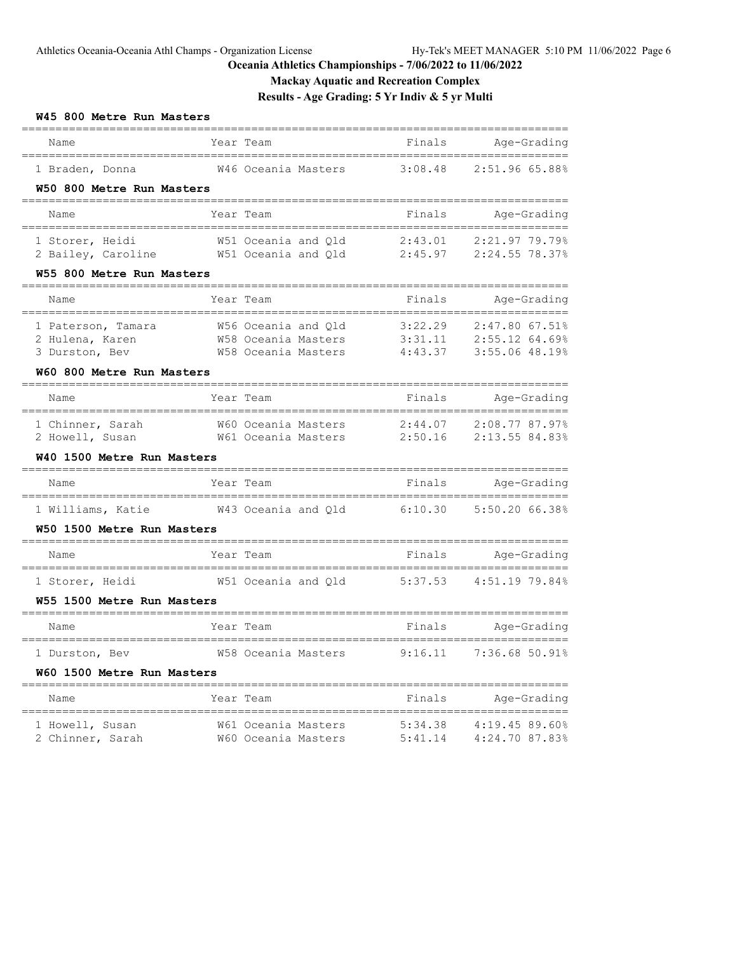# **Mackay Aquatic and Recreation Complex**

# **Results - Age Grading: 5 Yr Indiv & 5 yr Multi**

# **W45 800 Metre Run Masters**

| Name<br>=======================                 | Year Team                                  | Finals                        | Age-Grading                        |
|-------------------------------------------------|--------------------------------------------|-------------------------------|------------------------------------|
| 1 Braden, Donna                                 | W46 Oceania Masters                        | 3:08.48                       | 2:51.96 65.88%                     |
| W50 800 Metre Run Masters                       |                                            |                               |                                    |
| Name<br>_________________________________       | Year Team                                  | Finals<br>=================== | Age-Grading                        |
| 1 Storer, Heidi                                 | W51 Oceania and Qld                        | 2:43.01                       | 2:21.97 79.79%                     |
| 2 Bailey, Caroline<br>W55 800 Metre Run Masters | W51 Oceania and Qld                        | 2:45.97                       | 2:24.55 78.37%                     |
|                                                 | Year Team                                  | Finals                        | Age-Grading                        |
| Name                                            |                                            |                               |                                    |
| 1 Paterson, Tamara                              | W56 Oceania and Old                        | 3:22.29                       | $2:47.80$ 67.51%                   |
| 2 Hulena, Karen<br>3 Durston, Bev               | W58 Oceania Masters<br>W58 Oceania Masters | 3:31.11<br>4:43.37            | 2:55.12 64.69%<br>3:55.06 48.19%   |
| W60 800 Metre Run Masters                       |                                            |                               |                                    |
| Name                                            | Year Team                                  | Finals                        | Age-Grading                        |
| ------------------------------                  |                                            | ---------------------         | ====================               |
| 1 Chinner, Sarah<br>2 Howell, Susan             | W60 Oceania Masters<br>W61 Oceania Masters | 2:44.07<br>2:50.16            | 2:08.77 87.97%<br>2:13.55 84.83%   |
| W40 1500 Metre Run Masters                      |                                            |                               |                                    |
| Name                                            | Year Team                                  | Finals                        | Age-Grading                        |
| 1 Williams, Katie                               | W43 Oceania and Qld                        | 6:10.30                       | 5:50.20 66.38%                     |
| W50 1500 Metre Run Masters                      |                                            |                               |                                    |
| Name<br>_________________________               | Year Team<br>-----------------             | Finals                        | Age-Grading<br>________<br>------- |
| 1 Storer, Heidi                                 | W51 Oceania and Qld                        | 5:37.53                       | 4:51.19 79.84%                     |
| W55 1500 Metre Run Masters                      |                                            | ________________________      | -------------                      |
| Name<br>=======================                 | Year Team                                  | Finals                        | Age-Grading                        |
| 1 Durston, Bev                                  | W58 Oceania Masters                        | 9:16.11                       | 7:36.68 50.91%                     |
| W60 1500 Metre Run Masters                      |                                            |                               |                                    |
| Name                                            | Year Team                                  | Finals                        | Age-Grading                        |
| 1 Howell, Susan                                 | W61 Oceania Masters                        | 5:34.38                       | 4:19.45 89.60%                     |
| 2 Chinner, Sarah                                | W60 Oceania Masters                        | 5:41.14                       | 4:24.70 87.83%                     |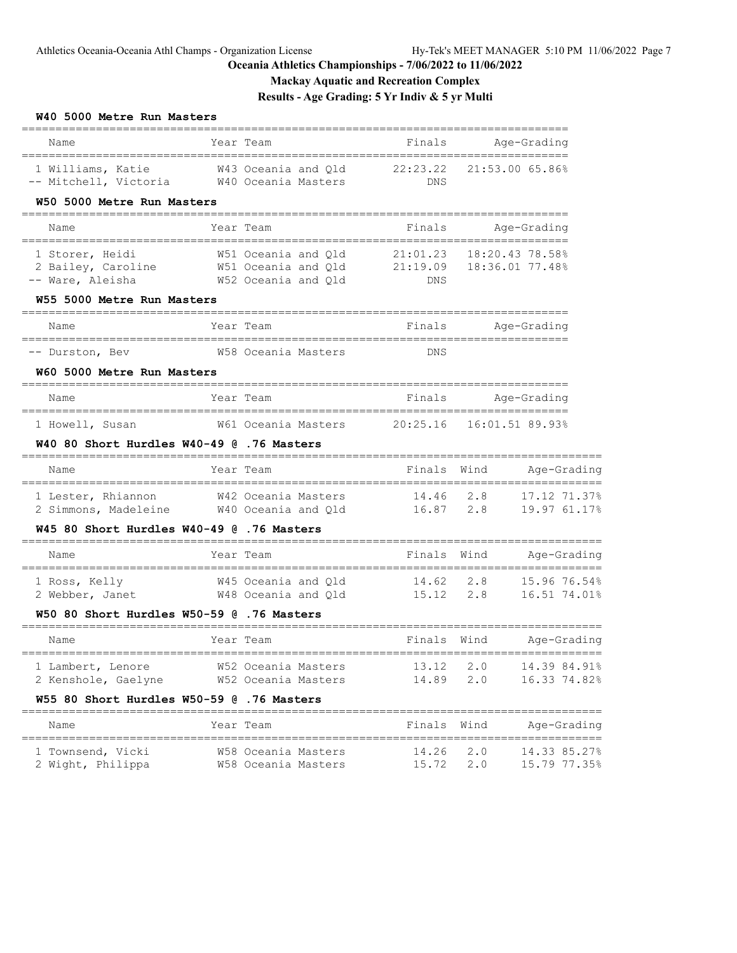# **Mackay Aquatic and Recreation Complex**

**Results - Age Grading: 5 Yr Indiv & 5 yr Multi**

# **W40 5000 Metre Run Masters**

| Name                                                                                                                                             | Year Team                                                           | Finals         | =================  | Age-Grading                  |
|--------------------------------------------------------------------------------------------------------------------------------------------------|---------------------------------------------------------------------|----------------|--------------------|------------------------------|
| 1 Williams, Katie 65.86% M43 Oceania and Qld 22:23.22 21:53.00 65.86%<br>-- Mitchell, Victoria M40 Oceania Masters<br>W50 5000 Metre Run Masters |                                                                     | DNS            |                    |                              |
| Name                                                                                                                                             | Year Team                                                           | Finals         |                    | Age-Grading                  |
| 1 Storer, Heidi<br>2 Bailey, Caroline M51 Oceania and Q1d 21:19.09 18:36.01 77.48%<br>-- Ware, Aleisha<br>W55 5000 Metre Run Masters             | W51 Oceania and Qld 21:01.23 18:20.43 78.58%<br>W52 Oceania and Q1d | DNS            |                    |                              |
| Name                                                                                                                                             | Year Team                                                           |                | Finals Age-Grading |                              |
| -- Durston, Bev<br>W60 5000 Metre Run Masters                                                                                                    | W58 Oceania Masters                                                 | DNS            |                    |                              |
| Name                                                                                                                                             | Year Team                                                           |                | Finals Age-Grading |                              |
| 1 Howell, Susan<br>W40 80 Short Hurdles W40-49 @ .76 Masters                                                                                     |                                                                     |                |                    |                              |
| Name                                                                                                                                             | Year Team                                                           | Finals Wind    |                    | Age-Grading                  |
| 1 Lester, Rhiannon M42 Oceania Masters 14.46 2.8<br>2 Simmons, Madeleine M40 Oceania and Qld 16.87 2.8 19.97 61.17%                              |                                                                     |                |                    | 17.12 71.37%                 |
| W45 80 Short Hurdles W40-49 @ .76 Masters                                                                                                        |                                                                     |                |                    |                              |
| Name                                                                                                                                             | Year Team                                                           | Finals Wind    |                    | Age-Grading                  |
| 1 Ross, Kelly<br>2 Webber, Janet M48 Oceania and Q1d 15.12 2.8 16.51 74.01%                                                                      | W45 Oceania and Q1d 14.62 2.8                                       |                |                    | 15.96 76.54%                 |
| W50 80 Short Hurdles W50-59 @ .76 Masters                                                                                                        |                                                                     |                |                    |                              |
| Name                                                                                                                                             | Year Team                                                           | Finals Wind    |                    | Age-Grading                  |
| 1 Lambert, Lenore<br>2 Kenshole, Gaelyne<br>W55 80 Short Hurdles W50-59 @ .76 Masters                                                            | W52 Oceania Masters<br>W52 Oceania Masters                          | 14.89          | 13.12 2.0<br>2.0   | 14.39 84.91%<br>16.33 74.82% |
| Name                                                                                                                                             | Year Team                                                           | Finals         | Wind               | Age-Grading                  |
| 1 Townsend, Vicki<br>2 Wight, Philippa                                                                                                           | W58 Oceania Masters<br>W58 Oceania Masters                          | 14.26<br>15.72 | 2.0<br>2.0         | 14.33 85.27%<br>15.79 77.35% |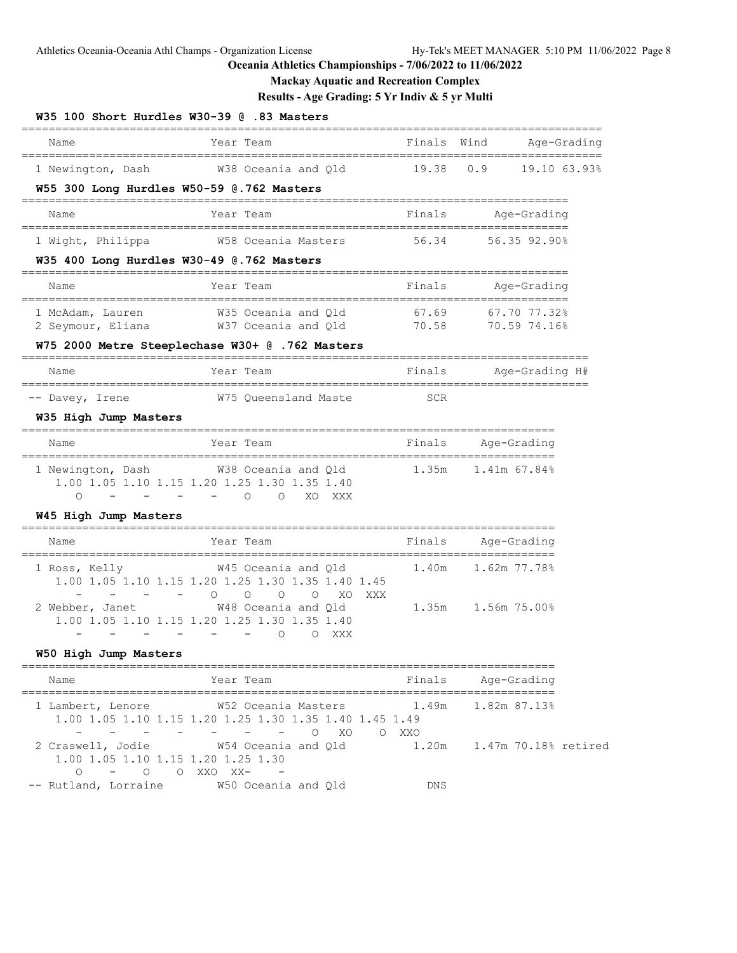# **Mackay Aquatic and Recreation Complex**

# **Results - Age Grading: 5 Yr Indiv & 5 yr Multi**

| Name                                                    | Year Team                                                                                                                                              | Finals           | Wind                               | Age-Grading  |
|---------------------------------------------------------|--------------------------------------------------------------------------------------------------------------------------------------------------------|------------------|------------------------------------|--------------|
| 1 Newington, Dash                                       | W38 Oceania and Qld                                                                                                                                    | 19.38            | 0.9                                | 19.10 63.93% |
| W55 300 Long Hurdles W50-59 @.762 Masters               |                                                                                                                                                        |                  |                                    |              |
| Name                                                    | Year Team                                                                                                                                              | Finals           | Age-Grading                        |              |
| 1 Wight, Philippa                                       | W58 Oceania Masters                                                                                                                                    | 56.34            | 56.35 92.90%                       |              |
| W35 400 Long Hurdles W30-49 @.762 Masters               |                                                                                                                                                        | ---------------- |                                    |              |
| Name                                                    | Year Team                                                                                                                                              | Finals           | Age-Grading                        |              |
| 1 McAdam, Lauren                                        | W35 Oceania and Qld                                                                                                                                    | 67.69            | 67.70 77.32%                       |              |
| 2 Seymour, Eliana                                       | W37 Oceania and Qld                                                                                                                                    | 70.58            | 70.59 74.16%                       |              |
|                                                         | W75 2000 Metre Steeplechase W30+ @ .762 Masters                                                                                                        |                  |                                    |              |
| Name                                                    | Year Team                                                                                                                                              | Finals           | Age-Grading H#                     |              |
| -- Davey, Irene                                         | W75 Queensland Maste                                                                                                                                   | SCR              |                                    |              |
| W35 High Jump Masters                                   |                                                                                                                                                        |                  |                                    |              |
| Name                                                    | Year Team                                                                                                                                              | Finals           | Age-Grading                        |              |
| 1 Newington, Dash<br>$\Omega$<br>$\sim$ $-$             | W38 Oceania and Qld<br>1.00 1.05 1.10 1.15 1.20 1.25 1.30 1.35 1.40<br>$ -$ 0<br>$\circ$<br>XO<br>XXX                                                  | 1.35m            | 1.41m 67.84%                       |              |
| W45 High Jump Masters                                   |                                                                                                                                                        |                  |                                    |              |
| Name<br>____________________                            | Year Team                                                                                                                                              | Finals           | Age-Grading<br>=================== |              |
| 1 Ross, Kelly                                           | -----------------------------------<br>W45 Oceania and Qld<br>1.00 1.05 1.10 1.15 1.20 1.25 1.30 1.35 1.40 1.45<br>$\Omega$<br>$\circ$<br>O<br>O<br>XO | 1.40m<br>XXX     | 1.62m 77.78%                       |              |
| 2 Webber, Janet                                         | W48 Oceania and Qld<br>1.00 1.05 1.10 1.15 1.20 1.25 1.30 1.35 1.40<br>O<br>$\circ$<br>XXX                                                             | 1.35m            | 1.56m 75.00%                       |              |
| W50 High Jump Masters                                   |                                                                                                                                                        |                  |                                    |              |
| Name                                                    | Year Team                                                                                                                                              | Finals           | Age-Grading                        |              |
| $\overline{\phantom{a}}$                                | 1 Lambert, Lenore 652 Oceania Masters 1.49m 1.82m 87.13%<br>1.00 1.05 1.10 1.15 1.20 1.25 1.30 1.35 1.40 1.45 1.49<br>$  -$ 0 $XO$ 0 $XXO$             |                  |                                    |              |
| 1.00 1.05 1.10 1.15 1.20 1.25 1.30<br>0 - 0 0 XXO XX- - | 2 Craswell, Jodie 6 1.20 W54 Oceania and Qld 1.20 1.47 m 70.18% retired                                                                                |                  |                                    |              |
|                                                         | -- Rutland, Lorraine M50 Oceania and Qld                                                                                                               | <b>DNS</b>       |                                    |              |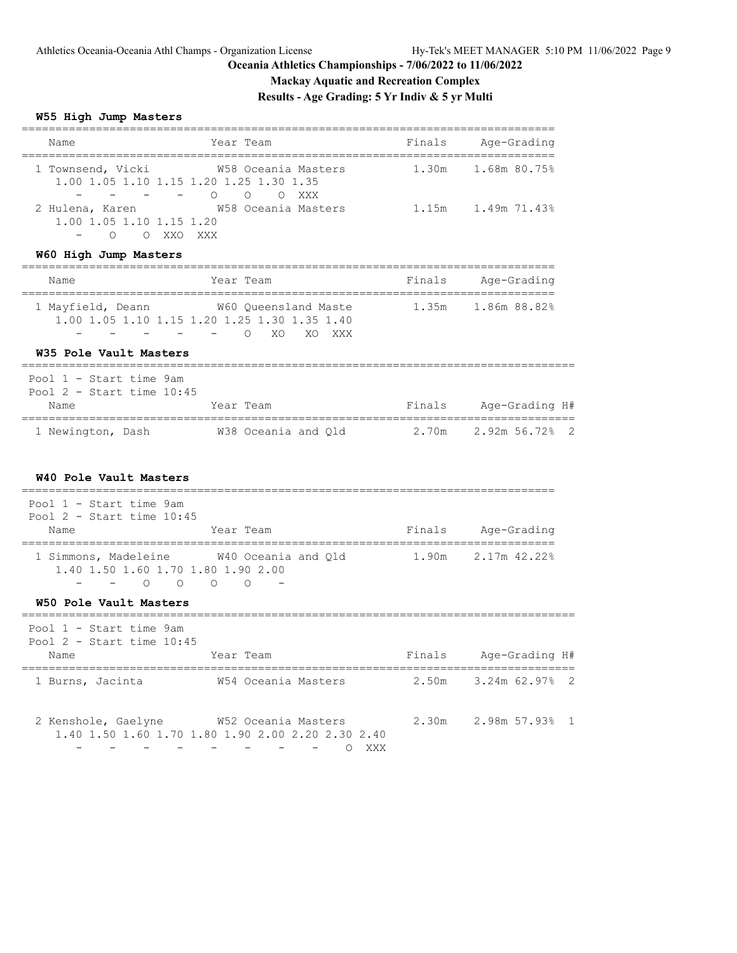# **Mackay Aquatic and Recreation Complex**

**Results - Age Grading: 5 Yr Indiv & 5 yr Multi**

# **W55 High Jump Masters**

| Name                                                                   | Year Team                                                                                                                                                     |        | ===============<br>Finals Age-Grading |
|------------------------------------------------------------------------|---------------------------------------------------------------------------------------------------------------------------------------------------------------|--------|---------------------------------------|
| 1 Townsend, Vicki<br>1.00 1.05 1.10 1.15 1.20 1.25 1.30 1.35<br>$\sim$ | W58 Oceania Masters<br>– – O O O XXX                                                                                                                          |        | 1.30m 1.68m 80.75%                    |
| 2 Hulena, Karen<br>1.00 1.05 1.10 1.15 1.20<br>O O XXO XXX             |                                                                                                                                                               |        |                                       |
| W60 High Jump Masters                                                  |                                                                                                                                                               |        |                                       |
| Name                                                                   | Year Team                                                                                                                                                     | Finals | Age-Grading                           |
|                                                                        | 1 Mayfield, Deann W60 Queensland Maste<br>1.00 1.05 1.10 1.15 1.20 1.25 1.30 1.35 1.40<br>- O XO XO XXX                                                       |        | 1.35m 1.86m 88.82%                    |
| W35 Pole Vault Masters                                                 |                                                                                                                                                               |        |                                       |
| Pool 1 - Start time 9am<br>Pool $2$ - Start time $10:45$               |                                                                                                                                                               |        |                                       |
| Name                                                                   | Year Team                                                                                                                                                     |        | Finals Age-Grading H#                 |
|                                                                        | 1 Newington, Dash M38 Oceania and Q1d 2.70m 2.92m 56.72% 2                                                                                                    |        |                                       |
| W40 Pole Vault Masters                                                 |                                                                                                                                                               |        |                                       |
| Pool 1 - Start time 9am                                                |                                                                                                                                                               |        |                                       |
| Pool $2$ - Start time $10:45$<br>Name                                  | Year Team                                                                                                                                                     |        | Finals Age-Grading                    |
| 1.40 1.50 1.60 1.70 1.80 1.90 2.00<br>$-$ 0 0 0 0                      | 1 Simmons, Madeleine M40 Oceania and Q1d 1.90m 2.17m 42.22%                                                                                                   |        |                                       |
| W50 Pole Vault Masters                                                 |                                                                                                                                                               |        |                                       |
| Pool 1 - Start time 9am<br>Pool $2$ - Start time $10:45$               |                                                                                                                                                               |        |                                       |
| Name                                                                   | Year Team                                                                                                                                                     |        | Finals Age-Grading H#                 |
|                                                                        | 1 Burns, Jacinta 62.97% 2.50m 3.24m 62.97% 2                                                                                                                  |        |                                       |
| $\sim$                                                                 | 2 Kenshole, Gaelyne W52 Oceania Masters<br>1.40 1.50 1.60 1.70 1.80 1.90 2.00 2.20 2.30 2.40<br>$\sim$<br>O XXX<br>$\frac{1}{2}$ .<br>$-$<br>$\sim$ 100 $\mu$ |        | 2.30m 2.98m 57.93% 1                  |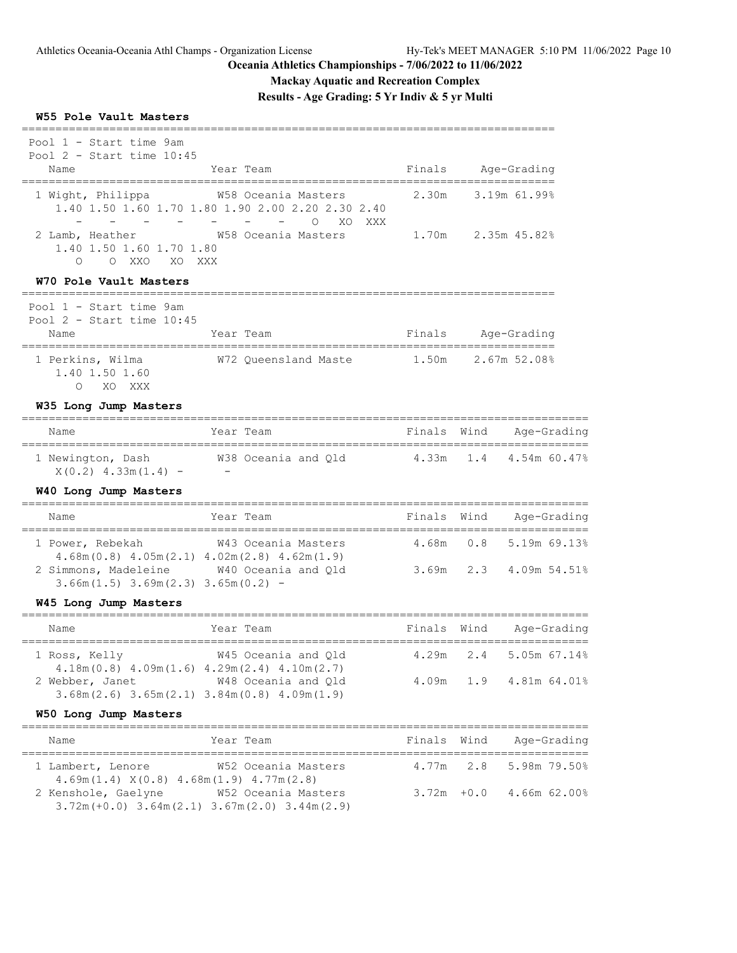# **Mackay Aquatic and Recreation Complex**

**Results - Age Grading: 5 Yr Indiv & 5 yr Multi**

#### **W55 Pole Vault Masters**

| Pool 1 - Start time 9am                                                   |                                                                                                            |                  |      |                                   |
|---------------------------------------------------------------------------|------------------------------------------------------------------------------------------------------------|------------------|------|-----------------------------------|
| Pool $2$ - Start time $10:45$<br>Name                                     | Year Team                                                                                                  | Finals           |      | Age-Grading                       |
| 1 Wight, Philippa                                                         | W58 Oceania Masters<br>1.40 1.50 1.60 1.70 1.80 1.90 2.00 2.20 2.30 2.40<br>$\bigcap$<br>XO.<br>XXX        | 2.30m            |      | 3.19m 61.99%                      |
| 2 Lamb, Heather<br>1.40 1.50 1.60 1.70 1.80<br>O XXO<br>$\bigcirc$<br>XO. | W58 Oceania Masters<br>XXX                                                                                 | 1.70m            |      | 2.35m 45.82%                      |
| W70 Pole Vault Masters<br>________________________                        |                                                                                                            |                  |      |                                   |
| Pool 1 - Start time 9am<br>Pool $2$ - Start time $10:45$                  |                                                                                                            |                  |      |                                   |
| Name<br>___________________                                               | Year Team<br>-------                                                                                       | Finals           |      | Age-Grading<br>================== |
| 1 Perkins, Wilma<br>1.40 1.50 1.60<br>$\circ$<br>XO XXX                   | W72 Queensland Maste                                                                                       | 1.50m            |      | 2.67m 52.08%                      |
| W35 Long Jump Masters<br>=====================                            |                                                                                                            |                  |      |                                   |
| Name                                                                      | Year Team                                                                                                  | Finals           | Wind | Age-Grading                       |
| 1 Newington, Dash<br>$X(0.2)$ 4.33m(1.4) -                                | W38 Oceania and Qld<br><b>Contract Contract</b>                                                            | 4.33m            | 1.4  | 4.54m 60.47%                      |
| W40 Long Jump Masters                                                     |                                                                                                            |                  |      |                                   |
| Name                                                                      | Year Team                                                                                                  | Finals           | Wind | Age-Grading<br>:======            |
| 1 Power, Rebekah                                                          | W43 Oceania Masters<br>$4.68m(0.8)$ $4.05m(2.1)$ $4.02m(2.8)$ $4.62m(1.9)$                                 | 4.68m            | 0.8  | 5.19m 69.13%                      |
| $3.66m(1.5)$ $3.69m(2.3)$ $3.65m(0.2)$ -                                  | 2 Simmons, Madeleine W40 Oceania and Qld                                                                   | 3.69m            | 2.3  | 4.09m 54.51%                      |
| W45 Long Jump Masters                                                     |                                                                                                            |                  |      |                                   |
| Name                                                                      | Year Team                                                                                                  | Finals Wind      |      | Age-Grading                       |
| =====================================<br>1 Ross, Kelly                    | ----------------------<br>W45 Oceania and Qld<br>$4.18m(0.8)$ $4.09m(1.6)$ $4.29m(2.4)$ $4.10m(2.7)$       | =======<br>4.29m | 2.4  | 5.05m 67.14%                      |
|                                                                           | 2 Webber, Janet 648 Oceania and Qld<br>$3.68$ m $(2.6)$ $3.65$ m $(2.1)$ $3.84$ m $(0.8)$ $4.09$ m $(1.9)$ | 4.09m            | 1.9  | 4.81m 64.01%                      |
| W50 Long Jump Masters                                                     |                                                                                                            |                  |      |                                   |

| Name                | Year Team                                                                       | Finals Wind | Age-Grading                |
|---------------------|---------------------------------------------------------------------------------|-------------|----------------------------|
| 1 Lambert, Lenore   | W52 Oceania Masters<br>$4.69m(1.4)$ $X(0.8)$ $4.68m(1.9)$ $4.77m(2.8)$          |             | 4.77m 2.8 5.98m 79.50%     |
| 2 Kenshole, Gaelyne | W52 Oceania Masters<br>$3.72m (+0.0)$ $3.64m (2.1)$ $3.67m (2.0)$ $3.44m (2.9)$ |             | $3.72m + 0.0$ 4.66m 62.00% |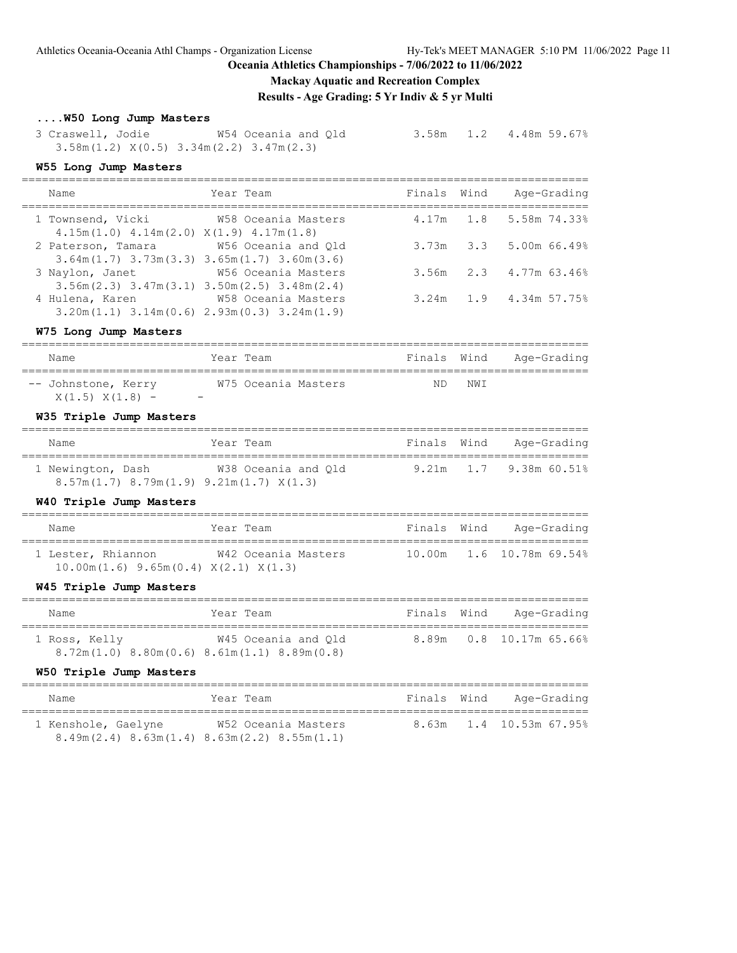Athletics Oceania-Oceania Athl Champs - Organization License Hy-Tek's MEET MANAGER 5:10 PM 11/06/2022 Page 11

### **Oceania Athletics Championships - 7/06/2022 to 11/06/2022**

### **Mackay Aquatic and Recreation Complex**

**Results - Age Grading: 5 Yr Indiv & 5 yr Multi**

# **....W50 Long Jump Masters**

 3 Craswell, Jodie W54 Oceania and Qld 3.58m 1.2 4.48m 59.67% 3.58m(1.2) X(0.5) 3.34m(2.2) 3.47m(2.3)

### **W55 Long Jump Masters**

| Name                                                                                      | Year Team           | Finals Wind | Age-Grading                     |
|-------------------------------------------------------------------------------------------|---------------------|-------------|---------------------------------|
| 1 Townsend, Vicki 658 Oceania Masters<br>$4.15m(1.0)$ $4.14m(2.0)$ $X(1.9)$ $4.17m(1.8)$  |                     |             | 4.17m 1.8 5.58m 74.33%          |
| 2 Paterson, Tamara<br>$3.64$ m $(1.7)$ $3.73$ m $(3.3)$ $3.65$ m $(1.7)$ $3.60$ m $(3.6)$ | W56 Oceania and Old |             | $3.73m$ $3.3$ $5.00m$ 66.49%    |
| 3 Naylon, Janet<br>$3.56$ m $(2.3)$ $3.47$ m $(3.1)$ $3.50$ m $(2.5)$ $3.48$ m $(2.4)$    | W56 Oceania Masters |             | $3.56m$ $2.3$ $4.77m$ $63.46\%$ |
| 4 Hulena, Karen<br>$3.20$ m (1.1) $3.14$ m (0.6) $2.93$ m (0.3) $3.24$ m (1.9)            | W58 Oceania Masters |             | 3.24m 1.9 4.34m 57.75%          |

#### **W75 Long Jump Masters**

| Name                                     | Year Team                                       | Finals Wind |     | Age-Grading |
|------------------------------------------|-------------------------------------------------|-------------|-----|-------------|
| -- Johnstone, Kerry<br>$X(1.5) X(1.8) -$ | W75 Oceania Masters<br>$\overline{\phantom{0}}$ | ND          | NWI |             |

# **W35 Triple Jump Masters**

| Name                                            | Year Team           | Finals Wind | Age-Grading                  |
|-------------------------------------------------|---------------------|-------------|------------------------------|
| 1 Newington, Dash                               | W38 Oceania and Old |             | $9.21m$ $1.7$ $9.38m$ 60.51% |
| $8.57m(1.7)$ $8.79m(1.9)$ $9.21m(1.7)$ $X(1.3)$ |                     |             |                              |

### **W40 Triple Jump Masters**

| Name                                                                      | Year Team           | Finals Wind | Age-Grading                       |
|---------------------------------------------------------------------------|---------------------|-------------|-----------------------------------|
| 1 Lester, Rhiannon<br>$10.00$ m $(1.6)$ 9.65m $(0.4)$ X $(2.1)$ X $(1.3)$ | W42 Oceania Masters |             | 10.00m    1.6    10.78m    69.54% |

#### **W45 Triple Jump Masters**

| Name          | Year Team                                                                  | Finals Wind | Age-Grading                   |
|---------------|----------------------------------------------------------------------------|-------------|-------------------------------|
| 1 Ross, Kelly | W45 Oceania and Old<br>$8.72m(1.0)$ $8.80m(0.6)$ $8.61m(1.1)$ $8.89m(0.8)$ |             | 8.89m   0.8   10.17m   65.66% |

#### **W50 Triple Jump Masters**

| Name                                                                | Year Team           | Finals Wind | Age-Grading             |
|---------------------------------------------------------------------|---------------------|-------------|-------------------------|
| 1 Kenshole, Gaelyne                                                 | W52 Oceania Masters |             | 8.63m 1.4 10.53m 67.95% |
| $8.49$ m $(2.4)$ $8.63$ m $(1.4)$ $8.63$ m $(2.2)$ $8.55$ m $(1.1)$ |                     |             |                         |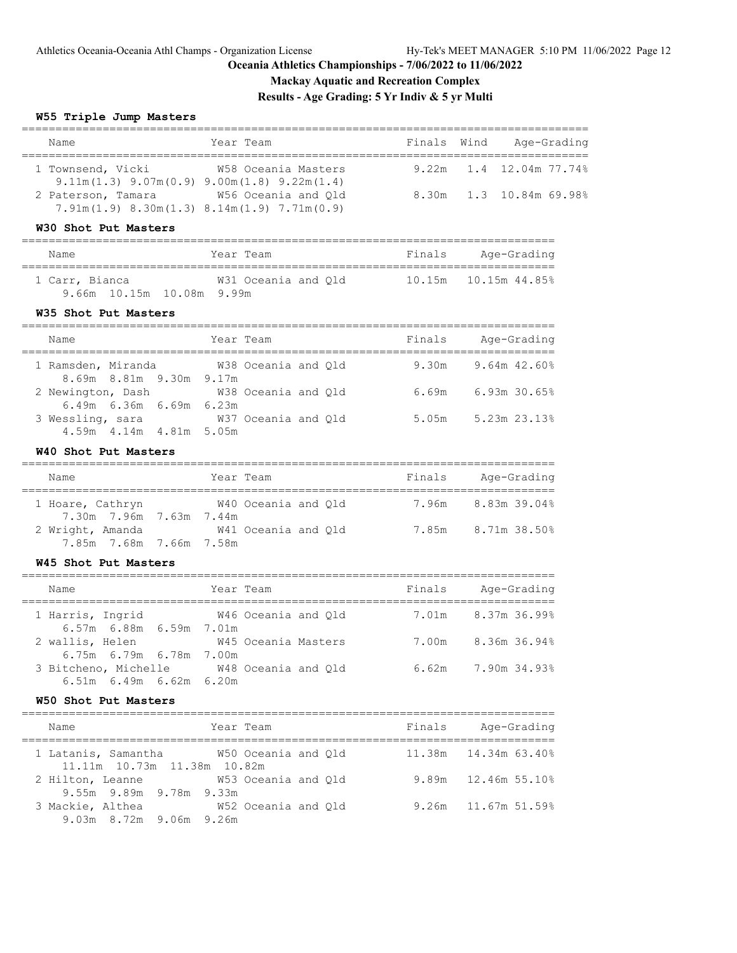# **Mackay Aquatic and Recreation Complex**

**Results - Age Grading: 5 Yr Indiv & 5 yr Multi**

# **W55 Triple Jump Masters**

| Name                                         | Year Team                                                                                                                                    | Finals | Wind<br>Age-Grading                                |
|----------------------------------------------|----------------------------------------------------------------------------------------------------------------------------------------------|--------|----------------------------------------------------|
| 1 Townsend, Vicki<br>2 Paterson, Tamara      | W58 Oceania Masters<br>$9.11m(1.3) 9.07m(0.9) 9.00m(1.8) 9.22m(1.4)$<br>W56 Oceania and Qld<br>$7.91m(1.9) 8.30m(1.3) 8.14m(1.9) 7.71m(0.9)$ |        | 9.22m 1.4 12.04m 77.74%<br>8.30m 1.3 10.84m 69.98% |
| W30 Shot Put Masters                         |                                                                                                                                              |        |                                                    |
| Name                                         | Year Team                                                                                                                                    |        | Finals Age-Grading                                 |
| 9.66m 10.15m 10.08m 9.99m                    | 1 Carr, Bianca 6. M31 Oceania and Q1d 10.15m 10.15m 44.85%                                                                                   |        |                                                    |
| W35 Shot Put Masters                         |                                                                                                                                              |        |                                                    |
| Name                                         | Year Team                                                                                                                                    |        | Finals Age-Grading                                 |
| 8.69m 8.81m 9.30m 9.17m                      | 1 Ramsden, Miranda 6738 Oceania and Qld                                                                                                      |        | $9.30m$ $9.64m$ $42.60\%$                          |
| 2 Newington, Dash<br>6.49m 6.36m 6.69m 6.23m | W38 Oceania and Qld                                                                                                                          |        | $6.69m$ $6.93m$ $30.65\%$                          |
| 3 Wessling, sara<br>4.59m 4.14m 4.81m 5.05m  | W37 Oceania and Qld                                                                                                                          |        | $5.05m$ $5.23m$ $23.13\%$                          |
| W40 Shot Put Masters                         |                                                                                                                                              |        |                                                    |
| Name                                         | Year Team                                                                                                                                    |        | Finals Age-Grading                                 |
| 7.30m 7.96m 7.63m 7.44m                      | 1 Hoare, Cathryn W40 Oceania and Q1d 7.96m 8.83m 39.04%                                                                                      |        |                                                    |
| 7.85m 7.68m 7.66m 7.58m                      | 2 Wright, Amanda W41 Oceania and Q1d 7.85m 8.71m 38.50%                                                                                      |        |                                                    |
| W45 Shot Put Masters                         |                                                                                                                                              |        |                                                    |
| Name                                         | Year Team                                                                                                                                    |        | Finals Age-Grading                                 |
| 1 Harris, Ingrid<br>6.57m 6.88m 6.59m 7.01m  |                                                                                                                                              |        |                                                    |
| 2 wallis, Helen<br>6.75m 6.79m 6.78m 7.00m   | W45 Oceania Masters                                                                                                                          |        | 7.00m 8.36m 36.94%                                 |
| 6.51m 6.49m 6.62m 6.20m                      | 3 Bitcheno, Michelle M48 Oceania and Qld                                                                                                     | 6.62m  | 7.90m 34.93%                                       |

### **W50 Shot Put Masters**

| Name                                                                   | Year Team |                     | Finals | Age-Grading         |
|------------------------------------------------------------------------|-----------|---------------------|--------|---------------------|
| 1 Latanis, Samantha 650 Oceania and Old<br>11.11m 10.73m 11.38m 10.82m |           |                     |        |                     |
| 2 Hilton, Leanne<br>9.55m 9.89m 9.78m 9.33m                            |           | W53 Oceania and Old |        | 9.89m 12.46m 55.10% |
| 3 Mackie, Althea<br>9.03m 8.72m 9.06m 9.26m                            |           | W52 Oceania and Old |        | 9.26m 11.67m 51.59% |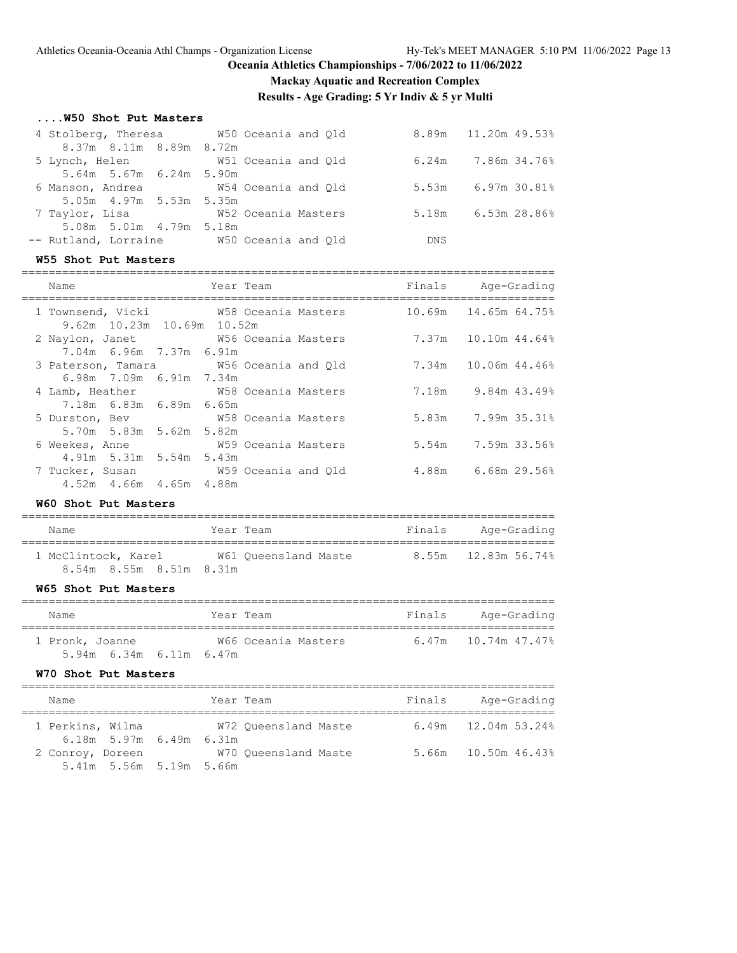# **Mackay Aquatic and Recreation Complex**

**Results - Age Grading: 5 Yr Indiv & 5 yr Multi**

### **....W50 Shot Put Masters**

| 4 Stolberg, Theresa W50 Oceania and Qld  |                     |       | 8.89m 11.20m 49.53%  |
|------------------------------------------|---------------------|-------|----------------------|
| 8.37m 8.11m 8.89m 8.72m                  |                     |       |                      |
| 5 Lynch, Helen                           | W51 Oceania and Old |       | $6.24m$ 7.86m 34.76% |
| 5.64m 5.67m 6.24m 5.90m                  |                     |       |                      |
| 6 Manson, Andrea                         | W54 Oceania and Old | 5.53m | 6.97m 30.81%         |
| 5.05m 4.97m 5.53m 5.35m                  |                     |       |                      |
| 7 Taylor, Lisa                           | W52 Oceania Masters | 5.18m | $6.53m$ 28.86%       |
| 5.08m 5.01m 4.79m 5.18m                  |                     |       |                      |
| -- Rutland, Lorraine M50 Oceania and Old |                     | DNS   |                      |
|                                          |                     |       |                      |

#### **W55 Shot Put Masters**

| Name                                                                 | Year Team           |       | Finals Age-Grading          |
|----------------------------------------------------------------------|---------------------|-------|-----------------------------|
| 1 Townsend, Vicki 678 Oceania Masters<br>9.62m 10.23m 10.69m 10.52m  |                     |       | $10.69m$ $14.65m$ $64.75\%$ |
| 2 Naylon, Janet 6 756 Oceania Masters<br>7.04m 6.96m 7.37m 6.91m     |                     | 7.37m | $10.10m$ 44.64%             |
| 3 Paterson, Tamara 60 W56 Oceania and Q1d<br>6.98m 7.09m 6.91m 7.34m |                     |       | 7.34m 10.06m 44.46%         |
| 4 Lamb, Heather W58 Oceania Masters<br>7.18m 6.83m 6.89m 6.65m       |                     |       | 7.18m 9.84m 43.49%          |
| 5 Durston, Bev 678 Oceania Masters<br>5.70m 5.83m 5.62m 5.82m        |                     |       | 5.83m 7.99m 35.31%          |
| 6 Weekes, Anne<br>4.91m 5.31m 5.54m 5.43m                            | W59 Oceania Masters |       | 5.54m 7.59m 33.56%          |
| 7 Tucker, Susan M59 Oceania and Qld<br>4.52m  4.66m  4.65m  4.88m    |                     |       | 4.88m 6.68m 29.56%          |

# **W60 Shot Put Masters**

| Name                    | Year Team            | Finals | Age-Grading         |
|-------------------------|----------------------|--------|---------------------|
| 1 McClintock, Karel     | W61 Oueensland Maste |        | 8.55m 12.83m 56.74% |
| 8.54m 8.55m 8.51m 8.31m |                      |        |                     |

# **W65 Shot Put Masters**

| Name                                         | Year Team           | Finals | Age-Grading         |
|----------------------------------------------|---------------------|--------|---------------------|
| 1 Pronk, Joanne<br>$5.94m$ 6.34m 6.11m 6.47m | W66 Oceania Masters |        | 6.47m 10.74m 47.47% |

#### **W70 Shot Put Masters**

| Name             |  |                             |  | Year Team            |  | Finals | Age-Grading           |  |
|------------------|--|-----------------------------|--|----------------------|--|--------|-----------------------|--|
| 1 Perkins, Wilma |  |                             |  | W72 Oueensland Maste |  |        | $6.49m$ 12.04m 53.24% |  |
|                  |  | $6.18m$ 5.97m $6.49m$ 6.31m |  |                      |  |        |                       |  |
| 2 Conroy, Doreen |  |                             |  | W70 Oueensland Maste |  |        | 5.66m 10.50m 46.43%   |  |
|                  |  | 5.41m 5.56m 5.19m 5.66m     |  |                      |  |        |                       |  |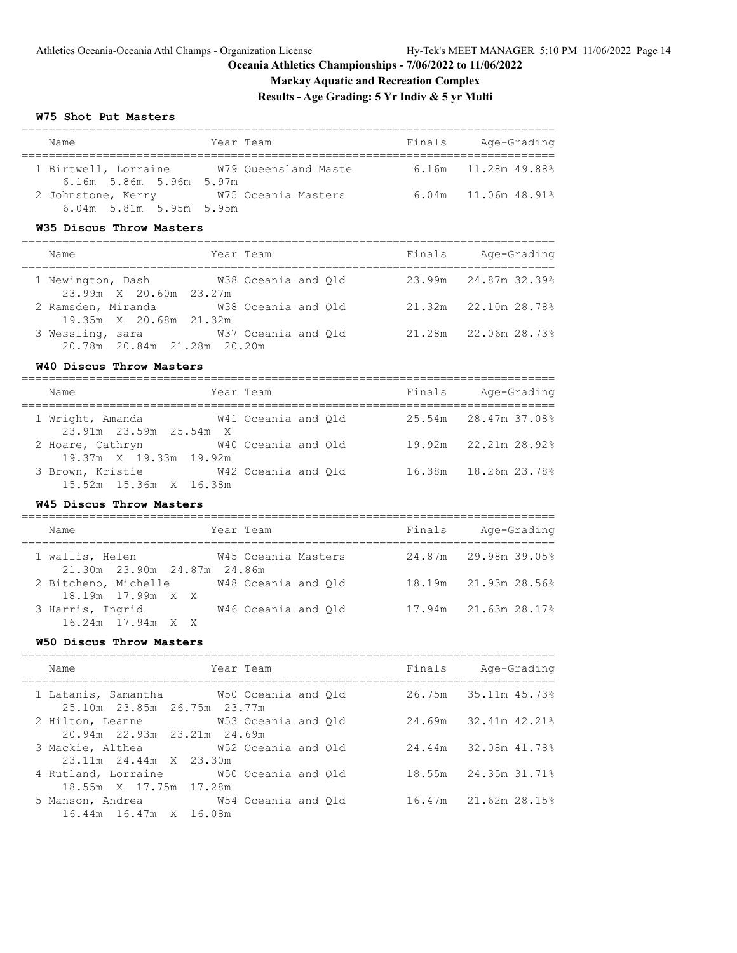# **Mackay Aquatic and Recreation Complex**

# **Results - Age Grading: 5 Yr Indiv & 5 yr Multi**

### **W75 Shot Put Masters**

|  | Name                      | Year Team            | Finals | Age-Grading               |  |  |  |
|--|---------------------------|----------------------|--------|---------------------------|--|--|--|
|  | 1 Birtwell, Lorraine      | W79 Oueensland Maste |        | $6.16m$ $11.28m$ $49.888$ |  |  |  |
|  | 6.16m 5.86m 5.96m 5.97m   |                      |        |                           |  |  |  |
|  | 2 Johnstone, Kerry        | W75 Oceania Masters  |        | $6.04m$ 11.06m 48.91%     |  |  |  |
|  | $6.04m$ 5.81m 5.95m 5.95m |                      |        |                           |  |  |  |

### **W35 Discus Throw Masters**

| Name                                            | Year Team           | Finals<br>Age-Grading   |
|-------------------------------------------------|---------------------|-------------------------|
| 1 Newington, Dash<br>23.99m X 20.60m 23.27m     | W38 Oceania and Old | 23.99m 24.87m 32.39%    |
| 2 Ramsden, Miranda<br>19.35m X 20.68m 21.32m    | W38 Oceania and Old | 21.32m 22.10m 28.78%    |
| 3 Wessling, sara<br>20.78m 20.84m 21.28m 20.20m | W37 Oceania and Old | 22.06m 28.73%<br>21.28m |

### **W40 Discus Throw Masters**

| Name                                             | Year Team |                     | Finals | Age-Grading            |
|--------------------------------------------------|-----------|---------------------|--------|------------------------|
| 1 Wright, Amanda<br>$23.91m$ $23.59m$ $25.54m$ X |           | W41 Oceania and Old |        | 25.54m 28.47m 37.08%   |
| 2 Hoare, Cathryn<br>19.37m X 19.33m 19.92m       |           | W40 Oceania and Old |        | 19.92m 22.21m 28.92%   |
| 3 Brown, Kristie<br>15.52m 15.36m X 16.38m       |           | W42 Oceania and Old |        | 16.38m  18.26m  23.78% |

### **W45 Discus Throw Masters**

| Name                 |                             |  | Year Team           |  | Finals |                      | Age-Grading |
|----------------------|-----------------------------|--|---------------------|--|--------|----------------------|-------------|
| 1 wallis, Helen      | 21.30m 23.90m 24.87m 24.86m |  | W45 Oceania Masters |  |        | 24.87m 29.98m 39.05% |             |
| 2 Bitcheno, Michelle | 18.19m 17.99m X X           |  | W48 Oceania and Old |  |        | 18.19m 21.93m 28.56% |             |
| 3 Harris, Ingrid     |                             |  | W46 Oceania and Old |  |        | 17.94m 21.63m 28.17% |             |
|                      | $16.24m$ $17.94m$ X X       |  |                     |  |        |                      |             |

### **W50 Discus Throw Masters**

| Name                                                                      | Year Team |  | Finals Age-Grading   |
|---------------------------------------------------------------------------|-----------|--|----------------------|
| 1 Latanis, Samantha 60 W50 Oceania and Q1d<br>25.10m 23.85m 26.75m 23.77m |           |  | 26.75m 35.11m 45.73% |
| 2 Hilton, Leanne 53 Oceania and Old<br>20.94m 22.93m 23.21m 24.69m        |           |  | 24.69m 32.41m 42.21% |
| 3 Mackie, Althea 652 Oceania and Old<br>23.11m 24.44m X 23.30m            |           |  | 24.44m 32.08m 41.78% |
| 4 Rutland, Lorraine 50 Oceania and Old<br>18.55m X 17.75m 17.28m          |           |  | 18.55m 24.35m 31.71% |
| 5 Manson, Andrea 6 654 Oceania and Old<br>16.44m 16.47m X 16.08m          |           |  | 16.47m 21.62m 28.15% |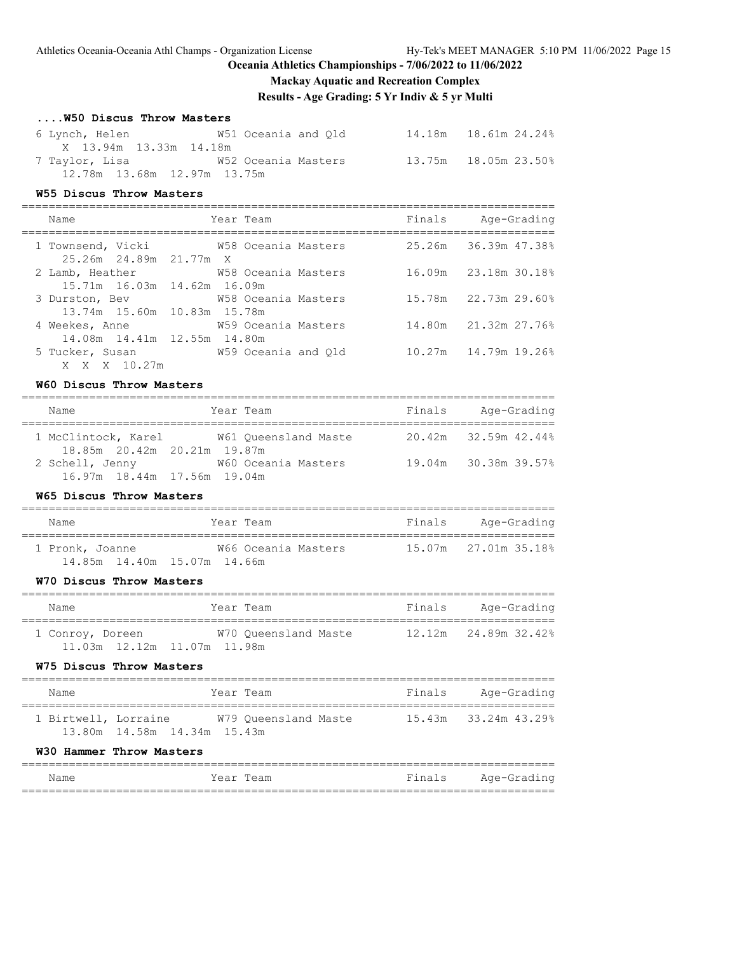# **Mackay Aquatic and Recreation Complex**

**Results - Age Grading: 5 Yr Indiv & 5 yr Multi**

| W50 Discus Throw Masters |  |  |
|--------------------------|--|--|
|--------------------------|--|--|

| 6 Lynch, Helen                 | W51 Oceania and Old | 14.18m   18.61m   24.24% |
|--------------------------------|---------------------|--------------------------|
| X 13.94m 13.33m 14.18m         |                     |                          |
| 7 Taylor, Lisa                 | W52 Oceania Masters | 13.75m 18.05m 23.50%     |
| 12.78m  13.68m  12.97m  13.75m |                     |                          |

#### **W55 Discus Throw Masters**

=============================================================================== Name Team Year Team Finals Age-Grading

| 1 Townsend, Vicki 6758 Oceania Masters |                     |  | 25.26m 36.39m 47.38% |
|----------------------------------------|---------------------|--|----------------------|
| 25.26m 24.89m 21.77m X                 |                     |  |                      |
| 2 Lamb, Heather                        | W58 Oceania Masters |  | 16.09m 23.18m 30.18% |
| 15.71m 16.03m 14.62m 16.09m            |                     |  |                      |
| 3 Durston, Bev 658 Oceania Masters     |                     |  | 15.78m 22.73m 29.60% |
| 13.74m 15.60m 10.83m 15.78m            |                     |  |                      |
| 4 Weekes, Anne 659 Oceania Masters     |                     |  | 14.80m 21.32m 27.76% |
| 14.08m 14.41m 12.55m 14.80m            |                     |  |                      |
| 5 Tucker, Susan 6. 659 Oceania and Old |                     |  | 10.27m 14.79m 19.26% |
| X X X 10.27m                           |                     |  |                      |

#### **W60 Discus Throw Masters**

| Name                                               |  | Year Team            | Finals | Age-Grading          |  |  |  |
|----------------------------------------------------|--|----------------------|--------|----------------------|--|--|--|
| 1 McClintock, Karel<br>18.85m 20.42m 20.21m 19.87m |  | W61 Oueensland Maste |        | 20.42m 32.59m 42.44% |  |  |  |
| 2 Schell, Jenny<br>16.97m 18.44m 17.56m 19.04m     |  | W60 Oceania Masters  |        | 19.04m 30.38m 39.57% |  |  |  |

### **W65 Discus Throw Masters**

| Name                        | Year Team           | Finals | Age-Grading          |
|-----------------------------|---------------------|--------|----------------------|
| 1 Pronk, Joanne             | W66 Oceania Masters |        | 15.07m 27.01m 35.18% |
| 14.85m 14.40m 15.07m 14.66m |                     |        |                      |

#### **W70 Discus Throw Masters**

| Name                           | Year Team            | Finals | Age-Grading          |  |  |  |  |  |
|--------------------------------|----------------------|--------|----------------------|--|--|--|--|--|
| 1 Conroy, Doreen               | W70 Oueensland Maste |        | 12.12m 24.89m 32.42% |  |  |  |  |  |
| 11.03m  12.12m  11.07m  11.98m |                      |        |                      |  |  |  |  |  |

#### **W75 Discus Throw Masters**

| Name                 |                             | Year Team |                      | Finals | Age-Grading          |  |  |  |
|----------------------|-----------------------------|-----------|----------------------|--------|----------------------|--|--|--|
| 1 Birtwell, Lorraine |                             |           | W79 Oueensland Maste |        | 15.43m 33.24m 43.29% |  |  |  |
|                      | 13.80m 14.58m 14.34m 15.43m |           |                      |        |                      |  |  |  |

#### **W30 Hammer Throw Masters**

| Name | Year Team | Finals | Age-Grading |
|------|-----------|--------|-------------|
|      |           |        |             |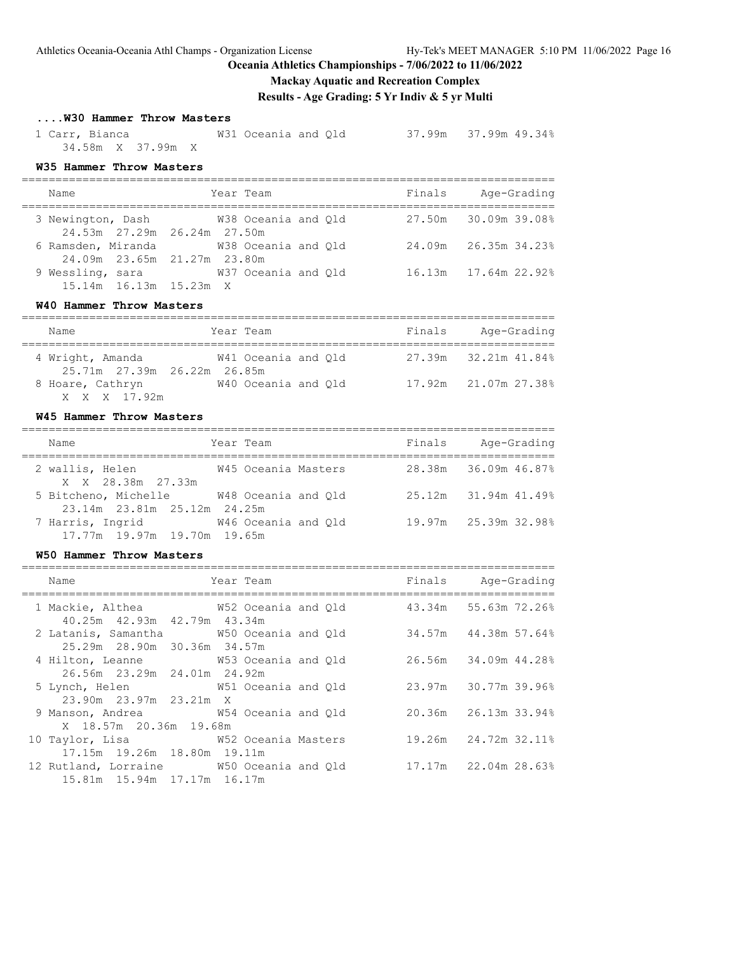# **Mackay Aquatic and Recreation Complex**

**Results - Age Grading: 5 Yr Indiv & 5 yr Multi**

# **....W30 Hammer Throw Masters**

 1 Carr, Bianca W31 Oceania and Qld 37.99m 37.99m 49.34% 34.58m X 37.99m X

### **W35 Hammer Throw Masters**

| Name                                              | Year Team                              | Finals | Age-Grading          |
|---------------------------------------------------|----------------------------------------|--------|----------------------|
| 24.53m 27.29m 26.24m 27.50m                       | 3 Newington, Dash 6738 Oceania and Old |        | 27.50m 30.09m 39.08% |
| 6 Ramsden, Miranda<br>24.09m 23.65m 21.27m 23.80m | W38 Oceania and Old                    |        | 24.09m 26.35m 34.23% |
| 9 Wessling, sara<br>15.14m 16.13m 15.23m X        | W37 Oceania and Old                    |        | 16.13m 17.64m 22.92% |

### **W40 Hammer Throw Masters**

| Name                                            | Year Team           | Finals | Age-Grading          |
|-------------------------------------------------|---------------------|--------|----------------------|
| 4 Wright, Amanda<br>25.71m 27.39m 26.22m 26.85m | W41 Oceania and Old |        | 27.39m 32.21m 41.84% |
| 8 Hoare, Cathryn<br>X X X 17.92m                | W40 Oceania and Old |        | 17.92m 21.07m 27.38% |

### **W45 Hammer Throw Masters**

| Name                                            | Year Team           | Finals | Age-Grading          |
|-------------------------------------------------|---------------------|--------|----------------------|
| 2 wallis, Helen<br>X X 28.38m 27.33m            | W45 Oceania Masters |        | 28.38m 36.09m 46.87% |
| 5 Bitcheno, Michelle                            | W48 Oceania and Old |        | 25.12m 31.94m 41.49% |
| 23.14m 23.81m 25.12m 24.25m<br>7 Harris, Ingrid | W46 Oceania and Old |        | 19.97m 25.39m 32.98% |
| 17.77m 19.97m 19.70m 19.65m                     |                     |        |                      |

### **W50 Hammer Throw Masters**

| Name                                                                                             | Year Team | ======= | Finals Age-Grading   |
|--------------------------------------------------------------------------------------------------|-----------|---------|----------------------|
| 1 Mackie, Althea 65.2 W52 Oceania and Qld 43.34m 55.63m 72.26%<br>40.25m 42.93m 42.79m 43.34m    |           |         |                      |
| 25.29m 28.90m 30.36m 34.57m                                                                      |           |         | 34.57m 44.38m 57.64% |
| 4 Hilton, Leanne W53 Oceania and Q1d 26.56m 34.09m 44.28%<br>26.56m 23.29m 24.01m 24.92m         |           |         |                      |
| 5 Lynch, Helen W51 Oceania and Q1d 23.97m 30.77m 39.96%<br>23.90m 23.97m 23.21m X                |           |         |                      |
| 9 Manson, Andrea W54 Oceania and Q1d 20.36m 26.13m 33.94%<br>X 18.57m 20.36m 19.68m              |           |         |                      |
| 10 Taylor, Lisa 60 62 60 W52 Oceania Masters 19.26m 24.72m 32.11%<br>17.15m 19.26m 18.80m 19.11m |           |         |                      |
| 12 Rutland, Lorraine M50 Oceania and Old 17.17m 22.04m 28.63%<br>15.81m 15.94m 17.17m 16.17m     |           |         |                      |
|                                                                                                  |           |         |                      |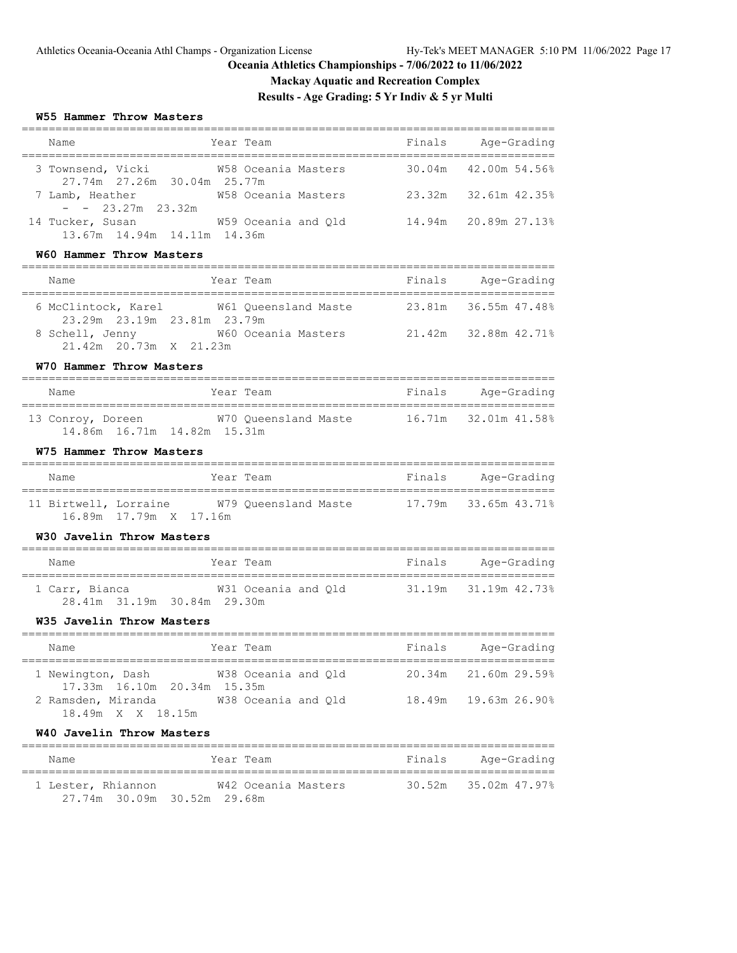# **Mackay Aquatic and Recreation Complex**

**Results - Age Grading: 5 Yr Indiv & 5 yr Multi**

### **W55 Hammer Throw Masters**

| Name                                                                                            | Year Team           |        | Finals Age-Grading   |
|-------------------------------------------------------------------------------------------------|---------------------|--------|----------------------|
| 3 Townsend, Vicki<br>27.74m 27.26m 30.04m 25.77m                                                | W58 Oceania Masters |        | 30.04m 42.00m 54.56% |
| 7 Lamb, Heather W58 Oceania Masters<br>$- - 23.27m$ 23.32m                                      |                     | 23.32m | 32.61m 42.35%        |
| 14 Tucker, Susan<br>13.67m  14.94m  14.11m  14.36m                                              | W59 Oceania and Qld |        | 14.94m 20.89m 27.13% |
| W60 Hammer Throw Masters                                                                        |                     |        |                      |
| Name                                                                                            | Year Team           |        | Finals Age-Grading   |
| 6 McClintock, Karel M61 Queensland Maste 23.81m 36.55m 47.48%<br>23.29m  23.19m  23.81m  23.79m |                     |        |                      |
| 8 Schell, Jenny W60 Oceania Masters 21.42m 32.88m 42.71%<br>21.42m 20.73m X 21.23m              |                     |        |                      |
| W70 Hammer Throw Masters                                                                        |                     |        |                      |
| Name                                                                                            | Year Team           |        | Finals Age-Grading   |
| 13 Conroy, Doreen W70 Queensland Maste 16.71m 32.01m 41.58%<br>14.86m 16.71m 14.82m 15.31m      |                     |        |                      |
| W75 Hammer Throw Masters                                                                        |                     |        |                      |
| Name                                                                                            | Year Team           |        | Finals Age-Grading   |
| 11 Birtwell, Lorraine M79 Queensland Maste 17.79m 33.65m 43.71%<br>16.89m  17.79m  X  17.16m    |                     |        |                      |
| W30 Javelin Throw Masters                                                                       |                     |        |                      |
| Name                                                                                            | Year Team           |        | Finals Age-Grading   |
| 1 Carr, Bianca 6 631 Oceania and Q1d 31.19m 31.19m 42.73%<br>28.41m 31.19m 30.84m 29.30m        |                     |        |                      |
| W35 Javelin Throw Masters                                                                       |                     |        |                      |
| Year Team<br>Name                                                                               |                     |        | Finals Age-Grading   |
| 1 Newington, Dash<br>17.33m 16.10m 20.34m 15.35m                                                | W38 Oceania and Qld |        | 20.34m 21.60m 29.59% |
| 2 Ramsden, Miranda<br>18.49m X X 18.15m                                                         | W38 Oceania and Qld | 18.49m | 19.63m 26.90%        |
| W40 Javelin Throw Masters                                                                       |                     |        |                      |
| Name                                                                                            | Year Team           | Finals | Age-Grading          |

 1 Lester, Rhiannon W42 Oceania Masters 30.52m 35.02m 47.97% 27.74m 30.09m 30.52m 29.68m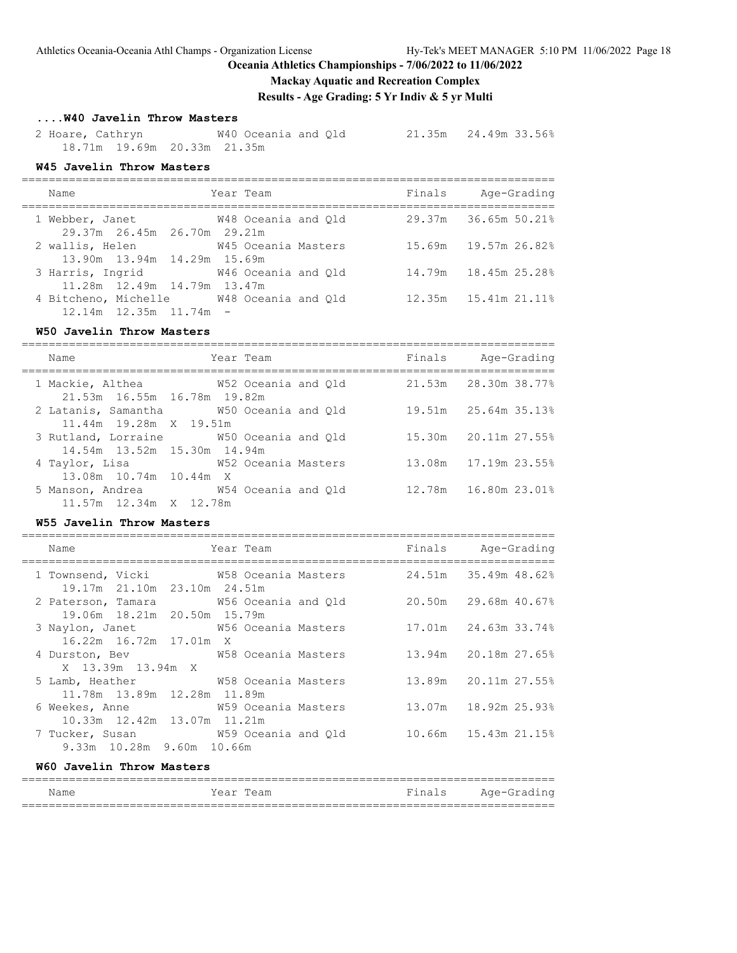# **Mackay Aquatic and Recreation Complex**

**Results - Age Grading: 5 Yr Indiv & 5 yr Multi**

# **....W40 Javelin Throw Masters**

 2 Hoare, Cathryn W40 Oceania and Qld 21.35m 24.49m 33.56% 18.71m 19.69m 20.33m 21.35m

### **W45 Javelin Throw Masters**

| Name                                                                     | Year Team           | Finals | Age-Grading              |
|--------------------------------------------------------------------------|---------------------|--------|--------------------------|
| 1 Webber, Janet<br>29.37m 26.45m 26.70m 29.21m                           | W48 Oceania and Old |        | 29.37m 36.65m 50.21%     |
| 2 wallis, Helen<br>13.90m 13.94m 14.29m 15.69m                           | W45 Oceania Masters |        | 15.69m 19.57m 26.82%     |
| 3 Harris, Ingrid 646 Oceania and Old<br>11.28m 12.49m 14.79m 13.47m      |                     |        | 14.79m 18.45m 25.28%     |
| 4 Bitcheno, Michelle M48 Oceania and Old<br>$12.14m$ $12.35m$ $11.74m$ - |                     |        | 12.35m   15.41m   21.11% |

### **W50 Javelin Throw Masters**

| Name                                                                   | Year Team | Finals | Age-Grading              |
|------------------------------------------------------------------------|-----------|--------|--------------------------|
| 1 Mackie, Althea M52 Oceania and Qld<br>21.53m 16.55m 16.78m 19.82m    |           |        | 21.53m 28.30m 38.77%     |
| 2 Latanis, Samantha W50 Oceania and Q1d<br>11.44m 19.28m X 19.51m      |           |        | 19.51m 25.64m 35.13%     |
| 3 Rutland, Lorraine W50 Oceania and Old<br>14.54m 13.52m 15.30m 14.94m |           |        | 15.30m 20.11m 27.55%     |
| 4 Taylor, Lisa 69 60 62 Oceania Masters<br>13.08m 10.74m 10.44m X      |           |        | 13.08m   17.19m   23.55% |
| 5 Manson, Andrea 6 654 Oceania and Old<br>11.57m 12.34m X 12.78m       |           |        | 12.78m   16.80m   23.01% |

### **W55 Javelin Throw Masters**

| Name                                                                                         | Year Team |  | Finals | Age-Grading                 |
|----------------------------------------------------------------------------------------------|-----------|--|--------|-----------------------------|
| 1 Townsend, Vicki 69 W58 Oceania Masters 24.51m 35.49m 48.62%<br>19.17m 21.10m 23.10m 24.51m |           |  |        |                             |
| 2 Paterson, Tamara 6 M56 Oceania and Old 20.50m 29.68m 40.67%<br>19.06m 18.21m 20.50m 15.79m |           |  |        |                             |
| 3 Naylon, Janet W56 Oceania Masters 17.01m 24.63m 33.74%<br>$16.22m$ $16.72m$ $17.01m$ X     |           |  |        |                             |
| X 13.39m 13.94m X                                                                            |           |  |        |                             |
| 5 Lamb, Heather 67 68 Oceania Masters<br>11.78m 13.89m 12.28m 11.89m                         |           |  |        | $13.89m$ $20.11m$ $27.55\%$ |
| 10.33m 12.42m 13.07m 11.21m                                                                  |           |  |        | 13.07m 18.92m 25.93%        |
| 7 Tucker, Susan M59 Oceania and Q1d 10.66m 15.43m 21.15%<br>9.33m 10.28m 9.60m 10.66m        |           |  |        |                             |
| W60 Javelin Throw Masters                                                                    |           |  |        |                             |

| Name | Year Team | Finals Age-Grading |
|------|-----------|--------------------|
|      |           |                    |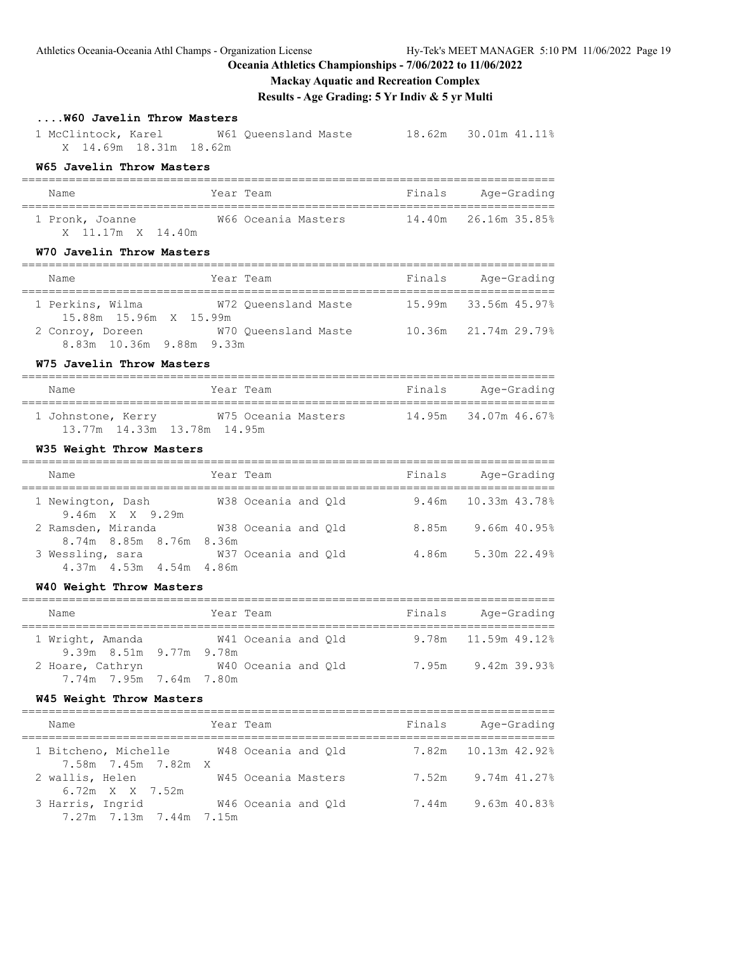Athletics Oceania-Oceania Athl Champs - Organization License Hy-Tek's MEET MANAGER 5:10 PM 11/06/2022 Page 19

**Oceania Athletics Championships - 7/06/2022 to 11/06/2022**

### **Mackay Aquatic and Recreation Complex**

**Results - Age Grading: 5 Yr Indiv & 5 yr Multi**

# **....W60 Javelin Throw Masters**

 1 McClintock, Karel W61 Queensland Maste 18.62m 30.01m 41.11% X 14.69m 18.31m 18.62m

# **W65 Javelin Throw Masters**

| Name                                 | Year Team           | Finals | Age-Grading          |
|--------------------------------------|---------------------|--------|----------------------|
| 1 Pronk, Joanne<br>X 11.17m X 14.40m | W66 Oceania Masters |        | 14.40m 26.16m 35.85% |

### **W70 Javelin Throw Masters**

| Name                                         | Year Team            | Finals | Age-Grading          |
|----------------------------------------------|----------------------|--------|----------------------|
| 1 Perkins, Wilma<br>15.88m 15.96m X 15.99m   | W72 Oueensland Maste |        | 15.99m 33.56m 45.97% |
| 2 Conroy, Doreen<br>8.83m 10.36m 9.88m 9.33m | W70 Oueensland Maste |        | 10.36m 21.74m 29.79% |

# **W75 Javelin Throw Masters**

| Name                                              | Year Team           | Finals | Age-Grading          |
|---------------------------------------------------|---------------------|--------|----------------------|
| 1 Johnstone, Kerry<br>13.77m 14.33m 13.78m 14.95m | W75 Oceania Masters |        | 14.95m 34.07m 46.67% |

# **W35 Weight Throw Masters**

| Name                                          | Year Team           | Finals | Age-Grading             |
|-----------------------------------------------|---------------------|--------|-------------------------|
| 1 Newington, Dash<br>$9.46m \times X$ 9.29m   | W38 Oceania and Old |        | $9.46m$ 10.33m $43.788$ |
| 2 Ramsden, Miranda<br>8.74m 8.85m 8.76m 8.36m | W38 Oceania and Old | 8.85m  | 9.66m 40.95%            |
| 3 Wessling, sara<br>4.37m 4.53m 4.54m 4.86m   | W37 Oceania and Old | 4.86m  | $5.30m$ 22.49%          |

#### **W40 Weight Throw Masters**

| Name                                        | Year Team           | Finals | Age-Grading           |
|---------------------------------------------|---------------------|--------|-----------------------|
| 1 Wright, Amanda<br>9.39m 8.51m 9.77m 9.78m | W41 Oceania and Old |        | $9.78m$ 11.59m 49.12% |
| 2 Hoare, Cathryn<br>7.74m 7.95m 7.64m 7.80m | W40 Oceania and Old | 7.95m  | 9.42m 39.93%          |

### **W45 Weight Throw Masters**

| Name                                        | Year Team           | Finals | Age-Grading         |
|---------------------------------------------|---------------------|--------|---------------------|
| 1 Bitcheno, Michelle<br>7.58m 7.45m 7.82m X | W48 Oceania and Old |        | 7.82m 10.13m 42.92% |
| 2 wallis, Helen<br>6.72m X X 7.52m          | W45 Oceania Masters | 7.52m  | 9.74m 41.27%        |
| 3 Harris, Ingrid<br>7.27m 7.13m 7.44m 7.15m | W46 Oceania and Old | 7.44m  | 9.63m 40.83%        |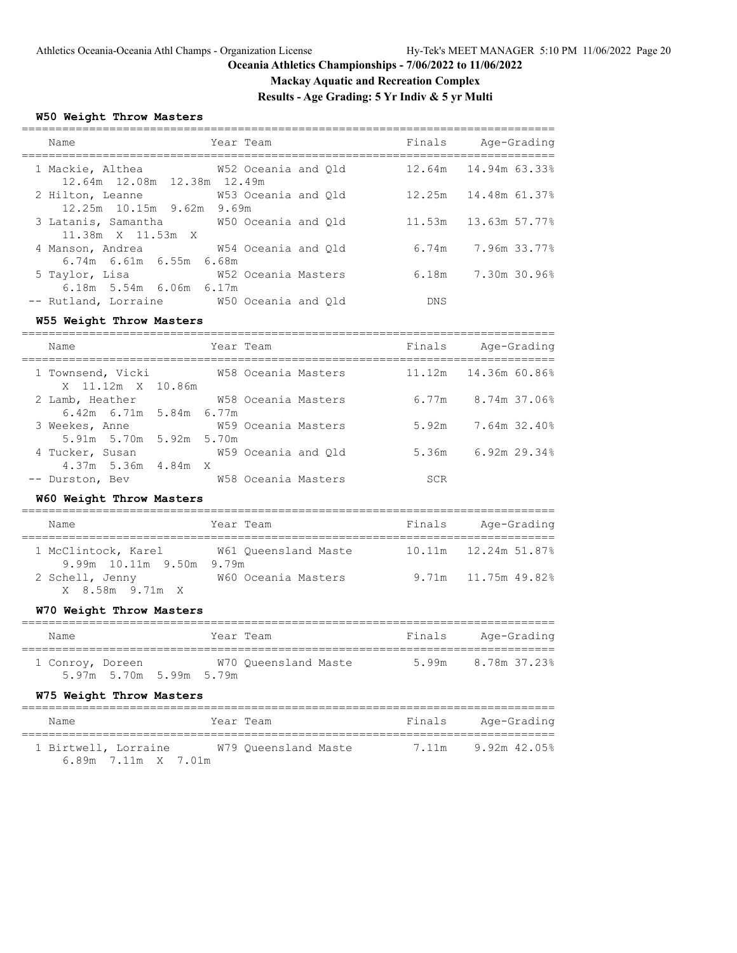# **Mackay Aquatic and Recreation Complex**

**Results - Age Grading: 5 Yr Indiv & 5 yr Multi**

#### **W50 Weight Throw Masters**

| Name                                                                    | Year Team           | Finals     | Age-Grading             |
|-------------------------------------------------------------------------|---------------------|------------|-------------------------|
|                                                                         |                     |            |                         |
| 1 Mackie, Althea M52 Oceania and Old<br>12.64m 12.08m 12.38m 12.49m     |                     | 12.64m     | 14.94m 63.33%           |
| 2 Hilton, Leanne<br>12.25m 10.15m 9.62m 9.69m                           | W53 Oceania and Old |            | 12.25m  14.48m  61.37%  |
| 3 Latanis, Samantha 650 Oceania and Old<br>11.38m X 11.53m X            |                     |            | 11.53m 13.63m 57.77%    |
| 4 Manson, Andrea 6 654 Oceania and Old<br>6.74m 6.61m 6.55m 6.68m       |                     |            | $6.74m$ 7.96m $33.77\%$ |
| 5 Taylor, Lisa                                                          | W52 Oceania Masters | 6.18m      | 7.30m 30.96%            |
| $6.18m$ 5.54m $6.06m$ 6.17m<br>-- Rutland, Lorraine M50 Oceania and Old |                     | <b>DNS</b> |                         |

#### **W55 Weight Throw Masters**

=============================================================================== Name Team Team Finals Age-Grading =============================================================================== 1 Townsend, Vicki W58 Oceania Masters 11.12m 14.36m 60.86% X 11.12m X 10.86m 2 Lamb, Heather W58 Oceania Masters 6.77m 8.74m 37.06% 6.42m 6.71m 5.84m 6.77m 3 Weekes, Anne W59 Oceania Masters 5.92m 7.64m 32.40% 5.91m 5.70m 5.92m 5.70m 4 Tucker, Susan M59 Oceania and Qld 5.36m 6.92m 29.34% 4.37m 5.36m 4.84m X -- Durston, Bev W58 Oceania Masters SCR

#### **W60 Weight Throw Masters**

| Name                                            | Year Team            | Finals | Age-Grading           |
|-------------------------------------------------|----------------------|--------|-----------------------|
| 1 McClintock, Karel<br>9.99m 10.11m 9.50m 9.79m | W61 Oueensland Maste |        |                       |
| 2 Schell, Jenny<br>X 8.58m 9.71m X              | W60 Oceania Masters  |        | $9.71m$ 11.75m 49.82% |

#### **W70 Weight Throw Masters**

| Name             |                         | Year Team |                      | Finals | Age-Grading        |
|------------------|-------------------------|-----------|----------------------|--------|--------------------|
| 1 Conroy, Doreen | 5.97m 5.70m 5.99m 5.79m |           | W70 Oueensland Maste |        | 5.99m 8.78m 37.23% |

#### **W75 Weight Throw Masters**

| Name                 | Year Team            | Finals<br>Age-Grading |
|----------------------|----------------------|-----------------------|
| 1 Birtwell, Lorraine | W79 Oueensland Maste | 9.92m 42.05%<br>7.11m |
| 6.89m 7.11m X 7.01m  |                      |                       |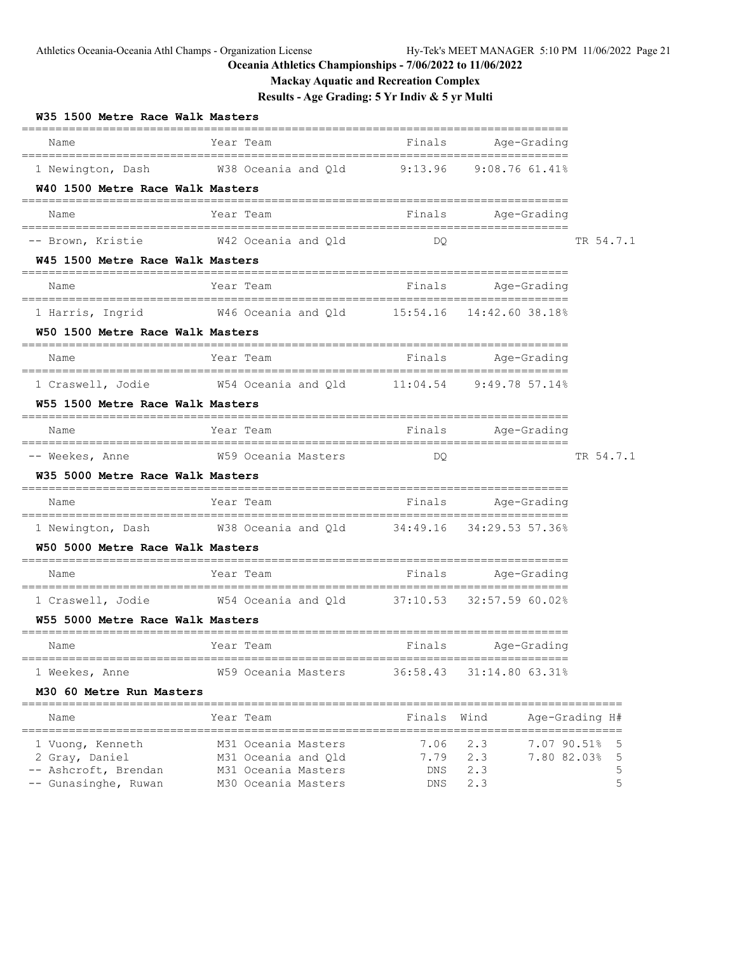Athletics Oceania-Oceania Athl Champs - Organization License Hy-Tek's MEET MANAGER 5:10 PM 11/06/2022 Page 21

# **Oceania Athletics Championships - 7/06/2022 to 11/06/2022**

**Mackay Aquatic and Recreation Complex**

**Results - Age Grading: 5 Yr Indiv & 5 yr Multi**

| W35 1500 Metre Race Walk Masters                                           |                                                                                                        |                                          |                    |                |
|----------------------------------------------------------------------------|--------------------------------------------------------------------------------------------------------|------------------------------------------|--------------------|----------------|
| Name                                                                       | Year Team<br>====================                                                                      | Finals                                   | Age-Grading        |                |
| 1 Newington, Dash                                                          | W38 Oceania and Qld 9:13.96                                                                            |                                          | $9:08.76$ 61.41%   |                |
| W40 1500 Metre Race Walk Masters<br>====================================== |                                                                                                        |                                          |                    |                |
| Name                                                                       | Year Team                                                                                              | Finals                                   | Age-Grading        |                |
|                                                                            | -- Brown, Kristie M42 Oceania and Qld                                                                  | DQ                                       |                    | TR 54.7.1      |
| W45 1500 Metre Race Walk Masters                                           |                                                                                                        |                                          |                    |                |
| Name                                                                       | Year Team                                                                                              | Finals                                   | Age-Grading        |                |
| 1 Harris, Ingrid                                                           | W46 Oceania and Qld 15:54.16 14:42.60 38.18%                                                           |                                          |                    |                |
| W50 1500 Metre Race Walk Masters                                           |                                                                                                        |                                          |                    |                |
| Name<br>========================                                           | Year Team<br>=========================                                                                 | Finals                                   | Age-Grading        |                |
|                                                                            | 1 Craswell, Jodie 654 Oceania and Q1d 11:04.54 9:49.78 57.14%                                          |                                          |                    |                |
| W55 1500 Metre Race Walk Masters                                           |                                                                                                        |                                          |                    |                |
| Name<br>__________________________                                         | Year Team                                                                                              | Finals                                   | Age-Grading        |                |
| -- Weekes, Anne                                                            | W59 Oceania Masters                                                                                    | DQ                                       |                    | TR 54.7.1      |
| W35 5000 Metre Race Walk Masters                                           |                                                                                                        |                                          |                    |                |
| Name                                                                       | Year Team                                                                                              | Finals                                   | Age-Grading        |                |
|                                                                            | 1 Newington, Dash M38 Oceania and Q1d 34:49.16 34:29.53 57.36%                                         |                                          |                    |                |
| W50 5000 Metre Race Walk Masters                                           |                                                                                                        |                                          |                    |                |
| Name                                                                       | Year Team                                                                                              | Finals                                   | Age-Grading        |                |
|                                                                            | ====================================<br>1 Craswell, Jodie M54 Oceania and Q1d 37:10.53 32:57.59 60.02% |                                          |                    |                |
| W55 5000 Metre Race Walk Masters                                           |                                                                                                        |                                          |                    |                |
| Name                                                                       | Year Team                                                                                              | Finals                                   | Age-Grading        |                |
| ============================<br>1 Weekes, Anne                             | W59 Oceania Masters                                                                                    | ____________________________<br>36:58.43 | 31:14.80 63.31%    |                |
| M30 60 Metre Run Masters                                                   |                                                                                                        |                                          |                    |                |
| Name                                                                       | Year Team                                                                                              | Finals                                   | Wind               | Age-Grading H# |
| 1 Vuong, Kenneth                                                           | M31 Oceania Masters                                                                                    | 7.06                                     | 2.3<br>7.07 90.51% | 5              |
| 2 Gray, Daniel                                                             | M31 Oceania and Qld                                                                                    | 7.79                                     | 2.3<br>7.80 82.03% | 5              |
| -- Ashcroft, Brendan                                                       | M31 Oceania Masters                                                                                    | DNS                                      | 2.3                | 5<br>5         |
| -- Gunasinghe, Ruwan                                                       | M30 Oceania Masters                                                                                    | DNS                                      | 2.3                |                |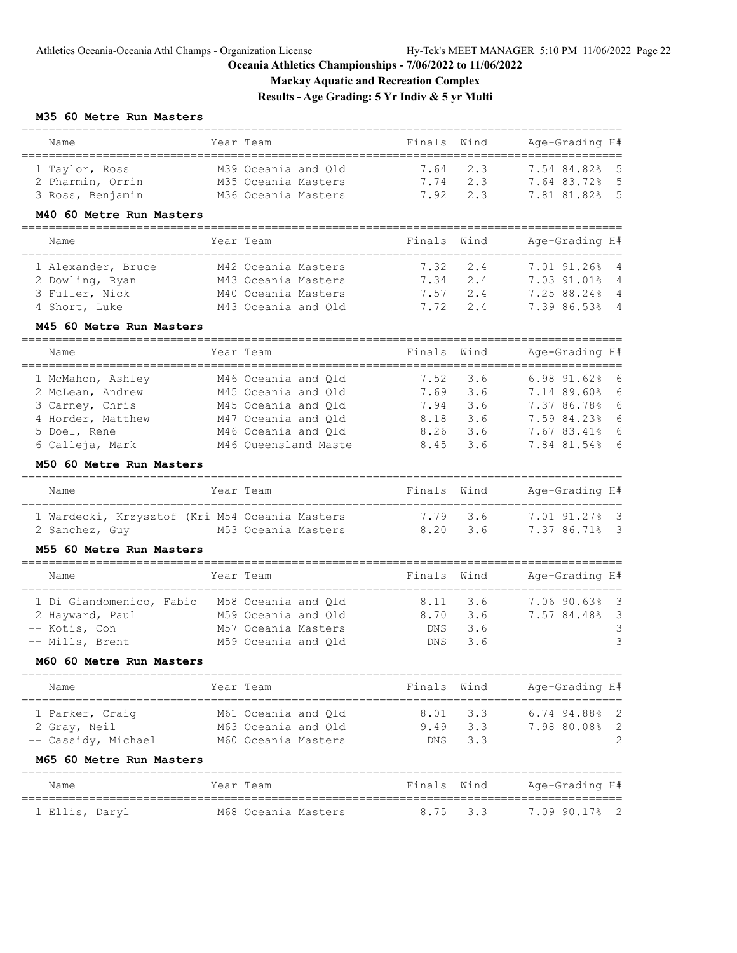**Mackay Aquatic and Recreation Complex**

**Results - Age Grading: 5 Yr Indiv & 5 yr Multi**

# **M35 60 Metre Run Masters**

| woo oo metre vuu ma                            |            |                      |        |      |                                        |
|------------------------------------------------|------------|----------------------|--------|------|----------------------------------------|
| Name                                           |            | Year Team            | Finals | Wind | Age-Grading H#                         |
| 1 Taylor, Ross                                 |            | M39 Oceania and Qld  | 7.64   | 2.3  | 7.54 84.82%<br>5                       |
| 2 Pharmin, Orrin                               |            | M35 Oceania Masters  | 7.74   | 2.3  | 5<br>7.64 83.72%                       |
| 3 Ross, Benjamin                               |            | M36 Oceania Masters  | 7.92   | 2.3  | 5<br>7.81 81.82%                       |
| M40 60 Metre Run Masters                       |            |                      |        |      |                                        |
| ====================================<br>Name   |            | Year Team            | Finals | Wind | Age-Grading H#                         |
| 1 Alexander, Bruce                             |            | M42 Oceania Masters  | 7.32   | 2.4  | 7.01 91.26%<br>$\overline{4}$          |
| 2 Dowling, Ryan                                |            | M43 Oceania Masters  | 7.34   | 2.4  | 7.03 91.01%<br>4                       |
| 3 Fuller, Nick                                 |            | M40 Oceania Masters  | 7.57   | 2.4  | 7.25 88.24%<br>$\overline{4}$          |
| 4 Short, Luke                                  |            | M43 Oceania and Qld  | 7.72   | 2.4  | $\overline{4}$<br>7.39 86.53%          |
| M45 60 Metre Run Masters                       |            |                      |        |      |                                        |
| Name                                           |            | Year Team            | Finals | Wind | Age-Grading H#                         |
| 1 McMahon, Ashley                              |            | M46 Oceania and Old  | 7.52   | 3.6  | $6.98$ $91.62$ <sup>8</sup><br>6       |
| 2 McLean, Andrew                               |            | M45 Oceania and Qld  | 7.69   | 3.6  | 6<br>7.14 89.60%                       |
| 3 Carney, Chris                                |            | M45 Oceania and Qld  | 7.94   | 3.6  | 6<br>7.37 86.78%                       |
| 4 Horder, Matthew                              |            | M47 Oceania and Qld  | 8.18   | 3.6  | 6<br>7.59 84.23%                       |
| 5 Doel, Rene                                   |            | M46 Oceania and Qld  | 8.26   | 3.6  | 6<br>7.67 83.41%                       |
| 6 Calleja, Mark                                |            | M46 Queensland Maste | 8.45   | 3.6  | - 6<br>7.84 81.54%                     |
| M50 60 Metre Run Masters                       |            |                      |        |      |                                        |
| _________________________________<br>Name      |            | Year Team            | Finals | Wind | Age-Grading H#                         |
| 1 Wardecki, Krzysztof (Kri M54 Oceania Masters |            | ==============       | 7.79   | 3.6  | 7.01 91.27%<br>$\overline{\mathbf{3}}$ |
| 2 Sanchez, Guy                                 |            | M53 Oceania Masters  | 8.20   | 3.6  | $\overline{\mathbf{3}}$<br>7.37 86.71% |
| M55 60 Metre Run Masters                       |            |                      |        |      |                                        |
| Name                                           |            | Year Team            | Finals | Wind | Age-Grading H#                         |
| 1 Di Giandomenico, Fabio                       | ---------- | M58 Oceania and Qld  | 8.11   | 3.6  | 7.06 90.63%<br>$\overline{\mathbf{3}}$ |
| 2 Hayward, Paul                                |            | M59 Oceania and Qld  | 8.70   | 3.6  | 3<br>7.57 84.48%                       |
| -- Kotis, Con                                  |            | M57 Oceania Masters  | DNS    | 3.6  | 3                                      |
| -- Mills, Brent                                |            | M59 Oceania and Qld  | DNS    | 3.6  | 3                                      |
| M60 60 Metre Run Masters                       |            |                      |        |      |                                        |
| Name                                           |            | Year Team            | Finals | Wind | Age-Grading H#                         |
| ==============                                 |            | =======              |        |      | ===========                            |
| 1 Parker, Craiq                                |            | M61 Oceania and Qld  | 8.01   | 3.3  | 6.74 94.88%<br>2                       |
| 2 Gray, Neil                                   |            | M63 Oceania and Qld  | 9.49   | 3.3  | $\overline{2}$<br>7.98 80.08%          |
| -- Cassidy, Michael                            |            | M60 Oceania Masters  | DNS    | 3.3  | $\overline{2}$                         |

### **M65 60 Metre Run Masters**

| Name           | Year Team           | Finals Wind |          | Age-Grading H# |
|----------------|---------------------|-------------|----------|----------------|
| 1 Ellis, Daryl | M68 Oceania Masters |             | 8.75 3.3 | 7.09 90.17% 2  |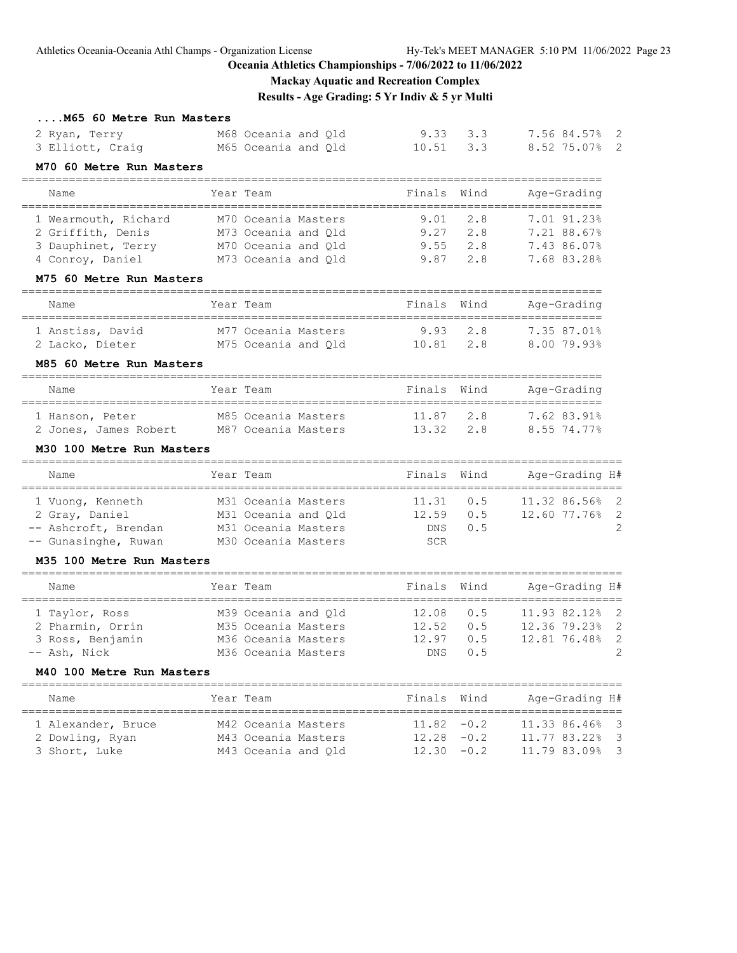# **Mackay Aquatic and Recreation Complex**

**Results - Age Grading: 5 Yr Indiv & 5 yr Multi**

| M65 60 Metre Run Masters                                           |                               |                          |                 |                                            |
|--------------------------------------------------------------------|-------------------------------|--------------------------|-----------------|--------------------------------------------|
| 2 Ryan, Terry                                                      | M68 Oceania and Qld           | 9.33                     | 3.3             | 7.56 84.57%<br>$\overline{2}$              |
| 3 Elliott, Craig                                                   | M65 Oceania and Old           | 10.51                    | 3.3             | 8.52 75.07% 2                              |
| M70 60 Metre Run Masters                                           |                               |                          |                 |                                            |
| ================================<br>Name                           | Year Team                     | Finals                   | Wind            | Age-Grading<br>===============             |
| 1 Wearmouth, Richard                                               | M70 Oceania Masters           | 9.01                     | 2.8             | 7.01 91.23%                                |
| 2 Griffith, Denis                                                  | M73 Oceania and Qld           | 9.27                     | 2.8             | 7.21 88.67%                                |
| 3 Dauphinet, Terry                                                 | M70 Oceania and Qld           | 9.55                     | 2.8             | 7.43 86.07%                                |
| 4 Conroy, Daniel                                                   | M73 Oceania and Qld           | 9.87                     | 2.8             | 7.68 83.28%                                |
| M75 60 Metre Run Masters                                           |                               |                          |                 |                                            |
| Name                                                               | Year Team                     | Finals                   | Wind            | Age-Grading                                |
| 1 Anstiss, David                                                   | M77 Oceania Masters           | 9.93                     | 2.8             | 7.35 87.01%                                |
| 2 Lacko, Dieter                                                    | M75 Oceania and Qld           | 10.81                    | 2.8             | 8.00 79.93%                                |
| M85 60 Metre Run Masters<br>-------------------------------------- |                               |                          |                 | ________________________                   |
| Name                                                               | Year Team<br>_____________    | Finals                   | Wind            | Age-Grading                                |
| 1 Hanson, Peter                                                    | M85 Oceania Masters           | 11.87                    | 2.8             | 7.62 83.91%                                |
| 2 Jones, James Robert                                              | M87 Oceania Masters           | 13.32                    | 2.8             | 8.55 74.77%                                |
| M30 100 Metre Run Masters                                          |                               |                          |                 |                                            |
| Name<br>========================                                   | Year Team<br>================ | Finals<br>============== | Wind<br>------- | Age-Grading H#<br>================         |
| 1 Vuong, Kenneth                                                   | M31 Oceania Masters           | 11.31                    | 0.5             | 11.32 86.56%<br>$\overline{\phantom{0}}^2$ |
| 2 Gray, Daniel                                                     | M31 Oceania and Qld           | 12.59                    | 0.5             | 2<br>12.60 77.76%                          |
| -- Ashcroft, Brendan                                               | M31 Oceania Masters           | DNS                      | 0.5             | 2                                          |
| -- Gunasinghe, Ruwan                                               | M30 Oceania Masters           | SCR                      |                 |                                            |
| M35 100 Metre Run Masters                                          |                               |                          |                 |                                            |
| Name                                                               | Year Team                     | Finals<br>=======        | Wind            | Age-Grading H#<br>======================   |
| 1 Taylor, Ross                                                     | M39 Oceania and Qld           | 12.08                    | 0.5             | 11.93 82.12%<br>2                          |
| 2 Pharmin, Orrin                                                   | M35 Oceania Masters           | 12.52                    | 0.5             | 2<br>12.36 79.23%                          |
| 3 Ross, Benjamin                                                   | M36 Oceania Masters           | 12.97                    | 0.5             | $\mathbf{2}$<br>12.81 76.48%               |
| -- Ash, Nick                                                       | M36 Oceania Masters           | DNS                      | 0.5             | $\overline{2}$                             |
| M40 100 Metre Run Masters                                          |                               |                          |                 |                                            |
| Name                                                               | Year Team                     | Finals                   | Wind            | Age-Grading H#                             |
| 1 Alexander, Bruce                                                 |                               |                          |                 |                                            |
|                                                                    | M42 Oceania Masters           | 11.82                    | $-0.2$          | 11.33 86.46%<br>- 3                        |
| 2 Dowling, Ryan                                                    | M43 Oceania Masters           | $12.28 - 0.2$            |                 | 11.77 83.22%<br>3                          |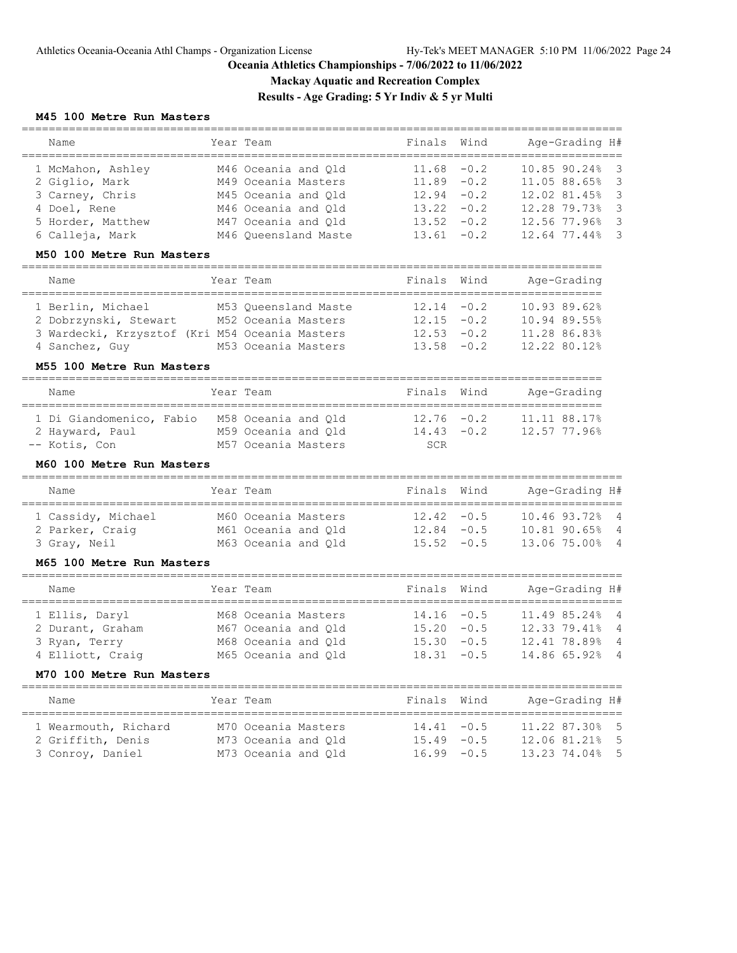**Mackay Aquatic and Recreation Complex**

**Results - Age Grading: 5 Yr Indiv & 5 yr Multi**

### **M45 100 Metre Run Masters**

| Name                                                            | Year Team            | Finals             | Wind   | Age-Grading H#                      |
|-----------------------------------------------------------------|----------------------|--------------------|--------|-------------------------------------|
| 1 McMahon, Ashley                                               | M46 Oceania and Qld  | 11.68              | $-0.2$ | 10.85 90.24%<br>3                   |
| 2 Giglio, Mark                                                  | M49 Oceania Masters  | 11.89              | $-0.2$ | 3<br>11.05 88.65%                   |
| 3 Carney, Chris                                                 | M45 Oceania and Qld  | 12.94              | $-0.2$ | 3<br>12.02 81.45%                   |
| 4 Doel, Rene                                                    | M46 Oceania and Qld  | 13.22              | $-0.2$ | 3<br>12.28 79.73%                   |
| 5 Horder, Matthew                                               | M47 Oceania and Qld  | 13.52              | $-0.2$ | 3<br>12.56 77.96%                   |
| 6 Calleja, Mark                                                 | M46 Queensland Maste | 13.61              | $-0.2$ | 3<br>12.64 77.44%                   |
|                                                                 |                      |                    |        |                                     |
| M50 100 Metre Run Masters<br>=================================  |                      |                    |        |                                     |
| Name                                                            | Year Team            | Finals             | Wind   | Age-Grading                         |
| 1 Berlin, Michael                                               | M53 Oueensland Maste | 12.14              | $-0.2$ | 10.93 89.62%                        |
| 2 Dobrzynski, Stewart                                           | M52 Oceania Masters  | 12.15              | $-0.2$ | 10.94 89.55%                        |
| 3 Wardecki, Krzysztof (Kri M54 Oceania Masters                  |                      | 12.53              | $-0.2$ | 11.28 86.83%                        |
| 4 Sanchez, Guy                                                  | M53 Oceania Masters  | 13.58              | $-0.2$ | 12.22 80.12%                        |
| M55 100 Metre Run Masters<br>================================== |                      |                    |        |                                     |
| Name                                                            | Year Team            | Finals             | Wind   | Age-Grading<br>____________________ |
| 1 Di Giandomenico, Fabio                                        | M58 Oceania and Qld  | 12.76              | $-0.2$ | 11.11 88.17%                        |
| 2 Hayward, Paul                                                 | M59 Oceania and Qld  | 14.43              | $-0.2$ | 12.57 77.96%                        |
| -- Kotis, Con                                                   | M57 Oceania Masters  | <b>SCR</b>         |        |                                     |
| M60 100 Metre Run Masters                                       |                      |                    |        |                                     |
| Name                                                            | Year Team            | Finals             | Wind   | Age-Grading H#                      |
| 1 Cassidy, Michael                                              | M60 Oceania Masters  | 12.42              | $-0.5$ | 10.46 93.72%<br>$\overline{4}$      |
| 2 Parker, Craig                                                 | M61 Oceania and Qld  | 12.84              | $-0.5$ | 10.81 90.65%<br>$\overline{4}$      |
| 3 Gray, Neil                                                    | M63 Oceania and Qld  | 15.52              | $-0.5$ | 13.06 75.00%<br>4                   |
| M65 100 Metre Run Masters                                       |                      |                    |        |                                     |
|                                                                 |                      |                    |        |                                     |
| Name                                                            | Year Team            | Finals             | Wind   | Age-Grading H#                      |
| 1 Ellis, Daryl                                                  | M68 Oceania Masters  | 14.16              | $-0.5$ | 11.49 85.24%<br>$\overline{4}$      |
| 2 Durant, Graham                                                | M67 Oceania and Qld  | 15.20              | $-0.5$ | 12.33 79.41%<br>4                   |
| 3 Ryan, Terry                                                   | M68 Oceania and Qld  | 15.30              | $-0.5$ | 12.41 78.89%<br>$\overline{4}$      |
| 4 Elliott, Craig                                                | M65 Oceania and Qld  | 18.31              | $-0.5$ | 14.86 65.92%<br>4                   |
| M70 100 Metre Run Masters                                       |                      |                    |        |                                     |
| ============================<br>Name                            | Year Team            | Finals             | Wind   | Age-Grading H#                      |
|                                                                 |                      | ================== |        | ======                              |
| 1 Wearmouth, Richard                                            | M70 Oceania Masters  | 14.41              | $-0.5$ | 11.22 87.30%<br>5                   |
| 2 Griffith, Denis                                               | M73 Oceania and Qld  | $15.49 - 0.5$      |        | 12.06 81.21%<br>5                   |
| 3 Conroy, Daniel                                                | M73 Oceania and Qld  | 16.99              | $-0.5$ | 13.23 74.04%<br>5                   |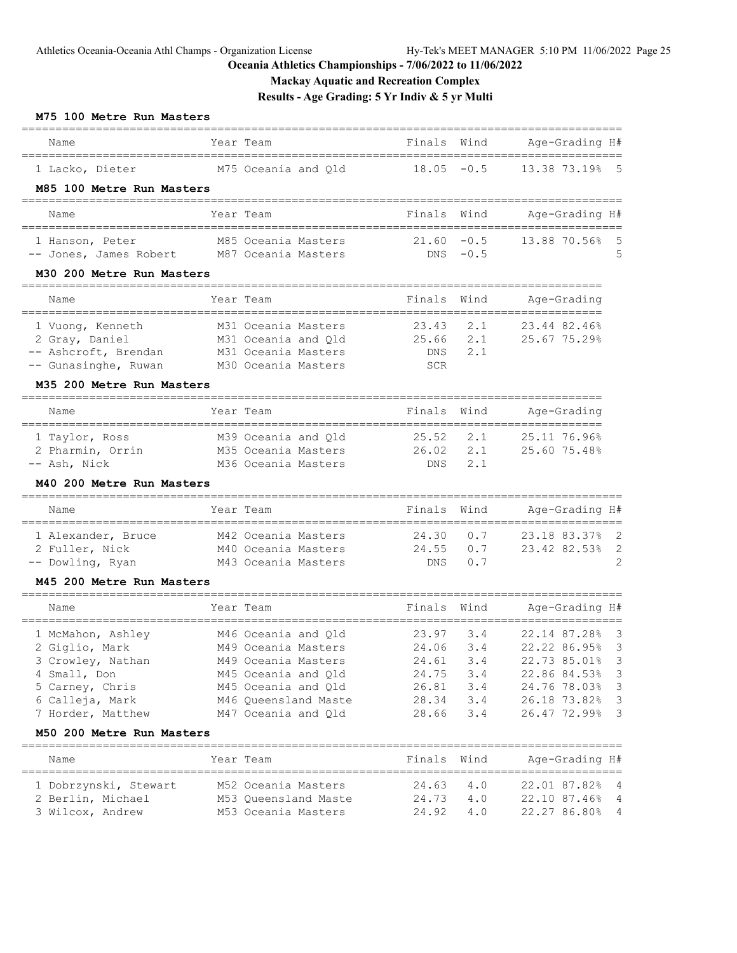**Mackay Aquatic and Recreation Complex**

**Results - Age Grading: 5 Yr Indiv & 5 yr Multi**

#### **M75 100 Metre Run Masters**

| Name                      | Year Team           | Finals Wind   | Age-Grading H# |
|---------------------------|---------------------|---------------|----------------|
| 1 Lacko, Dieter           | M75 Oceania and Old | $18.05 - 0.5$ | 13.38 73.19% 5 |
| M85 100 Metre Run Masters |                     |               |                |

# ========================================================================================= Name Year Team Finals Wind Age-Grading H# ========================================================================================= 1 Hanson, Peter M85 Oceania Masters 21.60 -0.5 13.88 70.56% 5 -- Jones, James Robert M87 Oceania Masters DNS -0.5 5

#### **M30 200 Metre Run Masters**

| Name                 |  | Year Team           | Finals Wind |         | Age-Grading  |  |
|----------------------|--|---------------------|-------------|---------|--------------|--|
| 1 Vuong, Kenneth     |  | M31 Oceania Masters | 23.43 2.1   |         | 23.44 82.46% |  |
| 2 Gray, Daniel       |  | M31 Oceania and Old | 25.66       | 2.1     | 25.67 75.29% |  |
| -- Ashcroft, Brendan |  | M31 Oceania Masters |             | DNS 2.1 |              |  |
| -- Gunasinghe, Ruwan |  | M30 Oceania Masters | <b>SCR</b>  |         |              |  |

### **M35 200 Metre Run Masters**

| Name             | Year Team           | Finals Wind       |         | Age-Grading  |
|------------------|---------------------|-------------------|---------|--------------|
| 1 Taylor, Ross   | M39 Oceania and Old | $25.52 \quad 2.1$ |         | 25.11 76.96% |
| 2 Pharmin, Orrin | M35 Oceania Masters | 26.02             | 2.1     | 25.60 75.48% |
| -- Ash, Nick     | M36 Oceania Masters |                   | DNS 2.1 |              |

#### **M40 200 Metre Run Masters**

| Name               | Year Team           | Finals Wind      |         | Age-Grading H# |
|--------------------|---------------------|------------------|---------|----------------|
| 1 Alexander, Bruce | M42 Oceania Masters | $24.30\qquad0.7$ |         | 23.18 83.37% 2 |
| 2 Fuller, Nick     | M40 Oceania Masters | $24.55$ 0.7      |         | 23.42 82.53% 2 |
| -- Dowling, Ryan   | M43 Oceania Masters |                  | DNS 0.7 | -2             |

#### **M45 200 Metre Run Masters**

| Name              | Year Team            | Finals Wind |     | Age-Grading H# |  |
|-------------------|----------------------|-------------|-----|----------------|--|
| 1 McMahon, Ashley | M46 Oceania and Old  | 23.97 3.4   |     | 22.14 87.28% 3 |  |
| 2 Giglio, Mark    | M49 Oceania Masters  | 24.06       | 3.4 | 22.22 86.95% 3 |  |
| 3 Crowley, Nathan | M49 Oceania Masters  | 24.61       | 3.4 | 22.73 85.01% 3 |  |
| 4 Small, Don      | M45 Oceania and Old  | 24.75       | 3.4 | 22.86 84.53% 3 |  |
| 5 Carney, Chris   | M45 Oceania and Old  | 26.81       | 3.4 | 24.76 78.03% 3 |  |
| 6 Calleja, Mark   | M46 Oueensland Maste | 28.34       | 3.4 | 26.18 73.82% 3 |  |
| 7 Horder, Matthew | M47 Oceania and Old  | 28.66       | 3.4 | 26.47 72.99% 3 |  |
|                   |                      |             |     |                |  |

#### **M50 200 Metre Run Masters**

| Name                  | Year Team            | Finals Wind   |     | Age-Grading H# |
|-----------------------|----------------------|---------------|-----|----------------|
| 1 Dobrzynski, Stewart | M52 Oceania Masters  | $24.63$ $4.0$ |     | 22.01 87.82% 4 |
| 2 Berlin, Michael     | M53 Oueensland Maste | 24.73         | 4.0 | 22.10 87.46% 4 |
| 3 Wilcox, Andrew      | M53 Oceania Masters  | 24.92 4.0     |     | 22.27 86.80% 4 |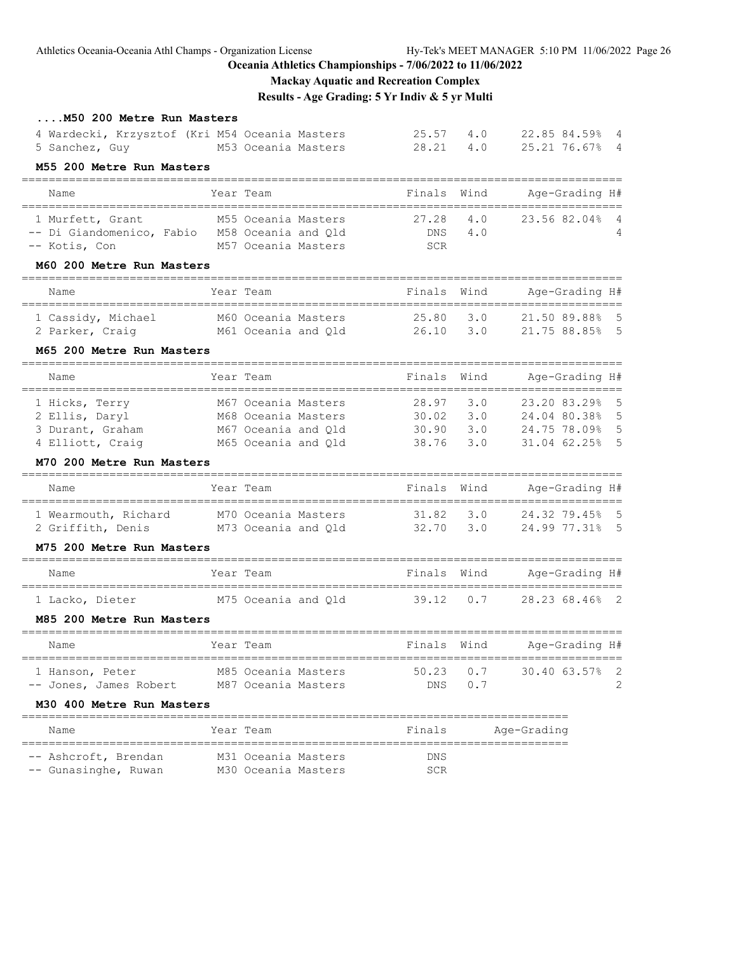# Athletics Oceania-Oceania Athl Champs - Organization License Hy-Tek's MEET MANAGER 5:10 PM 11/06/2022 Page 26

# **Oceania Athletics Championships - 7/06/2022 to 11/06/2022**

**Mackay Aquatic and Recreation Complex**

**Results - Age Grading: 5 Yr Indiv & 5 yr Multi**

| M50 200 Metre Run Masters                      |           |                     |                            |      |                                  |
|------------------------------------------------|-----------|---------------------|----------------------------|------|----------------------------------|
| 4 Wardecki, Krzysztof (Kri M54 Oceania Masters |           |                     | 25.57                      | 4.0  | 22.85 84.59% 4                   |
| 5 Sanchez, Guy 60 M53 Oceania Masters          |           |                     | 28.21                      | 4.0  | 25.21 76.67% 4                   |
| M55 200 Metre Run Masters                      |           |                     |                            |      |                                  |
| Name                                           |           | Year Team           | Finals                     | Wind | Age-Grading H#                   |
| 1 Murfett, Grant                               |           | M55 Oceania Masters | 27.28                      | 4.0  | 23.56 82.04%<br>$\overline{4}$   |
| -- Di Giandomenico, Fabio M58 Oceania and Qld  |           |                     | DNS                        | 4.0  |                                  |
| -- Kotis, Con                                  |           | M57 Oceania Masters | SCR                        |      |                                  |
| M60 200 Metre Run Masters                      |           |                     |                            |      |                                  |
| Name                                           |           | Year Team           | Finals                     | Wind | Age-Grading H#                   |
| 1 Cassidy, Michael                             |           | M60 Oceania Masters | 25.80                      | 3.0  | 21.50 89.88% 5                   |
| 2 Parker, Craig                                |           | M61 Oceania and Qld | 26.10                      | 3.0  | 21.75 88.85% 5                   |
| M65 200 Metre Run Masters                      |           |                     |                            |      |                                  |
| Name                                           |           | Year Team           | Finals                     | Wind | Age-Grading H#                   |
| 1 Hicks, Terry                                 |           | M67 Oceania Masters | 28.97                      | 3.0  | - 5<br>23.20 83.29%              |
| 2 Ellis, Daryl                                 |           | M68 Oceania Masters | 30.02                      | 3.0  | $-5$<br>24.04 80.38%             |
| 3 Durant, Graham                               |           | M67 Oceania and Old | 30.90<br>38.76             | 3.0  | 24.75 78.09% 5<br>31.04 62.25% 5 |
| 4 Elliott, Craig<br>M70 200 Metre Run Masters  |           | M65 Oceania and Qld |                            | 3.0  |                                  |
|                                                |           |                     | ,,,,,,,,,,,,,,,,,,,,,,,,,, |      |                                  |
| Name                                           |           | Year Team           | Finals Wind                |      | Aqe-Grading H#                   |
| 1 Wearmouth, Richard M70 Oceania Masters       |           |                     | 31.82                      | 3.0  | 24.32 79.45% 5                   |
| 2 Griffith, Denis M73 Oceania and Qld          |           |                     | 32.70                      | 3.0  | 24.99 77.31% 5                   |
| M75 200 Metre Run Masters                      |           |                     |                            |      |                                  |
| Name                                           |           | Year Team           | Finals Wind                |      | Age-Grading H#                   |
| 1 Lacko, Dieter                                |           | M75 Oceania and Qld | 39.12                      | 0.7  | 28.23 68.46% 2                   |
| M85 200 Metre Run Masters                      |           |                     |                            |      |                                  |
| Name                                           | Year Team |                     | Finals Wind                |      | Age-Grading H#                   |
| 1 Hanson, Peter                                |           | M85 Oceania Masters | 50.23                      | 0.7  | 30.40 63.57%<br>2                |
| -- Jones, James Robert M87 Oceania Masters     |           |                     | DNS                        | 0.7  | 2                                |
| M30 400 Metre Run Masters                      |           |                     |                            |      |                                  |
| Name                                           |           | Year Team           | Finals                     |      | Age-Grading                      |
| -- Ashcroft, Brendan M31 Oceania Masters       |           |                     | DNS                        |      |                                  |
| -- Gunasinghe, Ruwan M30 Oceania Masters       |           |                     | SCR                        |      |                                  |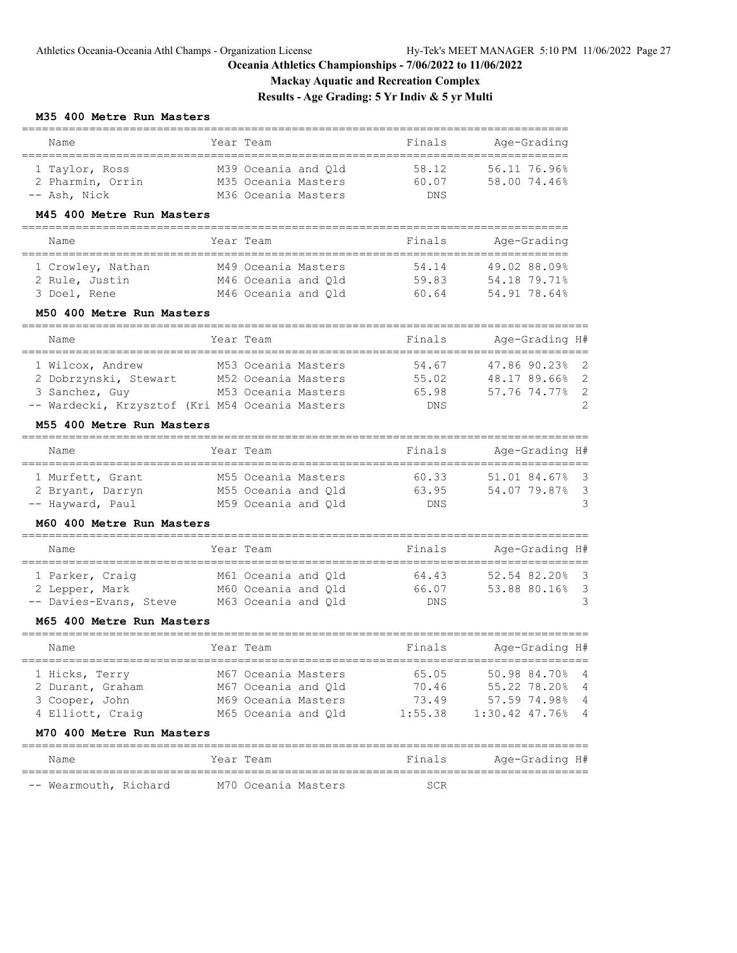# **Mackay Aquatic and Recreation Complex**

**Results - Age Grading: 5 Yr Indiv & 5 yr Multi**

#### **M35 400 Metre Run Masters**

| Name             | Year Team           | Finals     | Age-Grading  |
|------------------|---------------------|------------|--------------|
| 1 Taylor, Ross   | M39 Oceania and Old | 58.12      | 56.11 76.96% |
| 2 Pharmin, Orrin | M35 Oceania Masters | 60.07      | 58.00 74.46% |
| -- Ash. Nick     | M36 Oceania Masters | <b>DNS</b> |              |

### **M45 400 Metre Run Masters**

| Year Team           | Finals | Age-Grading  |
|---------------------|--------|--------------|
|                     |        |              |
| M49 Oceania Masters | 54.14  | 49.02 88.09% |
| M46 Oceania and Old | 59.83  | 54.18 79.71% |
| M46 Oceania and Old | 60.64  | 54.91 78.64% |
|                     |        |              |

### **M50 400 Metre Run Masters**

| Name                                            | Year Team           | Finals     | Age-Grading H# |
|-------------------------------------------------|---------------------|------------|----------------|
|                                                 |                     |            |                |
| 1 Wilcox, Andrew                                | M53 Oceania Masters | 54.67      | 47.86 90.23% 2 |
| 2 Dobrzynski, Stewart                           | M52 Oceania Masters | 55.02      | 48.17 89.66% 2 |
| 3 Sanchez, Guy                                  | M53 Oceania Masters | 65.98      | 57.76 74.77% 2 |
| -- Wardecki, Krzysztof (Kri M54 Oceania Masters |                     | <b>DNS</b> | $\mathcal{P}$  |

#### **M55 400 Metre Run Masters**

| Name |                  | Year Team           | Finals | Age-Grading H# |
|------|------------------|---------------------|--------|----------------|
|      |                  |                     |        |                |
|      | 1 Murfett, Grant | M55 Oceania Masters | 60.33  | 51.01 84.67% 3 |
|      | 2 Bryant, Darryn | M55 Oceania and Old | 63.95  | 54.07 79.87% 3 |
|      | -- Hayward, Paul | M59 Oceania and Old | DNS    |                |

### **M60 400 Metre Run Masters**

| Name            |                        | Year Team |                     | Finals | Age-Grading H# |   |
|-----------------|------------------------|-----------|---------------------|--------|----------------|---|
| 1 Parker, Craig |                        |           | M61 Oceania and Old | 64.43  | 52.54 82.20% 3 |   |
| 2 Lepper, Mark  |                        |           | M60 Oceania and Old | 66.07  | 53.88 80.16% 3 |   |
|                 | -- Davies-Evans, Steve |           | M63 Oceania and Old | DNS    |                | 3 |

### **M65 400 Metre Run Masters**

| Name             | Year Team           | Finals  | Age-Grading H#     |
|------------------|---------------------|---------|--------------------|
| 1 Hicks, Terry   | M67 Oceania Masters | 65.05   | 50.98 84.70% 4     |
| 2 Durant, Graham | M67 Oceania and Old | 70.46   | 55.22 78.20% 4     |
| 3 Cooper, John   | M69 Oceania Masters | 73.49   | 57.59 74.98% 4     |
| 4 Elliott, Craig | M65 Oceania and Old | 1:55.38 | $1:30.42$ 47.76% 4 |
|                  |                     |         |                    |

# **M70 400 Metre Run Masters**

| Name                  |  | Year Team           |  | Finals | Age-Grading H# |  |
|-----------------------|--|---------------------|--|--------|----------------|--|
| -- Wearmouth, Richard |  | M70 Oceania Masters |  | SCR.   |                |  |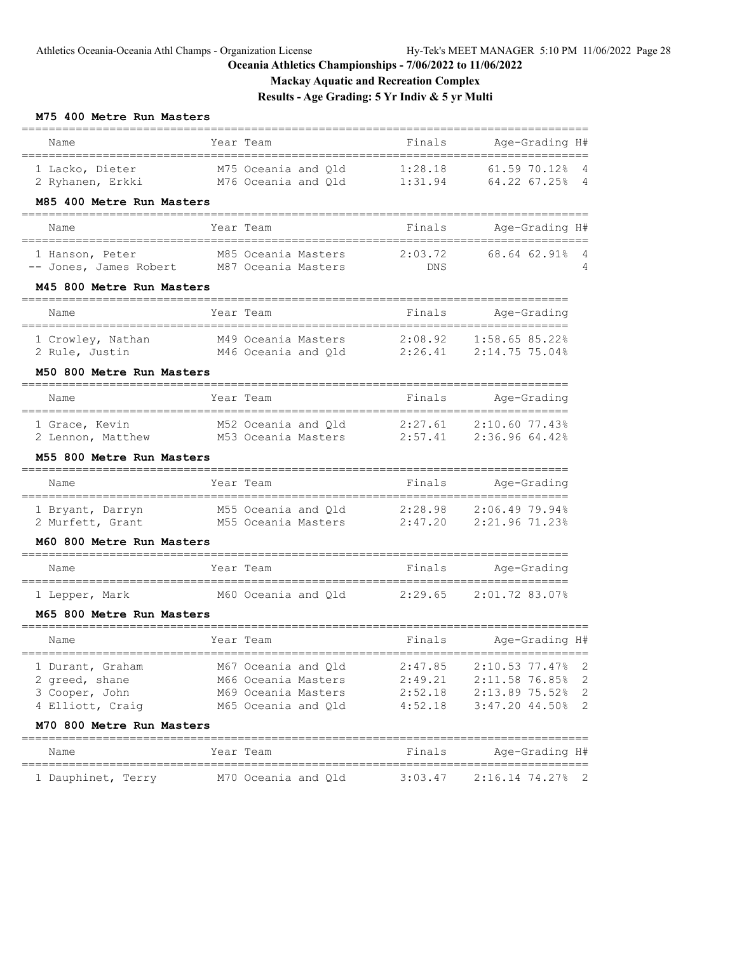**Mackay Aquatic and Recreation Complex**

**Results - Age Grading: 5 Yr Indiv & 5 yr Multi**

### **M75 400 Metre Run Masters**

| Name                                                                                                  | Year Team                                                                                                                 | Finals                                   | Age-Grading H#<br>:=================                                                                    |
|-------------------------------------------------------------------------------------------------------|---------------------------------------------------------------------------------------------------------------------------|------------------------------------------|---------------------------------------------------------------------------------------------------------|
| 1 Lacko, Dieter<br>M85 400 Metre Run Masters                                                          | M75 Oceania and Qld<br>2 Ryhanen, Erkki M76 Oceania and Q1d 1:31.94 64.22 67.25%                                          | 1:28.18                                  | 61.59 70.12%<br>4<br>$\overline{4}$                                                                     |
| Name                                                                                                  | Year Team                                                                                                                 | Finals                                   | Age-Grading H#                                                                                          |
| 1 Hanson, Peter<br>M45 800 Metre Run Masters                                                          | M85 Oceania Masters<br>-- Jones, James Robert M87 Oceania Masters                                                         | 2:03.72<br>DNS                           | ====================<br>68.64 62.91%<br>4<br>4                                                          |
| Name                                                                                                  | ============<br>Year Team                                                                                                 | Finals                                   | Age-Grading                                                                                             |
| M50 800 Metre Run Masters                                                                             | 1 Crowley, Nathan M49 Oceania Masters 2:08.92 1:58.65 85.22%<br>2 Rule, Justin M46 Oceania and Q1d 2:26.41 2:14.75 75.04% |                                          |                                                                                                         |
| Name                                                                                                  | Year Team                                                                                                                 |                                          | Finals Age-Grading                                                                                      |
| 1 Grace, Kevin<br>M55 800 Metre Run Masters                                                           | M52 Oceania and Qld 2:27.61<br>2 Lennon, Matthew M53 Oceania Masters 2:57.41 2:36.96 64.42%                               |                                          | 2:10.60 77.43%                                                                                          |
| Name                                                                                                  | Year Team                                                                                                                 | Finals                                   | Age-Grading                                                                                             |
| 2 Murfett, Grant<br>M60 800 Metre Run Masters                                                         | 1 Bryant, Darryn M55 Oceania and Q1d 2:28.98 2:06.49 79.94%                                                               |                                          |                                                                                                         |
| Name                                                                                                  | Year Team                                                                                                                 | Finals                                   | Age-Grading                                                                                             |
| 1 Lepper, Mark<br>M65 800 Metre Run Masters                                                           | M60 Oceania and Qld 2:29.65                                                                                               |                                          | 2:01.72 83.07%                                                                                          |
| Name                                                                                                  | Year Team                                                                                                                 | Finals                                   | Age-Grading H#                                                                                          |
| 1 Durant, Graham<br>2 greed, shane<br>3 Cooper, John<br>4 Elliott, Craig<br>M70 800 Metre Run Masters | M67 Oceania and Qld<br>M66 Oceania Masters<br>M69 Oceania Masters<br>M65 Oceania and Qld                                  | 2:47.85<br>2:49.21<br>2:52.18<br>4:52.18 | 2:10.53 77.47%<br>$\overline{c}$<br>2:11.58 76.85%<br>2<br>2:13.89 75.52%<br>2<br>$3:47.20$ 44.50%<br>2 |
| Name                                                                                                  | Year Team                                                                                                                 | Finals                                   | Age-Grading H#                                                                                          |
| 1 Dauphinet, Terry                                                                                    | M70 Oceania and Qld                                                                                                       | 3:03.47                                  | 2:16.14 74.27%<br>2                                                                                     |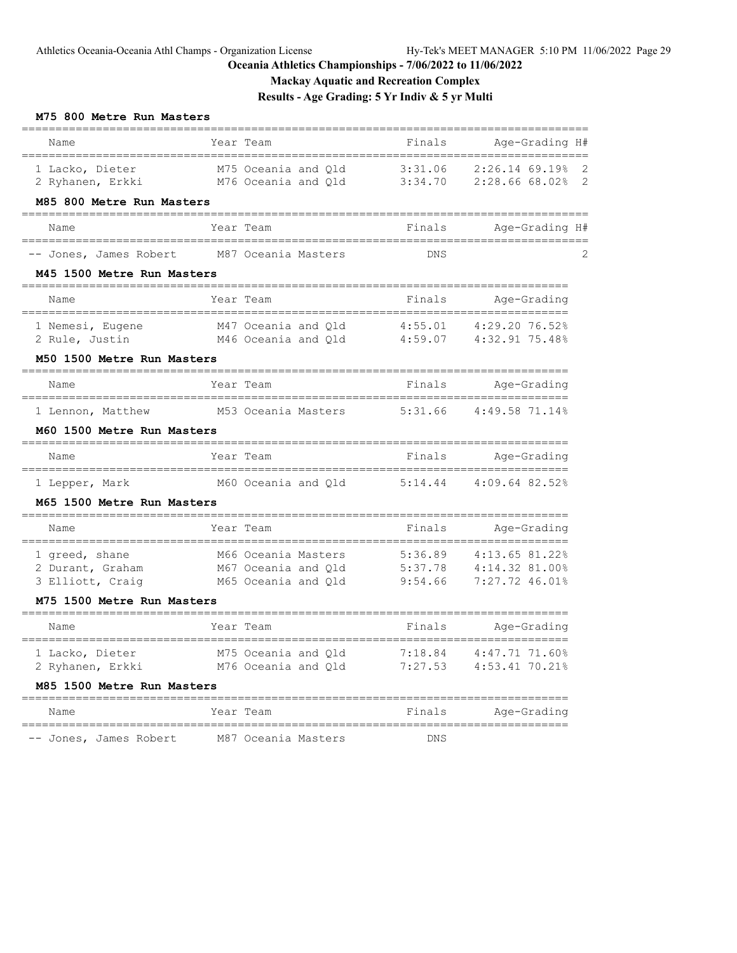**Mackay Aquatic and Recreation Complex**

**Results - Age Grading: 5 Yr Indiv & 5 yr Multi**

### **M75 800 Metre Run Masters**

| Name                                          |                  | Year Team                                  | Finals                            | Age-Grading H#                   |                            |
|-----------------------------------------------|------------------|--------------------------------------------|-----------------------------------|----------------------------------|----------------------------|
| 1 Lacko, Dieter<br>2 Ryhanen, Erkki           |                  | M75 Oceania and Old<br>M76 Oceania and Qld | 3:31.06<br>3:34.70                | 2:26.14 69.19%<br>2:28.66 68.02% | $\overline{\phantom{0}}^2$ |
| M85 800 Metre Run Masters<br>________________ |                  |                                            |                                   |                                  |                            |
| Name<br>================                      | ________________ | Year Team                                  | Finals                            | Age-Grading H#                   |                            |
| -- Jones, James Robert                        |                  | M87 Oceania Masters                        | <b>DNS</b>                        |                                  | 2                          |
| M45 1500 Metre Run Masters                    |                  |                                            |                                   |                                  |                            |
| Name<br>-----------------------------         |                  | Year Team<br>,,,,,,,,,,,,,,,,,,,,,,,       | Finals                            | Age-Grading<br>==========        |                            |
| 1 Nemesi, Eugene                              |                  | M47 Oceania and Qld                        | 4:55.01                           | 4:29.20 76.52%                   |                            |
| 2 Rule, Justin                                |                  | M46 Oceania and Old                        | 4:59.07                           | 4:32.91 75.48%                   |                            |
| M50 1500 Metre Run Masters                    |                  |                                            |                                   |                                  |                            |
| Name                                          |                  | Year Team                                  | Finals                            | Age-Grading                      |                            |
| 1 Lennon, Matthew                             |                  | M53 Oceania Masters                        | 5:31.66                           | 4:49.5871.14%                    |                            |
| M60 1500 Metre Run Masters                    |                  |                                            |                                   |                                  |                            |
| Name                                          |                  | Year Team                                  | Finals                            | Age-Grading                      |                            |
| 1 Lepper, Mark                                |                  | M60 Oceania and Qld                        | 5:14.44                           | 4:09.64 82.52%                   |                            |
| M65 1500 Metre Run Masters                    |                  |                                            | ===========                       |                                  |                            |
| Name                                          |                  | Year Team                                  | Finals                            | Age-Grading                      |                            |
| 1 greed, shane                                |                  | M66 Oceania Masters                        | 5:36.89                           | 4:13.65 81.22%                   |                            |
| 2 Durant, Graham                              |                  | M67 Oceania and Qld                        | 5:37.78                           | 4:14.32 81.00%                   |                            |
| 3 Elliott, Craig                              |                  | M65 Oceania and Qld                        | 9:54.66                           | 7:27.72 46.01%                   |                            |
| M75 1500 Metre Run Masters                    |                  |                                            | -------------                     |                                  |                            |
| Name                                          |                  | Year Team                                  | Finals                            | Age-Grading                      |                            |
| 1 Lacko, Dieter                               |                  | M75 Oceania and Qld                        | 7:18.84                           | 4:47.71 71.60%                   |                            |
| 2 Ryhanen, Erkki                              |                  | M76 Oceania and Qld                        | 7:27.53                           | 4:53.41 70.21%                   |                            |
| M85 1500 Metre Run Masters                    |                  |                                            | ================================= |                                  |                            |
| Name                                          |                  | Year Team                                  | Finals                            | Age-Grading                      |                            |
| -- Jones, James Robert                        |                  | M87 Oceania Masters                        | <b>DNS</b>                        |                                  |                            |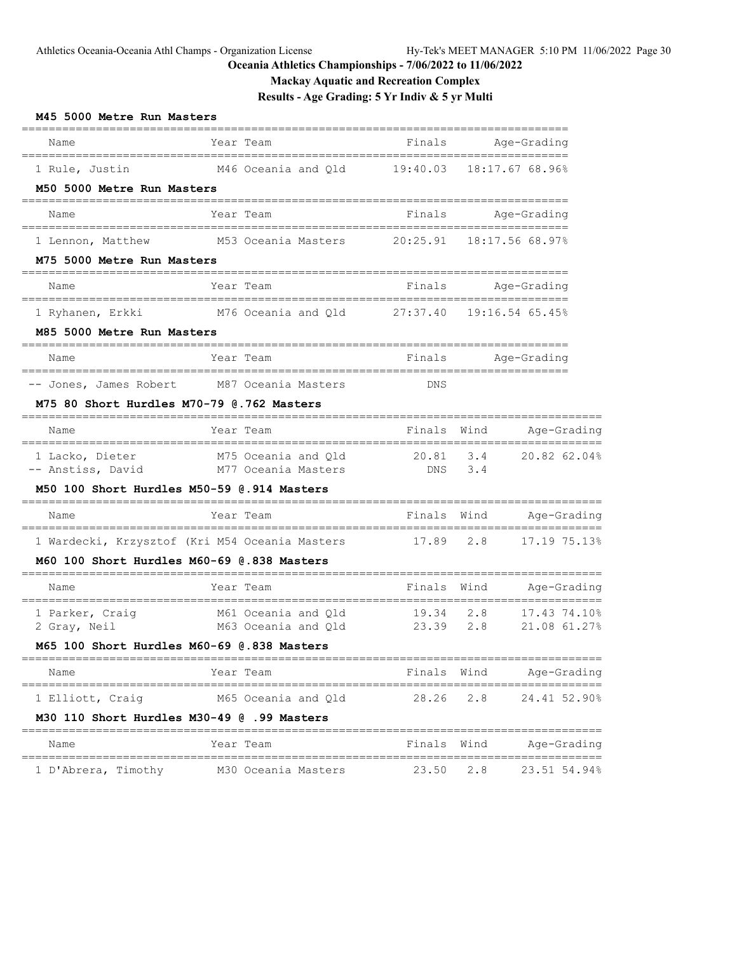**Mackay Aquatic and Recreation Complex**

# **Results - Age Grading: 5 Yr Indiv & 5 yr Multi**

| M45 5000 Metre Run Masters                                     |                                                                 |                          |                                         |                                                 |
|----------------------------------------------------------------|-----------------------------------------------------------------|--------------------------|-----------------------------------------|-------------------------------------------------|
| Name                                                           | Year Team                                                       | Finals                   | Age-Grading<br>======================   |                                                 |
| 1 Rule, Justin<br>M50 5000 Metre Run Masters                   | M46 Oceania and Q1d 19:40.03                                    |                          | 18:17.67 68.96%                         |                                                 |
| _____________________<br>Name                                  | Year Team                                                       |                          | Finals Age-Grading                      |                                                 |
| 1 Lennon, Matthew<br>M75 5000 Metre Run Masters                | M53 Oceania Masters                                             | 20:25.91                 | ====================<br>18:17.56 68.97% |                                                 |
| Name                                                           | Year Team                                                       |                          | Finals Age-Grading                      |                                                 |
| 1 Ryhanen, Erkki<br>M85 5000 Metre Run Masters                 | M76 Oceania and Qld 27:37.40                                    |                          | 19:16.54 65.45%                         |                                                 |
| Name                                                           | Year Team                                                       |                          | Finals Age-Grading                      |                                                 |
| M75 80 Short Hurdles M70-79 @.762 Masters                      | -- Jones, James Robert M87 Oceania Masters                      | DNS                      |                                         |                                                 |
| Name                                                           | Year Team                                                       | Finals                   | Wind                                    | Age-Grading                                     |
| 1 Lacko, Dieter<br>-- Anstiss, David                           | M75 Oceania and Q1d<br>M77 Oceania Masters                      | 20.81<br>DNS             | 3.4<br>3.4                              | 20.82 62.04%                                    |
| M50 100 Short Hurdles M50-59 @.914 Masters                     |                                                                 |                          |                                         |                                                 |
| Name                                                           | Year Team<br>________________________                           | Finals                   | Wind                                    | Age-Grading                                     |
| M60 100 Short Hurdles M60-69 @.838 Masters                     | 1 Wardecki, Krzysztof (Kri M54 Oceania Masters                  | 17.89                    | 2.8                                     | 17.19 75.13%                                    |
| Name                                                           | Year Team                                                       | Finals                   |                                         | Wind Age-Grading                                |
|                                                                | 1 Parker, Craig and Q1d<br>2 Gray, Neil and M63 Oceania and Q1d | ======<br>19.34<br>23.39 | 2.8<br>2.8                              | ===============<br>17.43 74.10%<br>21.08 61.27% |
| M65 100 Short Hurdles M60-69 @.838 Masters                     |                                                                 |                          |                                         |                                                 |
| Name                                                           | Year Team                                                       |                          | Finals Wind                             | Age-Grading                                     |
| 1 Elliott, Craiq<br>M30 110 Short Hurdles M30-49 @ .99 Masters | M65 Oceania and Qld                                             | 28.26                    | 2.8                                     | 24.41 52.90%                                    |
| Name                                                           | Year Team                                                       | Finals Wind              |                                         | Age-Grading                                     |
| 1 D'Abrera, Timothy                                            | M30 Oceania Masters                                             | 23.50                    | 2.8                                     | 23.51 54.94%                                    |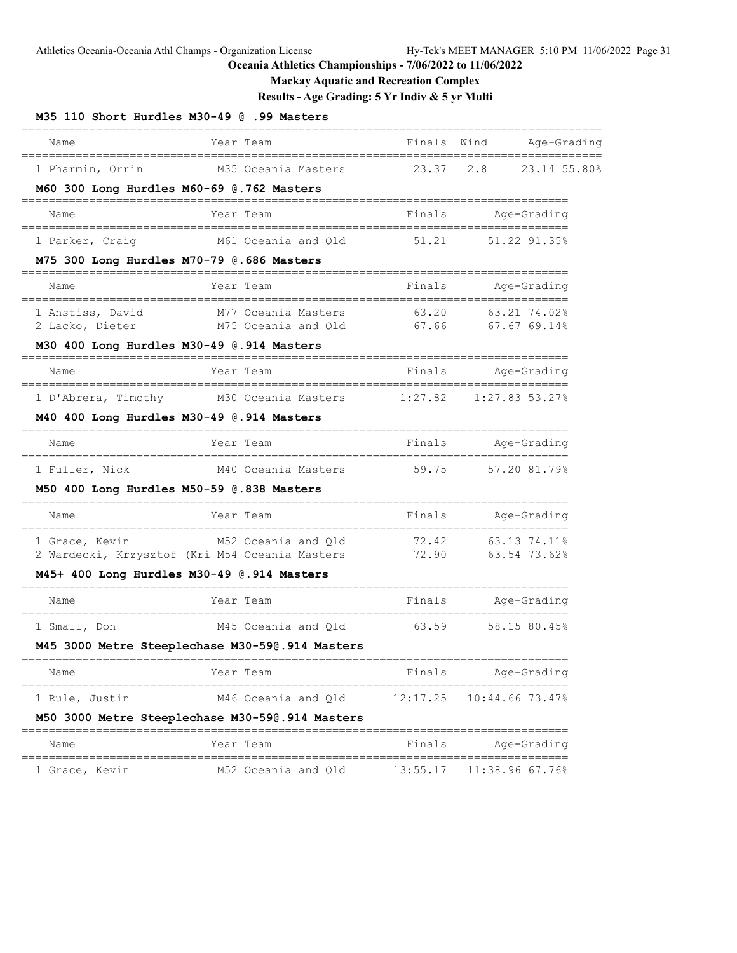**Mackay Aquatic and Recreation Complex**

**Results - Age Grading: 5 Yr Indiv & 5 yr Multi**

| M35 110 Short Hurdles M30-49 @ .99 Masters                       |                    |                                            |                |                              |              |
|------------------------------------------------------------------|--------------------|--------------------------------------------|----------------|------------------------------|--------------|
| Name                                                             | ================== | Year Team                                  | Finals Wind    |                              | Age-Grading  |
| 1 Pharmin, Orrin<br>M60 300 Long Hurdles M60-69 @.762 Masters    |                    | M35 Oceania Masters                        | 23.37          | 2.8                          | 23.14 55.80% |
| Name                                                             |                    | Year Team                                  | Finals         | Age-Grading                  |              |
| 1 Parker, Craig                                                  |                    | M61 Oceania and Qld                        | 51.21          | 51.22 91.35%                 |              |
| M75 300 Long Hurdles M70-79 @.686 Masters                        |                    | ==========                                 | ===========    |                              |              |
| Name                                                             |                    | Year Team                                  | Finals         | Age-Grading                  |              |
| 1 Anstiss, David<br>2 Lacko, Dieter                              |                    | M77 Oceania Masters<br>M75 Oceania and Qld | 63.20<br>67.66 | 63.21 74.02%<br>67.6769.14%  |              |
| M30 400 Long Hurdles M30-49 @.914 Masters                        |                    |                                            |                |                              |              |
| Name                                                             |                    | Year Team                                  | Finals         | Age-Grading                  |              |
| 1 D'Abrera, Timothy<br>M40 400 Long Hurdles M30-49 @.914 Masters |                    | M30 Oceania Masters                        | 1:27.82        | 1:27.83 53.27%               |              |
|                                                                  |                    |                                            |                |                              |              |
| Name                                                             |                    | Year Team                                  | Finals         | Age-Grading                  |              |
| 1 Fuller, Nick<br>M50 400 Long Hurdles M50-59 @.838 Masters      |                    | M40 Oceania Masters                        | 59.75          | 57.20 81.79%                 |              |
| Name                                                             |                    | Year Team                                  | Finals         | Age-Grading                  |              |
| 1 Grace, Kevin<br>2 Wardecki, Krzysztof (Kri M54 Oceania Masters |                    | M52 Oceania and Qld                        | 72.42<br>72.90 | 63.13 74.11%<br>63.54 73.62% |              |
| $M45+$ 400 Long Hurdles $M30-49$ @.914 Masters                   |                    |                                            |                |                              |              |
| Name                                                             |                    | Year Team                                  | Finals         | Age-Grading                  |              |
| 1 Small, Don                                                     |                    | M45 Oceania and Qld                        | 63.59          | 58.15 80.45%                 |              |
| M45 3000 Metre Steeplechase M30-59@.914 Masters                  |                    |                                            |                |                              |              |
| Name                                                             |                    | Year Team                                  | Finals         | Age-Grading                  |              |
| 1 Rule, Justin                                                   |                    | M46 Oceania and Qld                        | 12:17.25       | 10:44.66 73.47%              |              |
| M50 3000 Metre Steeplechase M30-590.914 Masters                  |                    |                                            |                |                              |              |
| Name                                                             |                    | Year Team                                  | Finals         | Age-Grading                  |              |
| 1 Grace, Kevin                                                   |                    | M52 Oceania and Qld                        | 13:55.17       | 11:38.96 67.76%              |              |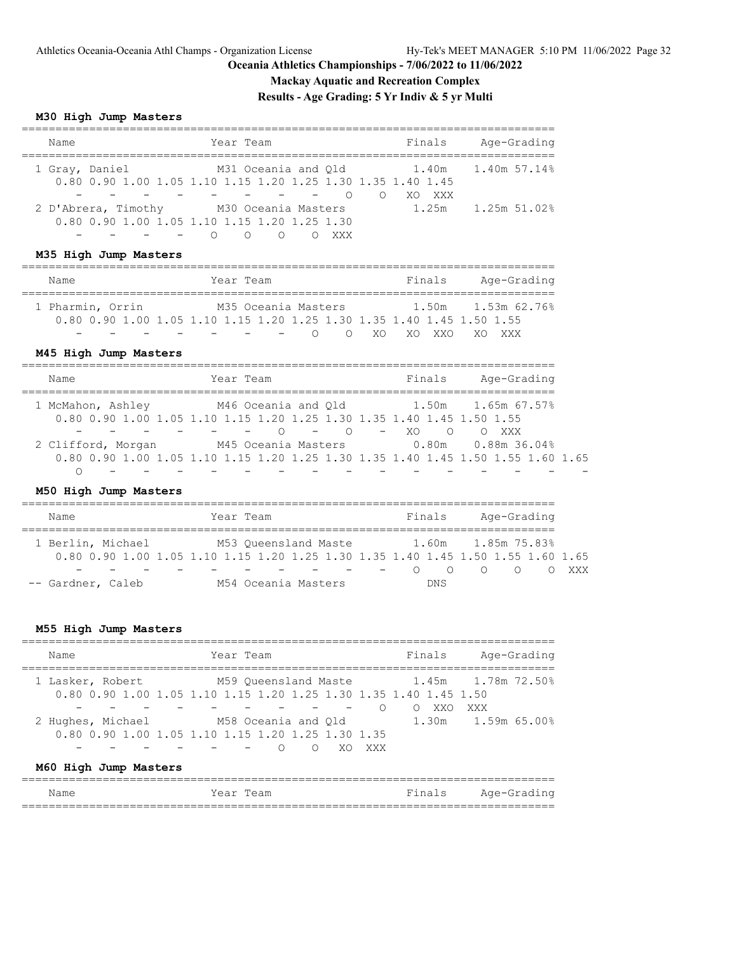**Mackay Aquatic and Recreation Complex**

**Results - Age Grading: 5 Yr Indiv & 5 yr Multi**

# **M30 High Jump Masters**

| Name                | Year Team                                                                          | Finals     | Age-Grading  |
|---------------------|------------------------------------------------------------------------------------|------------|--------------|
| 1 Gray, Daniel      | M31 Oceania and Old<br>0.80 0.90 1.00 1.05 1.10 1.15 1.20 1.25 1.30 1.35 1.40 1.45 |            |              |
|                     |                                                                                    | XXX<br>XO. |              |
| 2 D'Abrera, Timothy | M30 Oceania Masters                                                                | 1.25m      | 1.25m 51.02% |
|                     | 0.80 0.90 1.00 1.05 1.10 1.15 1.20 1.25 1.30                                       |            |              |
|                     | XXX<br>$\cap$                                                                      |            |              |

### **M35 High Jump Masters**

| Name                                                                  | Year Team |                     |        |             | Finals | Age-Grading |  |
|-----------------------------------------------------------------------|-----------|---------------------|--------|-------------|--------|-------------|--|
|                                                                       |           |                     |        |             |        |             |  |
| 1 Pharmin, Orrin                                                      |           | M35 Oceania Masters |        |             |        |             |  |
| 0.80 0.90 1.00 1.05 1.10 1.15 1.20 1.25 1.30 1.35 1.40 1.45 1.50 1.55 |           |                     |        |             |        |             |  |
|                                                                       |           |                     | $\cap$ | O XO XO XXO |        | XV XXX      |  |

### **M45 High Jump Masters**

| Name               | Year Team                                                                       | Finals     | Age-Grading        |
|--------------------|---------------------------------------------------------------------------------|------------|--------------------|
| 1 McMahon, Ashley  | M46 Oceania and Old                                                             |            | 1.50m 1.65m 67.57% |
|                    | 0.80 0.90 1.00 1.05 1.10 1.15 1.20 1.25 1.30 1.35 1.40 1.45 1.50 1.55           |            |                    |
|                    | $\cap$<br>$\cap$<br><b>Contract Contract Contract</b>                           | $- X \cap$ | $\circ$ 0<br>XXX   |
| 2 Clifford, Morgan | M45 Oceania Masters                                                             |            | 0.80m 0.88m 36.04% |
|                    | 0.80 0.90 1.00 1.05 1.10 1.15 1.20 1.25 1.30 1.35 1.40 1.45 1.50 1.55 1.60 1.65 |            |                    |
|                    |                                                                                 |            |                    |

# **M50 High Jump Masters**

| Name              |  |  |  |  |  | Year Team                                                                                                           |  |  |                                        | Finals             | Age-Grading |       |
|-------------------|--|--|--|--|--|---------------------------------------------------------------------------------------------------------------------|--|--|----------------------------------------|--------------------|-------------|-------|
| 1 Berlin, Michael |  |  |  |  |  | M53 Oueensland Maste                                                                                                |  |  |                                        | 1.60m 1.85m 75.83% |             |       |
|                   |  |  |  |  |  | 0.80 0.90 1.00 1.05 1.10 1.15 1.20 1.25 1.30 1.35 1.40 1.45 1.50 1.55 1.60 1.65                                     |  |  |                                        |                    |             |       |
|                   |  |  |  |  |  | and the contract of the contract of the contract of the contract of the contract of the contract of the contract of |  |  | $\cap$<br>$\sim$ 100 $\sim$ 100 $\sim$ | $\cap$             |             | n xxx |
| -- Gardner, Caleb |  |  |  |  |  | M54 Oceania Masters                                                                                                 |  |  |                                        | DN S               |             |       |

# **M55 High Jump Masters**

| Name              | Year Team                                                        | Finals | Age-Grading        |
|-------------------|------------------------------------------------------------------|--------|--------------------|
| 1 Lasker, Robert  | M59 Oueensland Maste                                             |        |                    |
|                   | 0.80 0.90 1.00 1.05 1.10 1.15 1.20 1.25 1.30 1.35 1.40 1.45 1.50 |        |                    |
|                   |                                                                  | XXO    | XXX                |
| 2 Hughes, Michael | M58 Oceania and Old                                              |        | 1.30m 1.59m 65.00% |
|                   | 0.80 0.90 1.00 1.05 1.10 1.15 1.20 1.25 1.30 1.35                |        |                    |
|                   | XXX                                                              |        |                    |

# **M60 High Jump Masters**

| Name | Year Team | Finals Age-Grading |
|------|-----------|--------------------|
|      |           |                    |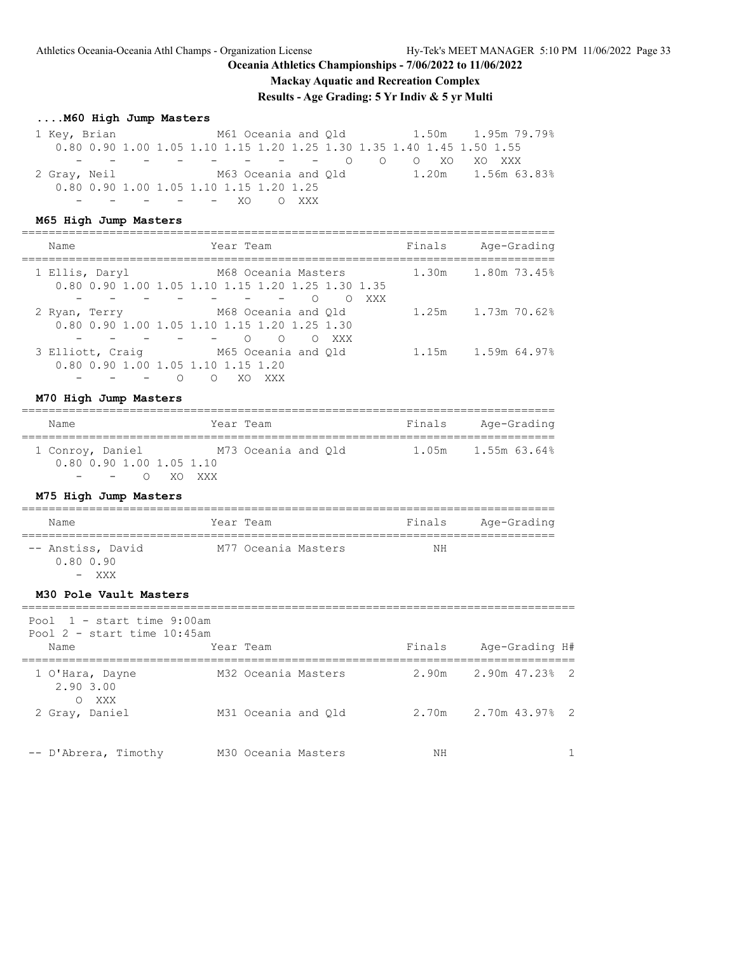**Mackay Aquatic and Recreation Complex**

**Results - Age Grading: 5 Yr Indiv & 5 yr Multi**

### **....M60 High Jump Masters**

 1 Key, Brian M61 Oceania and Qld 1.50m 1.95m 79.79% 0.80 0.90 1.00 1.05 1.10 1.15 1.20 1.25 1.30 1.35 1.40 1.45 1.50 1.55 - - - - - - - - O O O XO XO XXX 2 Gray, Neil M63 Oceania and Qld 1.20m 1.56m 63.83% 0.80 0.90 1.00 1.05 1.10 1.15 1.20 1.25 - - - - - XO O XXX

### **M65 High Jump Masters**

| Name                                                   | Year Team                                                                                | Finals | Age-Grading        |
|--------------------------------------------------------|------------------------------------------------------------------------------------------|--------|--------------------|
| 1 Ellis, Daryl                                         | M68 Oceania Masters<br>0.80 0.90 1.00 1.05 1.10 1.15 1.20 1.25 1.30 1.35<br>XXX<br>∩     | 1.30m  | 1.80m 73.45%       |
| 2 Ryan, Terry                                          | M68 Oceania and Old<br>0.80 0.90 1.00 1.05 1.10 1.15 1.20 1.25 1.30<br>$\bigcirc$<br>XXX |        | 1.25m 1.73m 70.62% |
| 3 Elliott, Craig<br>0.80 0.90 1.00 1.05 1.10 1.15 1.20 | M65 Oceania and Old<br>XXX                                                               | 1.15m  | 1.59m 64.97%       |

### **M70 High Jump Masters**

| Name                         | Year Team           | Finals<br>Age-Grading |
|------------------------------|---------------------|-----------------------|
| 1 Conroy, Daniel             | M73 Oceania and Old | 1.05m 1.55m 63.64%    |
| $0.80$ $0.90$ 1.00 1.05 1.10 |                     |                       |
| - - O XO XXX                 |                     |                       |

### **M75 High Jump Masters**

| Name                           | Year Team           | Finals | Age-Grading |
|--------------------------------|---------------------|--------|-------------|
| -- Anstiss, David<br>0.80 0.90 | M77 Oceania Masters | ΝH     |             |

- XXX

#### **M30 Pole Vault Masters**

| Pool $1 - start$ time 9:00am<br>Pool $2$ - start time $10:45$ am |                     |        |                      |
|------------------------------------------------------------------|---------------------|--------|----------------------|
| Name                                                             | Year Team           | Finals | Age-Grading H#       |
| 1 O'Hara, Dayne<br>2.90 3.00<br>O XXX                            | M32 Oceania Masters |        | 2.90m 2.90m 47.23% 2 |
| 2 Gray, Daniel                                                   | M31 Oceania and Old | 2.70m  | 2.70m 43.97% 2       |
| -- D'Abrera, Timothy                                             | M30 Oceania Masters | NΗ     |                      |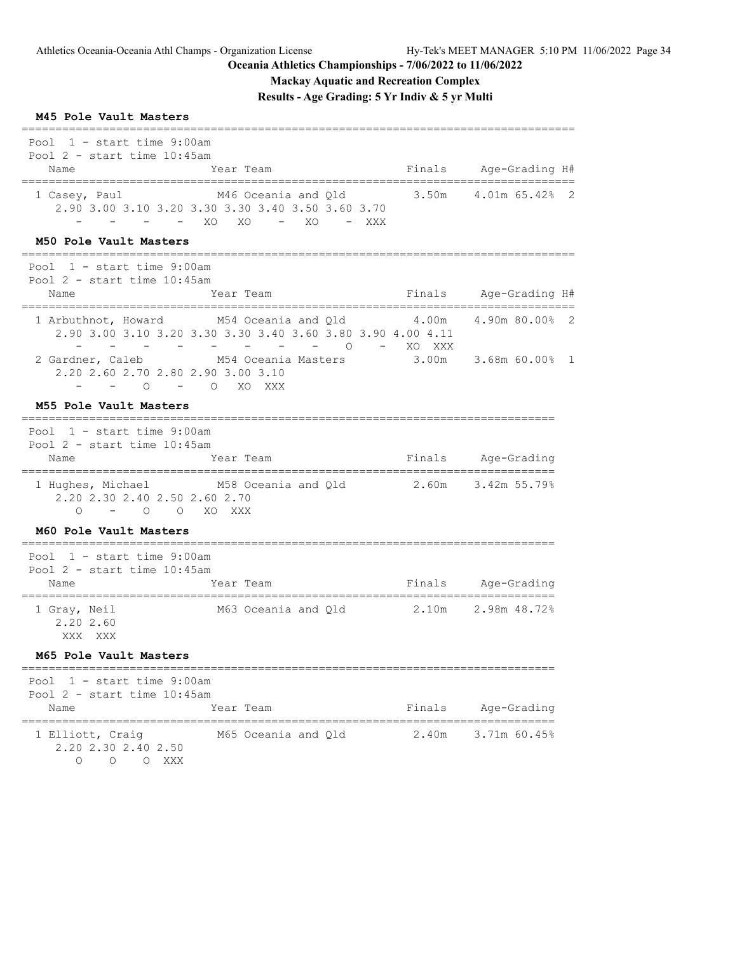# **Mackay Aquatic and Recreation Complex**

**Results - Age Grading: 5 Yr Indiv & 5 yr Multi**

| M45 Pole Vault Masters                                                                          |                                                                                                              |                   |                                            |              |
|-------------------------------------------------------------------------------------------------|--------------------------------------------------------------------------------------------------------------|-------------------|--------------------------------------------|--------------|
| Pool $1 - start$ time 9:00am<br>Pool $2$ - start time $10:45$ am<br>Name                        | Year Team                                                                                                    |                   | Finals Age-Grading H#<br>_________________ |              |
| 1 Casey, Paul                                                                                   | M46 Oceania and Qld<br>2.90 3.00 3.10 3.20 3.30 3.30 3.40 3.50 3.60 3.70<br>- - - - XO XO<br>$- XO$<br>– XXX |                   | 3.50m  4.01m  65.42%                       | $^{\circ}$ 2 |
| M50 Pole Vault Masters                                                                          |                                                                                                              |                   |                                            |              |
| Pool $1$ - start time 9:00am<br>Pool $2$ - start time $10:45$ am<br>Name                        | Year Team                                                                                                    | Finals            | Age-Grading H#                             |              |
| 1 Arbuthnot, Howard                                                                             | M54 Oceania and Qld<br>2.90 3.00 3.10 3.20 3.30 3.30 3.40 3.60 3.80 3.90 4.00 4.11<br>$\Omega$               | 4.00m<br>- xo xxx | =========<br>4.90m 80.00% 2                |              |
| 2 Gardner, Caleb<br>2.20 2.60 2.70 2.80 2.90 3.00 3.10<br>$\Omega$                              | M54 Oceania Masters<br>- O XO XXX                                                                            |                   | 3.00m 3.68m 60.00% 1                       |              |
| M55 Pole Vault Masters                                                                          |                                                                                                              |                   |                                            |              |
| ___________________________<br>Pool $1 - start$ time 9:00am<br>Pool $2$ - start time $10:45$ am | ----------------------------------                                                                           |                   |                                            |              |
| Name                                                                                            | Year Team                                                                                                    |                   | Finals Age-Grading                         |              |
| 2.20 2.30 2.40 2.50 2.60 2.70<br>$-$ 0 0 XO XXX<br>$\circ$                                      | 1 Hughes, Michael M58 Oceania and Q1d 2.60m 3.42m 55.79%                                                     |                   |                                            |              |
| M60 Pole Vault Masters                                                                          |                                                                                                              |                   |                                            |              |
| Pool $1$ - start time 9:00am<br>Pool $2$ - start time $10:45$ am                                |                                                                                                              |                   |                                            |              |
| Name                                                                                            | Year Team                                                                                                    |                   | Finals Age-Grading                         |              |
| 1 Gray, Neil<br>2.20 2.60<br>XXX XXX                                                            | M63 Oceania and Qld 2.10m                                                                                    |                   | 2.98m 48.72%                               |              |
| M65 Pole Vault Masters                                                                          |                                                                                                              |                   |                                            |              |
| 1 - start time 9:00am<br>Pool<br>Pool $2$ - start time $10:45$ am                               |                                                                                                              |                   |                                            |              |
| Name<br>======================                                                                  | Year Team                                                                                                    | Finals            | Age-Grading<br>==================          |              |
| 1 Elliott, Craig<br>2.20 2.30 2.40 2.50<br>Ω<br>$\circ$<br>O XXX                                | M65 Oceania and Qld                                                                                          | 2.40m             | 3.71m 60.45%                               |              |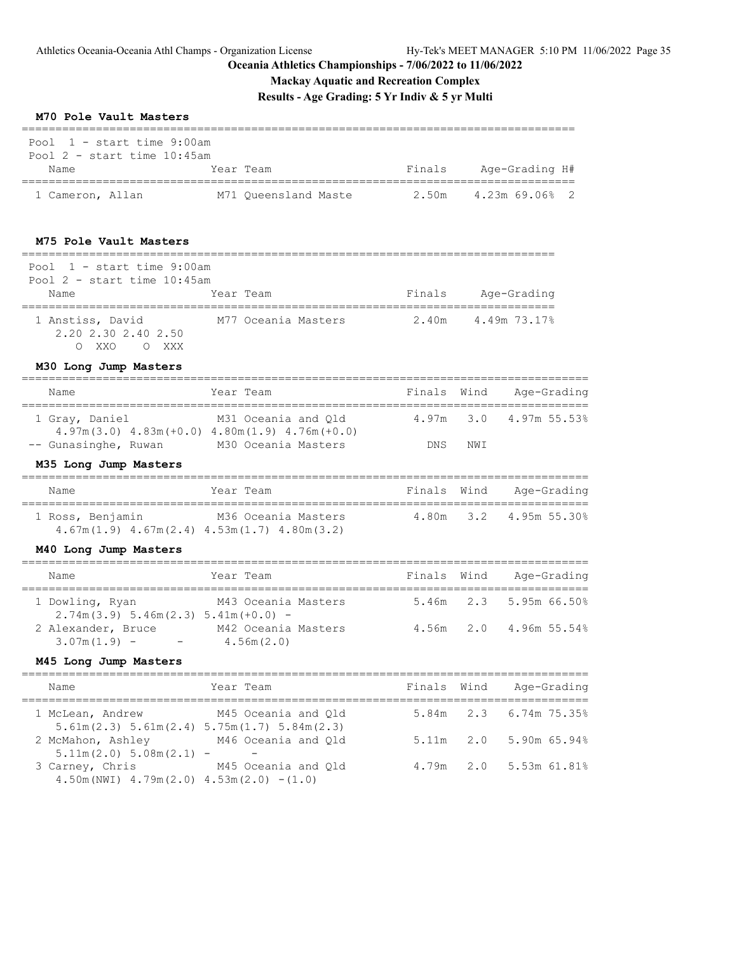### **Oceania Athletics Championships - 7/06/2022 to 11/06/2022**

| Oceania Athletics Championships - 7/06/2022 to 11/06/2022<br><b>Mackay Aquatic and Recreation Complex</b><br>Results - Age Grading: 5 Yr Indiv & 5 yr Multi<br>M70 Pole Vault Masters |                                                                                                     |             |      |                        |
|---------------------------------------------------------------------------------------------------------------------------------------------------------------------------------------|-----------------------------------------------------------------------------------------------------|-------------|------|------------------------|
| =========================<br>Pool $1$ - start time 9:00am<br>Pool $2$ - start time $10:45$ am                                                                                         |                                                                                                     |             |      |                        |
| Name                                                                                                                                                                                  | Year Team                                                                                           |             |      | Finals Age-Grading H#  |
|                                                                                                                                                                                       | 1 Cameron, Allan M71 Queensland Maste 2.50m 4.23m 69.06% 2                                          |             |      |                        |
| M75 Pole Vault Masters<br>=====================================                                                                                                                       |                                                                                                     |             |      |                        |
| Pool $1 - start$ time 9:00am<br>Pool $2$ - start time $10:45$ am<br>Name                                                                                                              | Year Team                                                                                           | Finals      |      | Age-Grading            |
| 2.20 2.30 2.40 2.50<br>O XXO O XXX                                                                                                                                                    | 1 Anstiss, David M77 Oceania Masters 2.40m 4.49m 73.17%                                             |             |      |                        |
| M30 Long Jump Masters                                                                                                                                                                 |                                                                                                     |             |      |                        |
| Name                                                                                                                                                                                  | Year Team                                                                                           | Finals      | Wind | Age-Grading            |
| 1 Gray, Daniel<br>-- Gunasinghe, Ruwan                                                                                                                                                | M31 Oceania and Qld<br>$4.97m(3.0)$ $4.83m(+0.0)$ $4.80m(1.9)$ $4.76m(+0.0)$<br>M30 Oceania Masters | DNS         | NWI  | 4.97m 3.0 4.97m 55.53% |
| M35 Long Jump Masters                                                                                                                                                                 |                                                                                                     |             |      |                        |
| Name                                                                                                                                                                                  | Year Team                                                                                           | Finals Wind |      | Age-Grading            |
| 1 Ross, Benjamin                                                                                                                                                                      | M36 Oceania Masters<br>$4.67m(1.9)$ $4.67m(2.4)$ $4.53m(1.7)$ $4.80m(3.2)$                          |             |      | 4.80m 3.2 4.95m 55.30% |
| M40 Long Jump Masters                                                                                                                                                                 |                                                                                                     |             |      |                        |
| Name                                                                                                                                                                                  | Year Team                                                                                           | Finals Wind |      | Age-Grading            |
|                                                                                                                                                                                       | 1 Dowling, Ryan M43 Oceania Masters                                                                 |             |      | 5.46m 2.3 5.95m 66.50% |
| $2.74m(3.9) 5.46m(2.3) 5.41m(+0.0) -$<br>2 Alexander, Bruce<br>$3.07m(1.9) - 4.56m(2.0)$                                                                                              | M42 Oceania Masters                                                                                 |             |      | 4.56m 2.0 4.96m 55.54% |
| M45 Long Jump Masters                                                                                                                                                                 |                                                                                                     |             |      |                        |
| Name                                                                                                                                                                                  | Year Team                                                                                           | Finals      | Wind | Age-Grading            |
| 1 McLean, Andrew                                                                                                                                                                      | M45 Oceania and Qld<br>$5.61m(2.3) 5.61m(2.4) 5.75m(1.7) 5.84m(2.3)$                                | 5.84m       | 2.3  | 6.74m 75.35%           |
| 2 McMahon, Ashley<br>$5.11m(2.0) 5.08m(2.1) -$                                                                                                                                        | M46 Oceania and Qld                                                                                 | 5.11m       |      | 2.0 5.90m 65.94%       |

3 Carney, Chris M45 Oceania and Qld 4.79m 2.0 5.53m 61.81%

4.50m(NWI) 4.79m(2.0) 4.53m(2.0) -(1.0)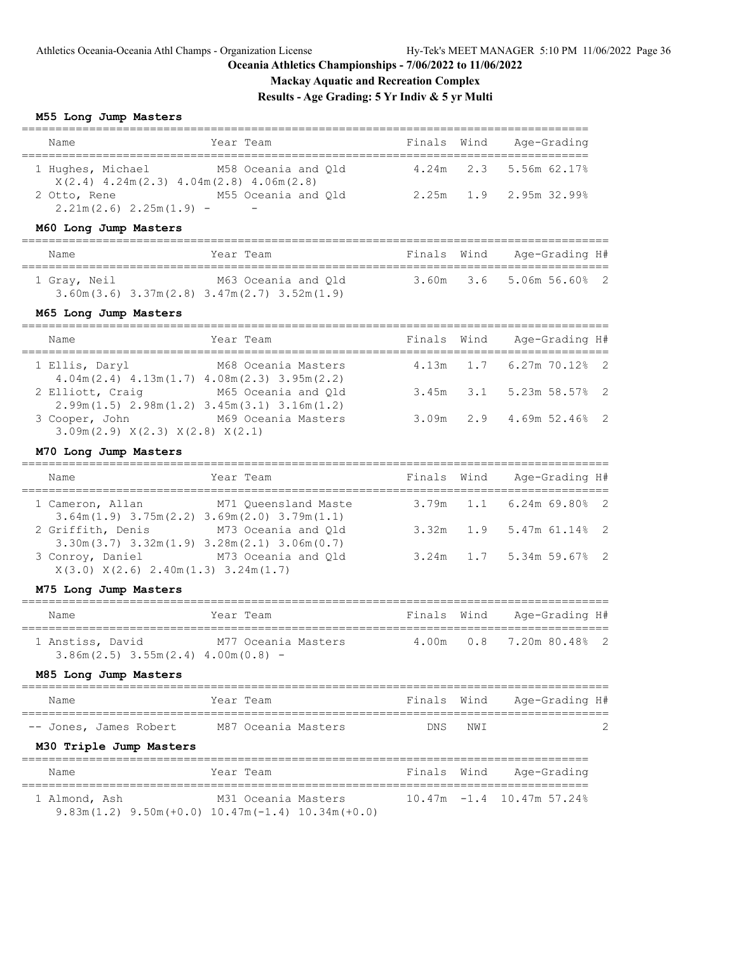**Mackay Aquatic and Recreation Complex**

**Results - Age Grading: 5 Yr Indiv & 5 yr Multi**

### **M55 Long Jump Masters**

| Name                                                               | Year Team                                                                                                                         | Finals | Wind | Age-Grading                  |                            |
|--------------------------------------------------------------------|-----------------------------------------------------------------------------------------------------------------------------------|--------|------|------------------------------|----------------------------|
| 1 Hughes, Michael                                                  | M58 Oceania and Qld                                                                                                               | 4.24m  | 2.3  | 5.56m 62.17%                 |                            |
| $2.21m(2.6)$ $2.25m(1.9)$ -                                        | $X(2.4)$ 4.24m(2.3) 4.04m(2.8) 4.06m(2.8)<br>2 Otto, Rene M55 Oceania and Q1d                                                     | 2.25m  | 1.9  | 2.95m 32.99%                 |                            |
| M60 Long Jump Masters                                              |                                                                                                                                   |        |      |                              |                            |
| Name                                                               | Year Team                                                                                                                         | Finals | Wind | Age-Grading H#               |                            |
| 1 Gray, Neil                                                       | M63 Oceania and Qld<br>$3.60m(3.6)$ $3.37m(2.8)$ $3.47m(2.7)$ $3.52m(1.9)$                                                        | 3.60m  | 3.6  | 5.06m 56.608                 | $\overline{2}$             |
| M65 Long Jump Masters                                              |                                                                                                                                   |        |      |                              |                            |
| Name                                                               | Year Team                                                                                                                         | Finals | Wind | Age-Grading H#               |                            |
| 1 Ellis, Daryl                                                     | M68 Oceania Masters                                                                                                               | 4.13m  | 1.7  | $6.27m$ $70.12%$             | $\overline{\phantom{0}}^2$ |
| 2 Elliott, Craig                                                   | $4.04m(2.4)$ $4.13m(1.7)$ $4.08m(2.3)$ $3.95m(2.2)$<br>M65 Oceania and Qld<br>$2.99m(1.5)$ $2.98m(1.2)$ $3.45m(3.1)$ $3.16m(1.2)$ | 3.45m  | 3.1  | 5.23m 58.57%                 | 2                          |
| 3 Cooper, John<br>3.09m(2.9) X(2.3) X(2.8) X(2.1)                  | M69 Oceania Masters                                                                                                               | 3.09m  | 2.9  | 4.69m 52.46%                 | $\overline{2}$             |
| M70 Long Jump Masters                                              |                                                                                                                                   |        |      |                              |                            |
| Name                                                               | Year Team                                                                                                                         | Finals | Wind | Age-Grading H#               |                            |
| 1 Cameron, Allan                                                   | M71 Queensland Maste<br>$3.64m(1.9)$ $3.75m(2.2)$ $3.69m(2.0)$ $3.79m(1.1)$                                                       | 3.79m  | 1.1  | $6.24m$ 69.80%               | $\overline{2}$             |
| 2 Griffith, Denis                                                  | M73 Oceania and Qld<br>$3.30m(3.7)$ $3.32m(1.9)$ $3.28m(2.1)$ $3.06m(0.7)$                                                        | 3.32m  | 1.9  | 5.47m 61.14%                 | 2                          |
| $X(3.0)$ $X(2.6)$ $2.40m(1.3)$ $3.24m(1.7)$                        | 3 Conroy, Daniel M73 Oceania and Qld                                                                                              | 3.24m  | 1.7  | 5.34m 59.67%                 | $\overline{2}$             |
| M75 Long Jump Masters                                              |                                                                                                                                   |        |      |                              |                            |
| Name                                                               | Year Team                                                                                                                         | Finals | Wind | Age-Grading H#               |                            |
| $3.86m(2.5)$ $3.55m(2.4)$ $4.00m(0.8)$ -                           | 1 Anstiss, David M77 Oceania Masters                                                                                              | 4.00m  | 0.8  | 7.20m 80.48% 2               |                            |
| M85 Long Jump Masters<br>==============<br>$=$ $=$ $=$ $=$ $=$ $=$ |                                                                                                                                   |        |      |                              |                            |
| Name                                                               | Year Team                                                                                                                         | Finals | Wind | Age-Grading H#               |                            |
| -- Jones, James Robert                                             | M87 Oceania Masters                                                                                                               | DNS    | NWI  |                              | 2                          |
| M30 Triple Jump Masters<br>==================================      |                                                                                                                                   |        |      |                              |                            |
| Name                                                               | Year Team                                                                                                                         | Finals | Wind | Age-Grading                  |                            |
| 1 Almond, Ash                                                      | M31 Oceania Masters                                                                                                               |        |      | $10.47m - 1.4$ 10.47m 57.24% |                            |

9.83m(1.2) 9.50m(+0.0) 10.47m(-1.4) 10.34m(+0.0)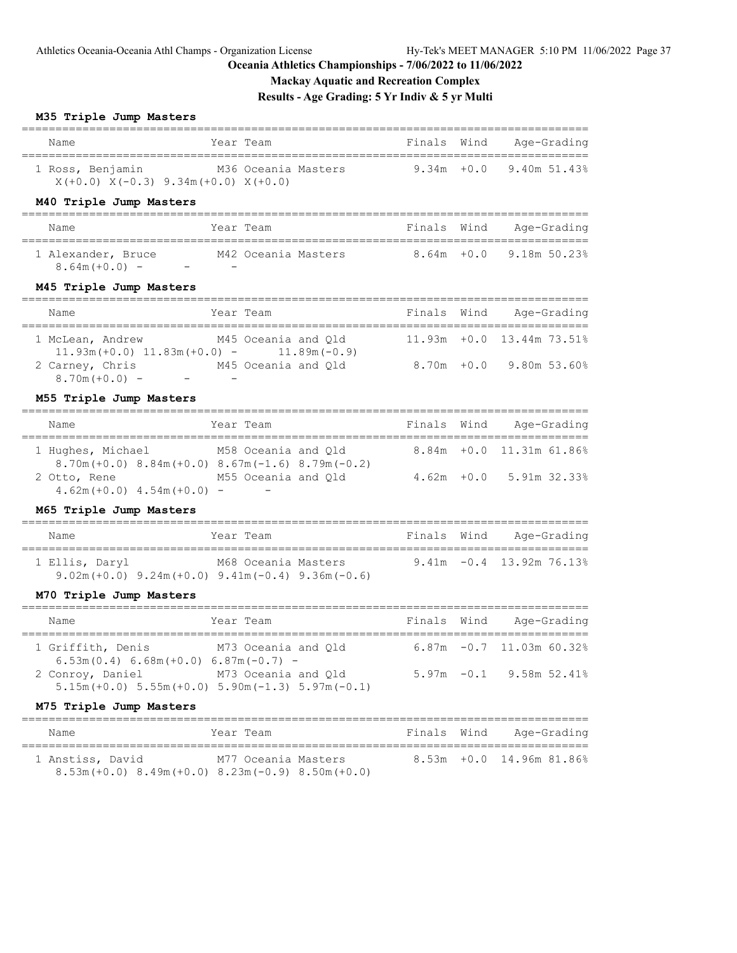9.80m 53.60%

# **Oceania Athletics Championships - 7/06/2022 to 11/06/2022**

# **Mackay Aquatic and Recreation Complex**

# **Results - Age Grading: 5 Yr Indiv & 5 yr Multi**

### **M35 Triple Jump Masters**

| Name                                                          | Year Team           |             | Finals Wind Age-Grading           |
|---------------------------------------------------------------|---------------------|-------------|-----------------------------------|
| 1 Ross, Benjamin<br>$X(+0.0)$ $X(-0.3)$ 9.34m(+0.0) $X(+0.0)$ | M36 Oceania Masters |             | $9.34m + 0.0$ 9.40m 51.43%        |
| M40 Triple Jump Masters                                       |                     |             |                                   |
| Name                                                          | Year Team           | Finals Wind | Age-Grading                       |
| 1 Alexander, Bruce<br>$8.64m(+0.0) -$                         | M42 Oceania Masters |             | $8.64m + 0.0$ 9.18m 50.23%        |
| M45 Triple Jump Masters                                       |                     |             |                                   |
| Name                                                          | Year Team           | Finals Wind | Age-Grading                       |
| 1 McLean, Andrew                                              | M45 Oceania and Old |             | $11.93m + 0.0$ $13.44m$ $73.51\%$ |

|                 | $11.93m (+0.0) 11.83m (+0.0) -$    | $11.89m(-0.9)$      |               |  |
|-----------------|------------------------------------|---------------------|---------------|--|
| 2 Carney, Chris |                                    | M45 Oceania and Old | $8.70m + 0.0$ |  |
| $8.70m(+0.0) -$ | $\overline{\phantom{0}}$<br>$\sim$ |                     |               |  |

# **M55 Triple Jump Masters**

| Name                                                                                 | Year Team                                       | Finals Wind | Age-Grading                |
|--------------------------------------------------------------------------------------|-------------------------------------------------|-------------|----------------------------|
| 1 Hughes, Michael<br>$8.70$ m (+0.0) $8.84$ m (+0.0) $8.67$ m (-1.6) $8.79$ m (-0.2) | M58 Oceania and Old                             |             | 8.84m +0.0 11.31m 61.86%   |
| 2 Otto, Rene<br>$4.62m (+0.0)$ $4.54m (+0.0)$ -                                      | M55 Oceania and Old<br>$\overline{\phantom{0}}$ |             | $4.62m + 0.0$ 5.91m 32.33% |

# **M65 Triple Jump Masters**

| Name           | Year Team |                                                                                    | Finals Wind | Age-Grading                 |
|----------------|-----------|------------------------------------------------------------------------------------|-------------|-----------------------------|
| 1 Ellis, Daryl |           | M68 Oceania Masters<br>$9.02m (+0.0)$ $9.24m (+0.0)$ $9.41m (-0.4)$ $9.36m (-0.6)$ |             | $9.41m - 0.4$ 13.92m 76.13% |

# **M70 Triple Jump Masters**

| Name                                                        | Year Team                                                                          | Finals Wind | Age-Grading                   |
|-------------------------------------------------------------|------------------------------------------------------------------------------------|-------------|-------------------------------|
| 1 Griffith, Denis<br>$6.53m(0.4) 6.68m(+0.0) 6.87m(-0.7) -$ | M73 Oceania and Old                                                                |             | $6.87m - 0.7$ 11.03m $60.328$ |
| 2 Conroy, Daniel                                            | M73 Oceania and Old<br>$5.15m (+0.0)$ $5.55m (+0.0)$ $5.90m (-1.3)$ $5.97m (-0.1)$ |             | $5.97m - 0.1$ 9.58m 52.41%    |

### **M75 Triple Jump Masters**

| Name             | Year Team                                                   | Finals Wind | Age-Grading                 |
|------------------|-------------------------------------------------------------|-------------|-----------------------------|
| 1 Anstiss, David | M77 Oceania Masters                                         |             | $8.53m + 0.0$ 14.96m 81.86% |
|                  | $8.53m (+0.0)$ $8.49m (+0.0)$ $8.23m (-0.9)$ $8.50m (+0.0)$ |             |                             |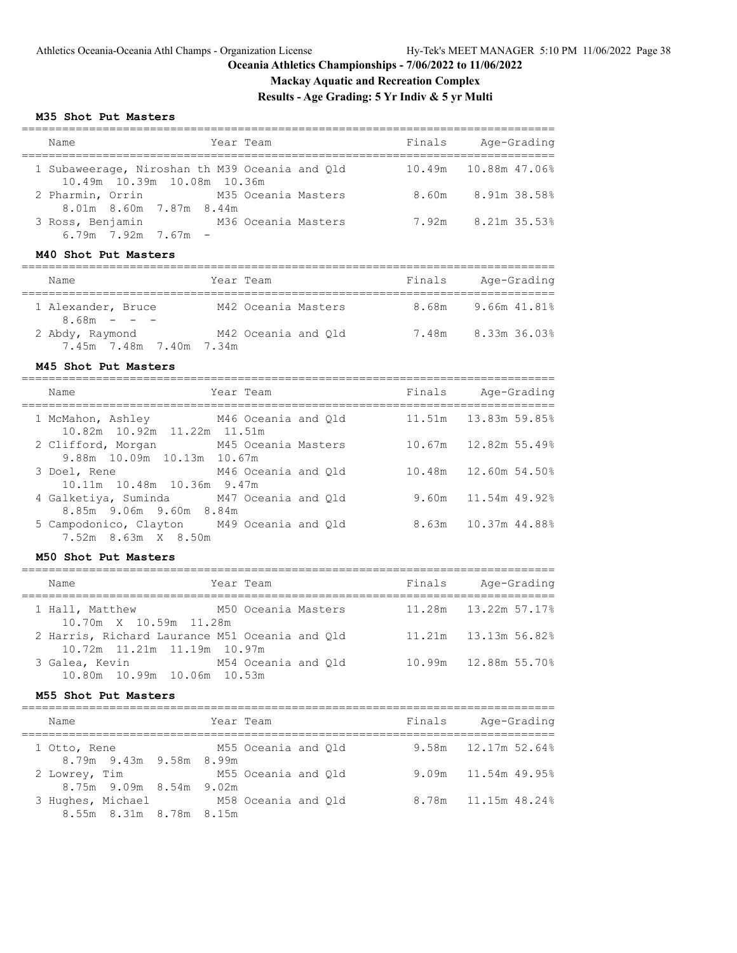8.75m 9.09m 8.54m 9.02m

8.55m 8.31m 8.78m 8.15m

==============================

# **Oceania Athletics Championships - 7/06/2022 to 11/06/2022**

# **Mackay Aquatic and Recreation Complex**

**Results - Age Grading: 5 Yr Indiv & 5 yr Multi**

M58 Oceania and Qld 8.78m 11.15m 48.24%

#### **M35 Shot Put Masters**

| Year Team<br>Name                                                                                       |        | Finals Age-Grading       |
|---------------------------------------------------------------------------------------------------------|--------|--------------------------|
| 1 Subaweerage, Niroshan th M39 Oceania and Qld<br>10.49m  10.39m  10.08m  10.36m                        |        | 10.49m  10.88m  47.06%   |
| 2 Pharmin, Orrin M35 Oceania Masters                                                                    |        | 8.60m 8.91m 38.58%       |
| 8.01m 8.60m 7.87m 8.44m<br>3 Ross, Benjamin M36 Oceania Masters<br>$6.79m$ $7.92m$ $7.67m$ -            |        | 7.92m 8.21m 35.53%       |
| M40 Shot Put Masters                                                                                    |        |                          |
| Year Team<br>Name                                                                                       |        | Finals Age-Grading       |
| 1 Alexander, Bruce M42 Oceania Masters 8.68m 9.66m 41.81%<br>$8.68m - - -$                              |        |                          |
| 2 Abdy, Raymond M42 Oceania and Q1d 7.48m 8.33m 36.03%<br>7.45m 7.48m 7.40m 7.34m                       |        |                          |
| M45 Shot Put Masters                                                                                    |        |                          |
| =================================<br>Name<br>Year Team                                                  | Finals | Age-Grading              |
| 1 McMahon, Ashley M46 Oceania and Qld                                                                   |        | 11.51m   13.83m   59.85% |
| 10.82m 10.92m 11.22m 11.51m<br>2 Clifford, Morgan M45 Oceania Masters<br>9.88m 10.09m 10.13m 10.67m     | 10.67m | 12.82m 55.49%            |
| 3 Doel, Rene<br>M46 Oceania and Qld<br>10.11m  10.48m  10.36m  9.47m                                    | 10.48m | 12.60m 54.50%            |
| M47 Oceania and Qld<br>4 Galketiya, Suminda<br>8.85m 9.06m 9.60m 8.84m                                  | 9.60m  | 11.54m 49.92%            |
| 5 Campodonico, Clayton M49 Oceania and Qld<br>7.52m 8.63m X 8.50m                                       | 8.63m  | 10.37m 44.88%            |
| M50 Shot Put Masters                                                                                    |        |                          |
| Name<br>Year Team                                                                                       |        | Finals Age-Grading       |
| M50 Oceania Masters<br>1 Hall, Matthew                                                                  | 11.28m | 13.22m 57.17%            |
| 10.70m X 10.59m 11.28m<br>2 Harris, Richard Laurance M51 Oceania and Qld<br>10.72m 11.21m 11.19m 10.97m | 11.21m | 13.13m 56.82%            |
| 3 Galea, Kevin M54 Oceania and Qld<br>10.80m  10.99m  10.06m<br>10.53m                                  | 10.99m | 12.88m 55.70%            |
| M55 Shot Put Masters                                                                                    |        |                          |
| Year Team<br>Name                                                                                       | Finals | Age-Grading              |
| 1 Otto, Rene<br>M55 Oceania and Qld                                                                     | 9.58m  | 12.17m 52.64%            |
| 8.79m 9.43m<br>9.58m 8.99m<br>2 Lowrey, Tim<br>M55 Oceania and Qld                                      | 9.09m  | 11.54m 49.95%            |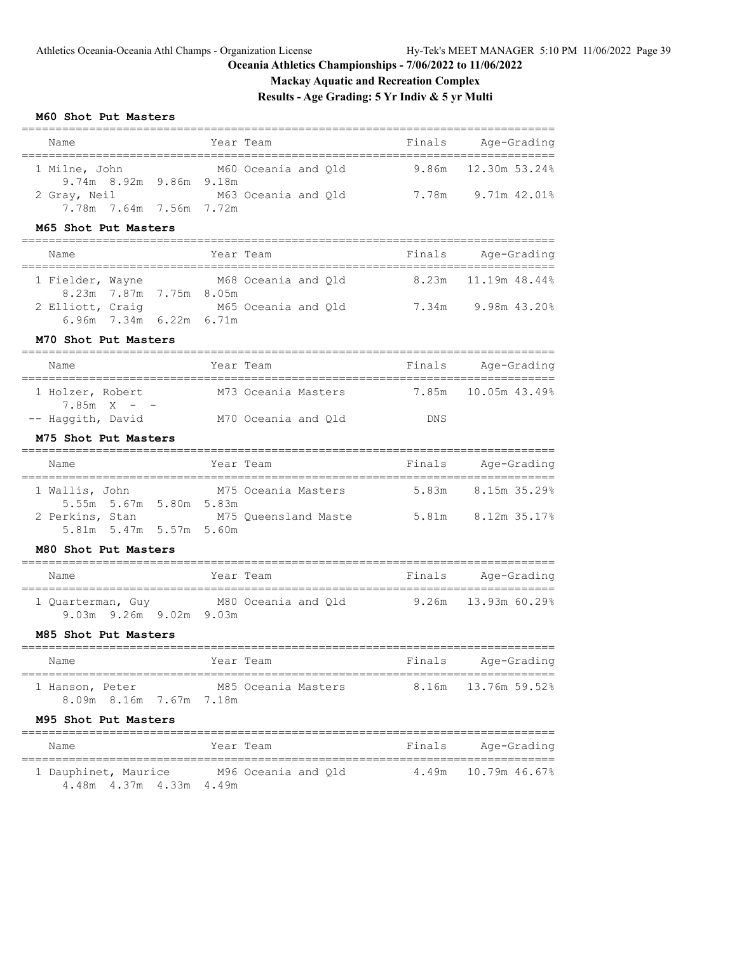# **Mackay Aquatic and Recreation Complex**

# **Results - Age Grading: 5 Yr Indiv & 5 yr Multi**

### **M60 Shot Put Masters**

| Name                                                                                 | Year Team                              | Finals | Age-Grading         |
|--------------------------------------------------------------------------------------|----------------------------------------|--------|---------------------|
| 1 Milne, John<br>9.74m 8.92m 9.86m 9.18m                                             | M60 Oceania and Qld                    | 9.86m  | 12.30m 53.24%       |
| 2 Gray, Neil<br>7.78m 7.64m 7.56m 7.72m                                              |                                        |        |                     |
| M65 Shot Put Masters                                                                 |                                        |        |                     |
| Name                                                                                 | Year Team                              | Finals | Age-Grading         |
| 1 Fielder, Wayne                                                                     | M68 Oceania and Qld                    | 8.23m  | 11.19m 48.44%       |
| 8.23m 7.87m 7.75m 8.05m<br>2 Elliott, Craig<br>6.96m 7.34m 6.22m 6.71m               | M65 Oceania and Qld 3.34m 3.98m 43.20% |        |                     |
| M70 Shot Put Masters                                                                 |                                        |        |                     |
| Name                                                                                 | Year Team                              | Finals | Age-Grading         |
| 1 Holzer, Robert                                                                     | M73 Oceania Masters                    | 7.85m  | 10.05m 43.49%       |
| $7.85m X - -$<br>-- Haggith, David                                                   | M70 Oceania and Qld                    | DNS    |                     |
| M75 Shot Put Masters                                                                 |                                        |        |                     |
| Name                                                                                 | Year Team                              | Finals | Aqe-Grading         |
| 1 Wallis, John<br>5.55m 5.67m 5.80m 5.83m                                            | M75 Oceania Masters                    |        | 5,83m 8,15m 35,29%  |
| 2 Perkins, Stan M75 Queensland Maste 5.81m 8.12m 35.17%<br>5.81m 5.47m 5.57m 5.60m   |                                        |        |                     |
| M80 Shot Put Masters                                                                 |                                        |        |                     |
| Name                                                                                 | Year Team                              | Finals | Age-Grading         |
| 1 Quarterman, Guy M80 Oceania and Q1d 9.26m 13.93m 60.29%<br>9.03m 9.26m 9.02m 9.03m |                                        |        |                     |
| M85 Shot Put Masters                                                                 |                                        |        |                     |
| Name                                                                                 | Year Team                              | Finals | Age-Grading         |
| 1 Hanson, Peter M85 Oceania Masters<br>8.09m 8.16m 7.67m 7.18m                       |                                        |        | 8.16m 13.76m 59.52% |
| M95 Shot Put Masters                                                                 |                                        |        |                     |
| Name                                                                                 | Year Team                              |        | Finals Age-Grading  |
| 1 Dauphinet, Maurice M96 Oceania and Qld<br>4.48m 4.37m 4.33m 4.49m                  |                                        |        | 4.49m 10.79m 46.67% |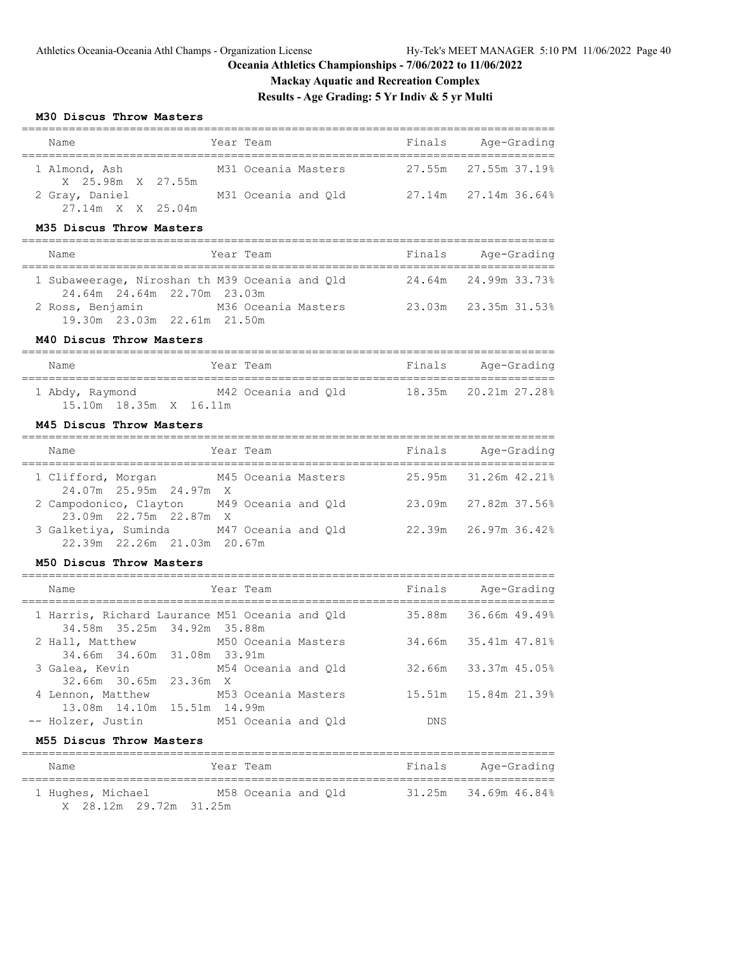===============================================================================

# **Oceania Athletics Championships - 7/06/2022 to 11/06/2022**

# **Mackay Aquatic and Recreation Complex**

# **Results - Age Grading: 5 Yr Indiv & 5 yr Multi**

### **M30 Discus Throw Masters**

| Name                                | Year Team |                     | Finals | Age-Grading                 |  |  |  |  |
|-------------------------------------|-----------|---------------------|--------|-----------------------------|--|--|--|--|
| 1 Almond, Ash<br>X 25.98m X 27.55m  |           | M31 Oceania Masters |        | 27.55m 27.55m 37.19%        |  |  |  |  |
| 2 Gray, Daniel<br>27.14m X X 25.04m |           | M31 Oceania and Qld |        | $27.14m$ $27.14m$ $36.64\%$ |  |  |  |  |

#### **M35 Discus Throw Masters**

| Name                                                                          | Year Team           | Finals | Age-Grading          |
|-------------------------------------------------------------------------------|---------------------|--------|----------------------|
| 1 Subaweerage, Niroshan th M39 Oceania and Q1d<br>24.64m 24.64m 22.70m 23.03m |                     |        | 24.64m 24.99m 33.73% |
| 2 Ross, Benjamin<br>19.30m 23.03m 22.61m 21.50m                               | M36 Oceania Masters |        | 23.03m 23.35m 31.53% |

#### **M40 Discus Throw Masters**

| Name                                            | Year Team           | Finals | Age-Grading          |
|-------------------------------------------------|---------------------|--------|----------------------|
| 1 Abdy, Raymond<br>$15.10m$ $18.35m$ X $16.11m$ | M42 Oceania and Old |        | 18.35m 20.21m 27.28% |

### **M45 Discus Throw Masters**

| Name                                                                    | Year Team | Finals | Age-Grading                 |
|-------------------------------------------------------------------------|-----------|--------|-----------------------------|
| 1 Clifford, Morgan M45 Oceania Masters<br>24.07m 25.95m 24.97m X        |           |        | 25.95m 31.26m 42.21%        |
| 2 Campodonico, Clayton M49 Oceania and Qld<br>23.09m 22.75m 22.87m X    |           |        | 23.09m 27.82m 37.56%        |
| 3 Galketiya, Suminda M47 Oceania and Old<br>22.39m 22.26m 21.03m 20.67m |           |        | $22.39m$ $26.97m$ $36.42\%$ |

### **M50 Discus Throw Masters**

| Name                                                                          | Year Team |                     | Finals               | Age-Grading |
|-------------------------------------------------------------------------------|-----------|---------------------|----------------------|-------------|
| 1 Harris, Richard Laurance M51 Oceania and Old<br>34.58m 35.25m 34.92m 35.88m |           |                     | 35.88m 36.66m 49.49% |             |
| 2 Hall, Matthew M50 Oceania Masters<br>34.66m 34.60m 31.08m 33.91m            |           |                     | 34.66m 35.41m 47.81% |             |
| M54 Oceania and Old<br>3 Galea, Kevin<br>32.66m 30.65m 23.36m X               |           |                     | 32.66m 33.37m 45.05% |             |
| 4 Lennon, Matthew M53 Oceania Masters<br>13.08m 14.10m 15.51m 14.99m          |           |                     | 15.51m 15.84m 21.39% |             |
| -- Holzer, Justin                                                             |           | M51 Oceania and Old | <b>DNS</b>           |             |

# **M55 Discus Throw Masters**

| Name              |  |                        |  | Year Team           |  | Finals | Age-Grading          |  |  |
|-------------------|--|------------------------|--|---------------------|--|--------|----------------------|--|--|
| 1 Hughes, Michael |  |                        |  | M58 Oceania and Old |  |        | 31.25m 34.69m 46.84% |  |  |
|                   |  | X 28.12m 29.72m 31.25m |  |                     |  |        |                      |  |  |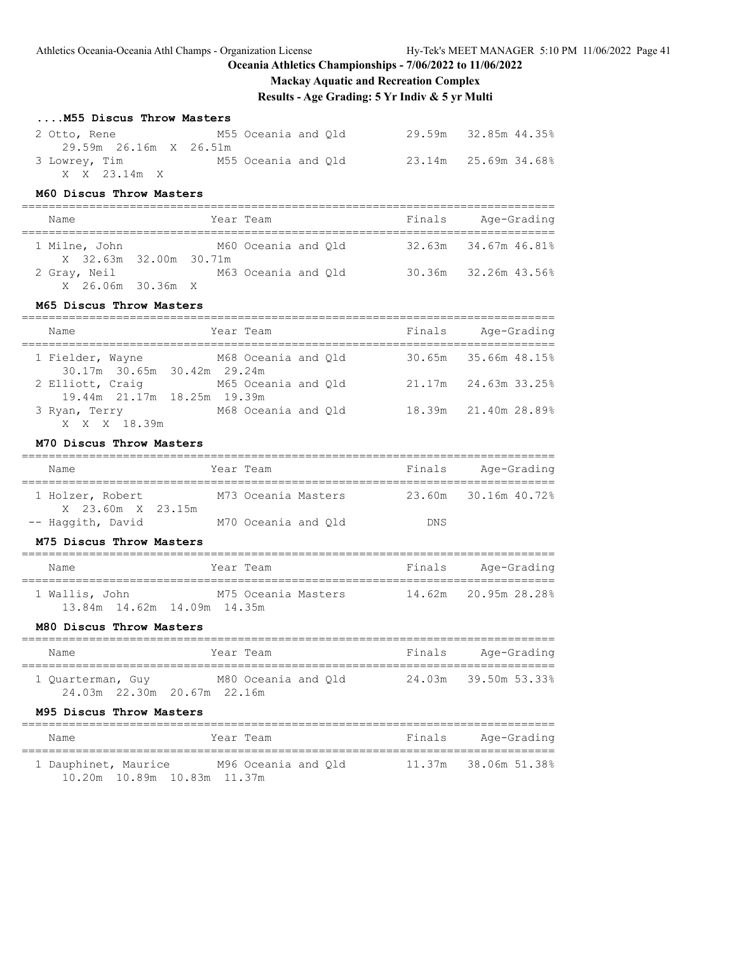# **Mackay Aquatic and Recreation Complex**

**Results - Age Grading: 5 Yr Indiv & 5 yr Multi**

### **....M55 Discus Throw Masters**

| 2 Otto, Rene           | M55 Oceania and Old | 29.59m 32.85m 44.35% |  |
|------------------------|---------------------|----------------------|--|
| 29.59m 26.16m X 26.51m |                     |                      |  |
| 3 Lowrey, Tim          | M55 Oceania and Old | 23.14m 25.69m 34.68% |  |
| X X 23.14m X           |                     |                      |  |

#### **M60 Discus Throw Masters**

===============================================================================

| Name                   | Year Team           | Finals | Age-Grading          |
|------------------------|---------------------|--------|----------------------|
| 1 Milne, John          | M60 Oceania and Old |        | 32.63m 34.67m 46.81% |
| X 32.63m 32.00m 30.71m |                     |        |                      |
| 2 Gray, Neil           | M63 Oceania and Old |        | 30.36m 32.26m 43.56% |
| X 26.06m 30.36m X      |                     |        |                      |

### **M65 Discus Throw Masters**

| Name                                            | Year Team |                     | Finals | Age-Grading          |
|-------------------------------------------------|-----------|---------------------|--------|----------------------|
| 1 Fielder, Wayne<br>30.17m 30.65m 30.42m 29.24m |           | M68 Oceania and Old |        | 30.65m 35.66m 48.15% |
| 2 Elliott, Craig<br>19.44m 21.17m 18.25m 19.39m |           | M65 Oceania and Old |        | 21.17m 24.63m 33.25% |
| 3 Ryan, Terry<br>X X X 18.39m                   |           | M68 Oceania and Old |        | 18.39m 21.40m 28.89% |

### **M70 Discus Throw Masters**

| Name                                  | Year Team           | Finals     | Age-Grading          |
|---------------------------------------|---------------------|------------|----------------------|
| 1 Holzer, Robert<br>X 23.60m X 23.15m | M73 Oceania Masters |            | 23.60m 30.16m 40.72% |
| -- Haqqith, David                     | M70 Oceania and Old | <b>DNS</b> |                      |

### **M75 Discus Throw Masters**

| Name           | Year Team                   | Finals | Age-Grading          |
|----------------|-----------------------------|--------|----------------------|
| 1 Wallis, John | M75 Oceania Masters         |        | 14.62m 20.95m 28.28% |
|                | 13.84m 14.62m 14.09m 14.35m |        |                      |

### **M80 Discus Throw Masters**

| Name                                             | Year Team           | Finals | Age-Grading          |
|--------------------------------------------------|---------------------|--------|----------------------|
| 1 Quarterman, Guy<br>24.03m 22.30m 20.67m 22.16m | M80 Oceania and Old |        | 24.03m 39.50m 53.33% |

#### **M95 Discus Throw Masters**

| Name |                      |                             | Year Team           |  | Finals               | Age-Grading |  |
|------|----------------------|-----------------------------|---------------------|--|----------------------|-------------|--|
|      | 1 Dauphinet, Maurice |                             | M96 Oceania and Old |  | 11.37m 38.06m 51.38% |             |  |
|      |                      | 10.20m 10.89m 10.83m 11.37m |                     |  |                      |             |  |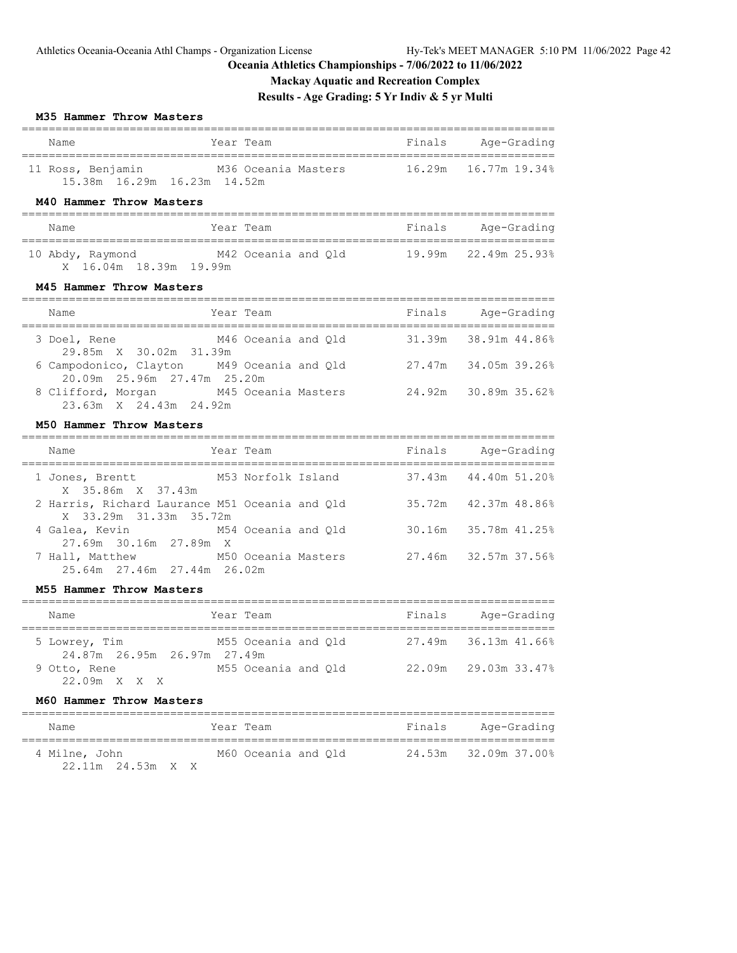# **Mackay Aquatic and Recreation Complex**

# **Results - Age Grading: 5 Yr Indiv & 5 yr Multi**

### **M35 Hammer Throw Masters**

| Name                        | Year Team           | Finals | Age-Grading          |  |  |  |
|-----------------------------|---------------------|--------|----------------------|--|--|--|
| 11 Ross, Benjamin           | M36 Oceania Masters |        | 16.29m 16.77m 19.34% |  |  |  |
| 15.38m 16.29m 16.23m 14.52m |                     |        |                      |  |  |  |

# **M40 Hammer Throw Masters**

| Name                   | Year Team           | Finals | Age-Grading          |
|------------------------|---------------------|--------|----------------------|
| 10 Abdy, Raymond       | M42 Oceania and Old |        | 19.99m 22.49m 25.93% |
| X 16.04m 18.39m 19.99m |                     |        |                      |

# **M45 Hammer Throw Masters**

| Name                                                                      | Year Team           | Finals | Age-Grading          |
|---------------------------------------------------------------------------|---------------------|--------|----------------------|
| 3 Doel, Rene<br>29.85m X 30.02m 31.39m                                    | M46 Oceania and Old |        | 31.39m 38.91m 44.86% |
| 6 Campodonico, Clayton M49 Oceania and Qld<br>20.09m 25.96m 27.47m 25.20m |                     |        | 27.47m 34.05m 39.26% |
| 8 Clifford, Morgan<br>23.63m X 24.43m 24.92m                              | M45 Oceania Masters |        | 24.92m 30.89m 35.62% |

### **M50 Hammer Throw Masters**

| Name                                                                     | Year Team          | Finals | Age-Grading          |
|--------------------------------------------------------------------------|--------------------|--------|----------------------|
| 1 Jones, Brentt<br>X 35.86m X 37.43m                                     | M53 Norfolk Island |        | 37.43m 44.40m 51.20% |
| 2 Harris, Richard Laurance M51 Oceania and Old<br>X 33.29m 31.33m 35.72m |                    |        | 35.72m 42.37m 48.86% |
| 4 Galea, Kevin M54 Oceania and Old<br>27.69m 30.16m 27.89m X             |                    |        | 30.16m 35.78m 41.25% |
| 7 Hall, Matthew M50 Oceania Masters<br>25.64m 27.46m 27.44m 26.02m       |                    |        | 27.46m 32.57m 37.56% |

### **M55 Hammer Throw Masters**

| Name                                         | Year Team           |  | Finals | Age-Grading                 |
|----------------------------------------------|---------------------|--|--------|-----------------------------|
| 5 Lowrey, Tim<br>24.87m 26.95m 26.97m 27.49m | M55 Oceania and Old |  |        | $27.49m$ $36.13m$ $41.66\%$ |
| 9 Otto, Rene<br>22.09m X X X                 | M55 Oceania and Old |  |        | $22.09m$ $29.03m$ $33.47\%$ |

### **M60 Hammer Throw Masters**

| Name                                   | Year Team           | Finals<br>Age-Grading |
|----------------------------------------|---------------------|-----------------------|
| 4 Milne, John<br>$22.11m$ $24.53m$ X X | M60 Oceania and Old | 24.53m 32.09m 37.00%  |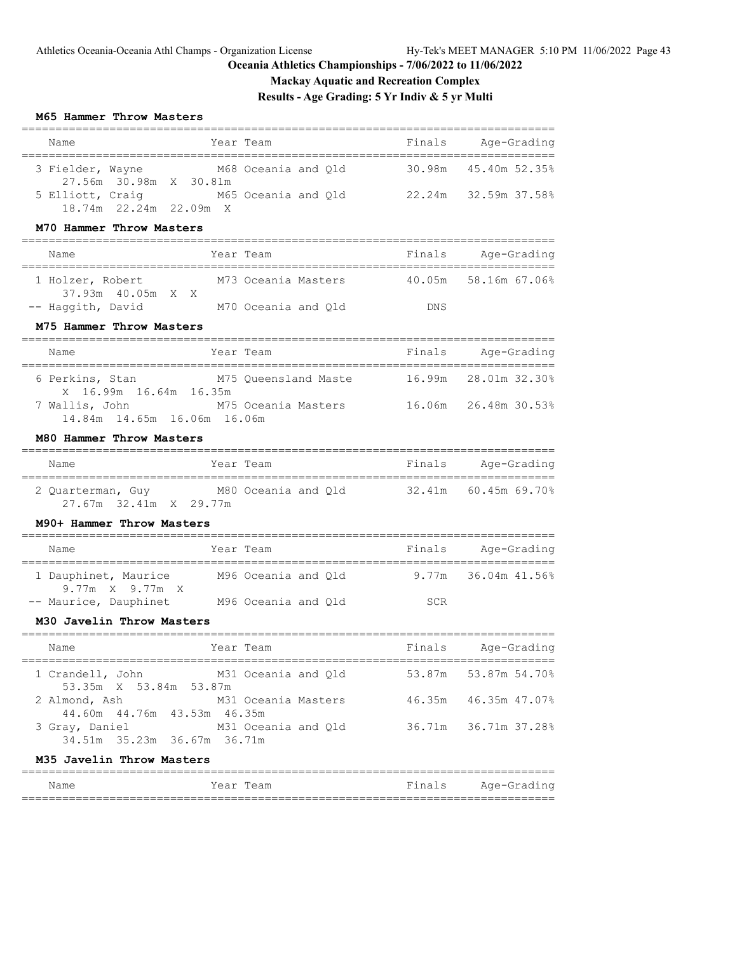# **Mackay Aquatic and Recreation Complex**

# **Results - Age Grading: 5 Yr Indiv & 5 yr Multi**

#### **M65 Hammer Throw Masters**

| Name                                                                                 |           | Year Team            |        | Finals Age-Grading           |
|--------------------------------------------------------------------------------------|-----------|----------------------|--------|------------------------------|
| 3 Fielder, Wayne M68 Oceania and Qld<br>27.56m 30.98m X 30.81m                       |           |                      | 30.98m | 45.40m 52.35%                |
| 5 Elliott, Craig 65 Oceania and Q1d 22.24m 32.59m 37.58%<br>18.74m 22.24m 22.09m X   |           |                      |        |                              |
| M70 Hammer Throw Masters                                                             |           |                      |        |                              |
| Name                                                                                 |           | Year Team            |        | Finals Age-Grading           |
| 1 Holzer, Robert<br>37.93m  40.05m  X  X                                             |           | M73 Oceania Masters  | 40.05m | 58.16m 67.06%                |
| -- Haggith, David                                                                    |           | M70 Oceania and Q1d  | DNS    |                              |
| M75 Hammer Throw Masters                                                             |           |                      |        |                              |
| Name                                                                                 |           | Year Team            |        | Finals Age-Grading           |
| 6 Perkins, Stan<br>X 16.99m 16.64m 16.35m                                            |           | M75 Queensland Maste |        | 16.99m 28.01m 32.30%         |
| 7 Wallis, John<br>14.84m  14.65m  16.06m  16.06m                                     |           | M75 Oceania Masters  |        | 16.06m 26.48m 30.53%         |
| M80 Hammer Throw Masters                                                             |           |                      |        |                              |
| Name                                                                                 |           | Year Team            |        | Finals Age-Grading           |
| 2 Quarterman, Guy M80 Oceania and Q1d 32.41m 60.45m 69.70%<br>27.67m 32.41m X 29.77m |           |                      |        |                              |
| M90+ Hammer Throw Masters                                                            |           |                      |        |                              |
| Name                                                                                 |           | Year Team            |        | Finals Age-Grading           |
| 1 Dauphinet, Maurice M96 Oceania and Q1d 9.77m 36.04m 41.56%<br>9.77m X 9.77m X      |           |                      |        |                              |
| -- Maurice, Dauphinet M96 Oceania and Q1d SCR                                        |           |                      |        |                              |
| M30 Javelin Throw Masters                                                            |           |                      |        |                              |
| Name                                                                                 | Year Team |                      | Finals | Age-Grading<br>============= |
| 1 Crandell, John<br>53.35m X 53.84m 53.87m                                           |           | M31 Oceania and Qld  | 53.87m | 53.87m 54.70%                |
| 2 Almond, Ash                                                                        |           | M31 Oceania Masters  | 46.35m | 46.35m 47.07%                |
| 44.60m  44.76m  43.53m  46.35m<br>3 Gray, Daniel<br>34.51m 35.23m 36.67m 36.71m      |           | M31 Oceania and Qld  | 36.71m | 36.71m 37.28%                |
| M35 Javelin Throw Masters                                                            |           |                      |        |                              |

| Name | Year Team | Finals | Age-Grading |
|------|-----------|--------|-------------|
|      |           |        |             |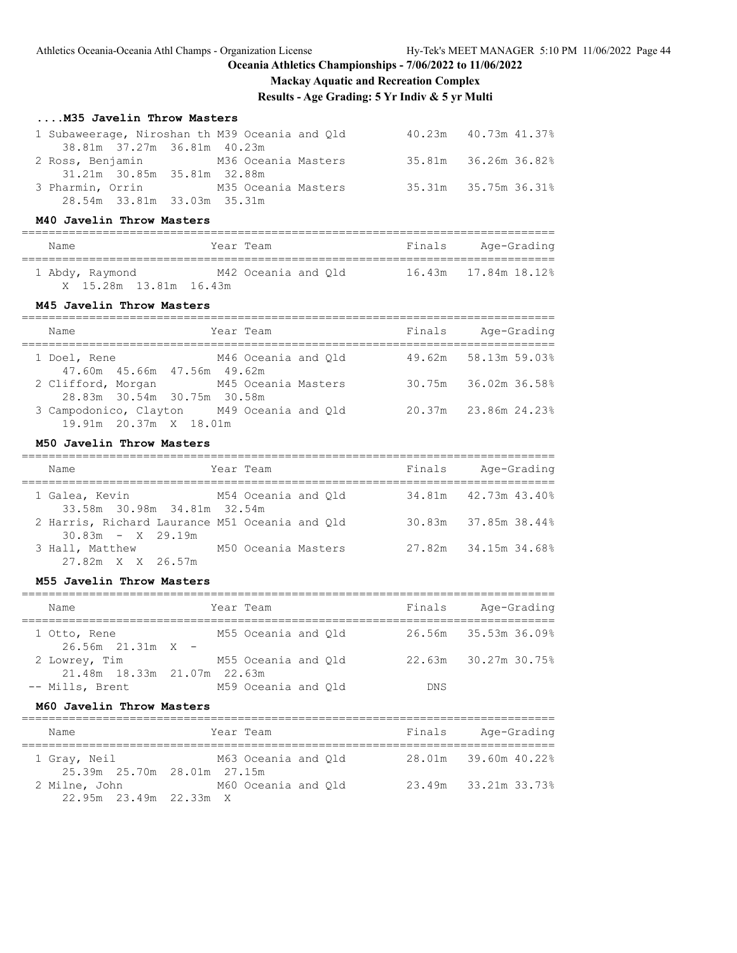# **Mackay Aquatic and Recreation Complex**

**Results - Age Grading: 5 Yr Indiv & 5 yr Multi**

### **....M35 Javelin Throw Masters**

| 1 Subaweerage, Niroshan th M39 Oceania and Old |  |  | 40.23m  40.73m  41.37% |
|------------------------------------------------|--|--|------------------------|
| 38.81m 37.27m 36.81m 40.23m                    |  |  |                        |
| 2 Ross, Benjamin M36 Oceania Masters           |  |  | 35.81m 36.26m 36.82%   |
| 31.21m 30.85m 35.81m 32.88m                    |  |  |                        |
| 3 Pharmin, Orrin M35 Oceania Masters           |  |  | 35.31m 35.75m 36.31%   |
| 28.54m 33.81m 33.03m 35.31m                    |  |  |                        |

# **M40 Javelin Throw Masters**

| Name                   | Year Team           | Finals | Age-Grading |
|------------------------|---------------------|--------|-------------|
| 1 Abdy, Raymond        | M42 Oceania and Old |        |             |
| X 15.28m 13.81m 16.43m |                     |        |             |

# **M45 Javelin Throw Masters**

| Name                   | Year Team                                                             | Finals | Age-Grading          |
|------------------------|-----------------------------------------------------------------------|--------|----------------------|
| 1 Doel, Rene           | M46 Oceania and Old<br>47.60m  45.66m  47.56m  49.62m                 |        | 49.62m 58.13m 59.03% |
|                        | 2 Clifford, Morgan M45 Oceania Masters<br>28.83m 30.54m 30.75m 30.58m |        | 30.75m 36.02m 36.58% |
| 19.91m 20.37m X 18.01m | 3 Campodonico, Clayton M49 Oceania and Qld                            |        | 20.37m 23.86m 24.23% |

### **M50 Javelin Throw Masters**

| Name                                                                  | Year Team           |                     | Finals | Age-Grading          |
|-----------------------------------------------------------------------|---------------------|---------------------|--------|----------------------|
| 1 Galea, Kevin<br>33.58m 30.98m 34.81m 32.54m                         |                     | M54 Oceania and Old |        | 34.81m 42.73m 43.40% |
| 2 Harris, Richard Laurance M51 Oceania and Old<br>$30.83m - X$ 29.19m |                     |                     |        | 30.83m 37.85m 38.44% |
| 3 Hall, Matthew<br>27.82m X X 26.57m                                  | M50 Oceania Masters |                     |        | 27.82m 34.15m 34.68% |

#### **M55 Javelin Throw Masters**

| Name                                         | Year Team           | Finals     | Age-Grading          |
|----------------------------------------------|---------------------|------------|----------------------|
| 1 Otto, Rene<br>$26.56m$ $21.31m$ X -        | M55 Oceania and Old |            | 26.56m 35.53m 36.09% |
| 2 Lowrey, Tim<br>21.48m 18.33m 21.07m 22.63m | M55 Oceania and Old |            | 22.63m 30.27m 30.75% |
| -- Mills, Brent                              | M59 Oceania and Old | <b>DNS</b> |                      |

===============================================================================

### **M60 Javelin Throw Masters**

| Name                                        | Year Team           | Finals | Age-Grading          |
|---------------------------------------------|---------------------|--------|----------------------|
| 1 Gray, Neil<br>25.39m 25.70m 28.01m 27.15m | M63 Oceania and Old |        | 28.01m 39.60m 40.22% |
| 2 Milne, John                               | M60 Oceania and Old |        | 23.49m 33.21m 33.73% |
| 22.95m 23.49m 22.33m X                      |                     |        |                      |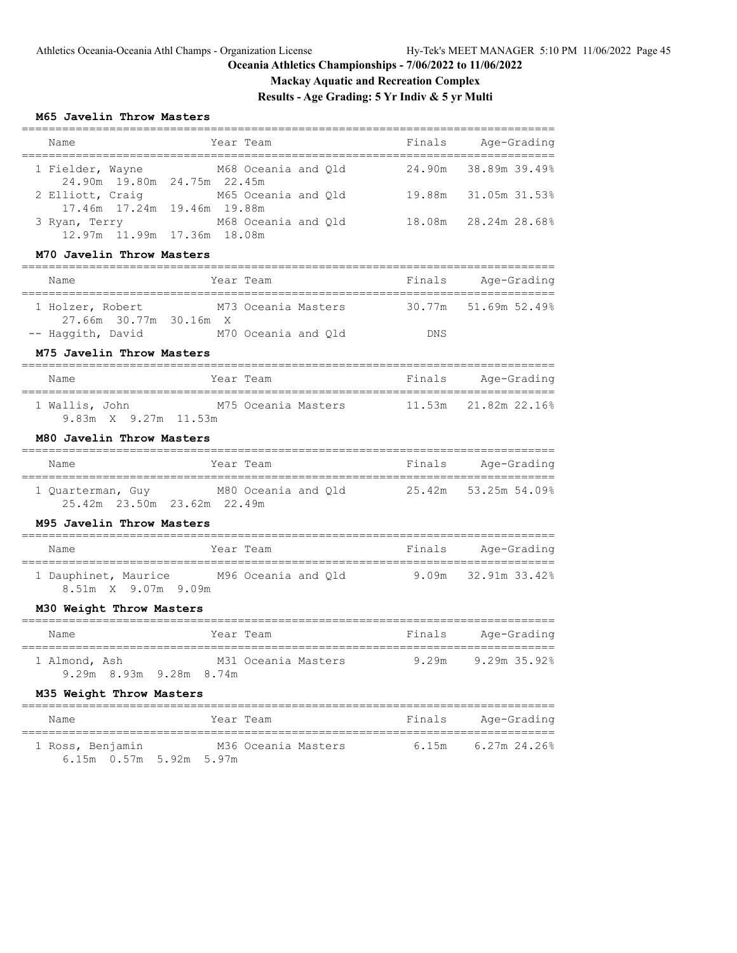**Mackay Aquatic and Recreation Complex**

**Results - Age Grading: 5 Yr Indiv & 5 yr Multi**

### **M65 Javelin Throw Masters**

| Name                                            | Year Team                                                    | Finals | Age-Grading                   |
|-------------------------------------------------|--------------------------------------------------------------|--------|-------------------------------|
| 1 Fielder, Wayne<br>24.90m 19.80m 24.75m 22.45m | M68 Oceania and Qld                                          | 24.90m | 38.89m 39.49%                 |
| 2 Elliott, Craig                                | M65 Oceania and Qld                                          | 19.88m | 31.05m 31.53%                 |
| 17.46m  17.24m  19.46m  19.88m                  | M68 Oceania and Qld                                          | 18.08m | 28.24m 28.68%                 |
| 3 Ryan, Terry<br>12.97m  11.99m  17.36m  18.08m |                                                              |        |                               |
| M70 Javelin Throw Masters                       |                                                              |        |                               |
| Name                                            | Year Team                                                    | Finals | Age-Grading                   |
| 1 Holzer, Robert<br>27.66m 30.77m 30.16m X      | M73 Oceania Masters                                          | 30.77m | 51.69m 52.49%                 |
| -- Haggith, David                               | M70 Oceania and Qld                                          | DNS    |                               |
| M75 Javelin Throw Masters                       |                                                              |        |                               |
| Name                                            | Year Team                                                    | Finals | Aqe-Grading                   |
| 9.83m X 9.27m 11.53m                            | 1 Wallis, John M75 Oceania Masters 11.53m 21.82m 22.16%      |        |                               |
| M80 Javelin Throw Masters                       |                                                              |        |                               |
| Name                                            | Year Team                                                    |        | Finals Age-Grading            |
| 25.42m 23.50m 23.62m 22.49m                     | 1 Quarterman, Guy M80 Oceania and Q1d 25.42m 53.25m 54.09%   |        |                               |
| M95 Javelin Throw Masters                       |                                                              |        |                               |
| Name                                            | Year Team                                                    |        | Finals Age-Grading            |
| 8.51m X 9.07m 9.09m                             | 1 Dauphinet, Maurice M96 Oceania and Q1d 9.09m 32.91m 33.42% |        |                               |
| M30 Weight Throw Masters                        |                                                              |        |                               |
| Name                                            | Year Team                                                    | Finals | Age-Grading                   |
| 1 Almond, Ash<br>9.29m 8.93m 9.28m 8.74m        | M31 Oceania Masters                                          | 9.29m  | =============<br>9.29m 35.92% |
| M35 Weight Throw Masters                        |                                                              |        |                               |
| Name                                            | Year Team                                                    | Finals | Age-Grading                   |
| 1 Ross, Benjamin                                | M36 Oceania Masters<br>6.15m  0.57m  5.92m  5.97m            | 6.15m  | $6.27m$ 24.26%                |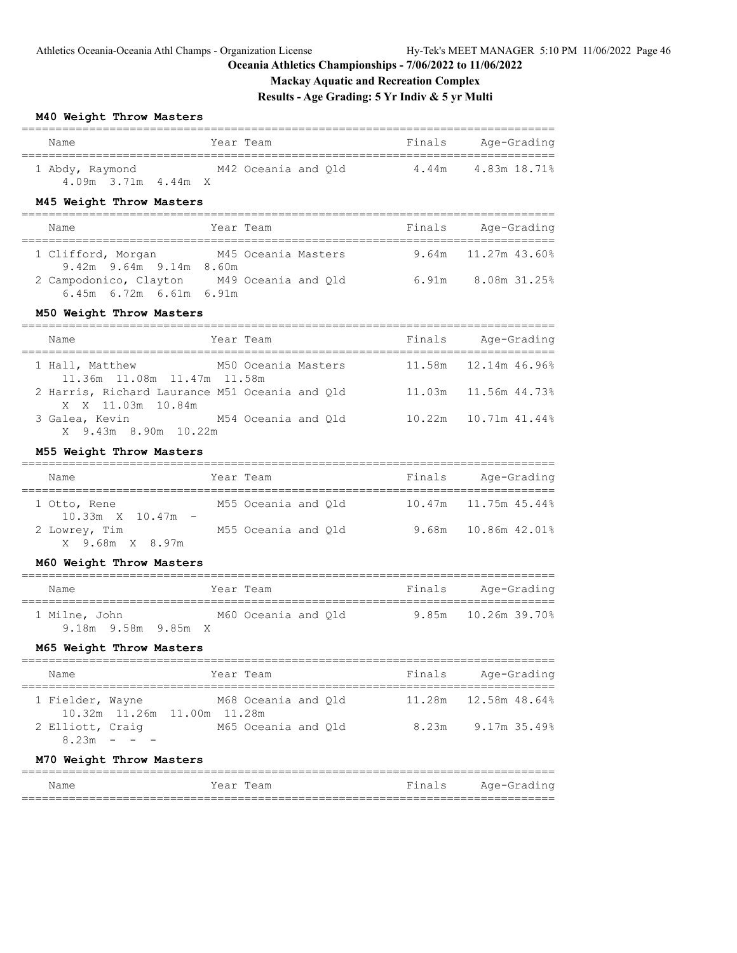# **Mackay Aquatic and Recreation Complex**

# **Results - Age Grading: 5 Yr Indiv & 5 yr Multi**

#### **M40 Weight Throw Masters**

| Name<br>Year Team                                                                                |                     | Finals Age-Grading                                    |
|--------------------------------------------------------------------------------------------------|---------------------|-------------------------------------------------------|
| 1 Abdy, Raymond M42 Oceania and Q1d 4.44m 4.83m 18.71%<br>$4.09m$ $3.71m$ $4.44m$ X              |                     |                                                       |
| M45 Weight Throw Masters                                                                         |                     |                                                       |
| Year Team<br>Name                                                                                |                     | Finals Age-Grading<br>=============================== |
| 1 Clifford, Morgan M45 Oceania Masters 9.64m 11.27m 43.60%<br>$9.42m$ $9.64m$ $9.14m$ $8.60m$    |                     |                                                       |
| 2 Campodonico, Clayton M49 Oceania and Q1d 6.91m 8.08m 31.25%<br>$6.45m$ $6.72m$ $6.61m$ $6.91m$ |                     |                                                       |
| M50 Weight Throw Masters                                                                         |                     |                                                       |
| Name<br>Year Team                                                                                |                     | Finals Age-Grading                                    |
| 1 Hall, Matthew<br>11.36m 11.08m 11.47m 11.58m                                                   | M50 Oceania Masters | $11.58m$ $12.14m$ $46.96\%$                           |
| 2 Harris, Richard Laurance M51 Oceania and Q1d 11.03m 11.56m 44.73%<br>X X 11.03m 10.84m         |                     |                                                       |
| 3 Galea, Kevin M54 Oceania and Q1d 10.22m 10.71m 41.44%<br>X 9.43m 8.90m 10.22m                  |                     |                                                       |
| M55 Weight Throw Masters                                                                         |                     |                                                       |

# =============================================================================== Name Tear Team Finals Age-Grading =============================================================================== 1 Otto, Rene M55 Oceania and Qld 10.47m 11.75m 45.44% 10.33m X 10.47m - 2 Lowrey, Tim M55 Oceania and Qld 9.68m 10.86m 42.01% X 9.68m X 8.97m

### **M60 Weight Throw Masters**

| Name                                 | Year Team           | Finals | Age-Grading         |
|--------------------------------------|---------------------|--------|---------------------|
| 1 Milne, John<br>9.18m 9.58m 9.85m X | M60 Oceania and Old |        | 9.85m 10.26m 39.70% |

#### **M65 Weight Throw Masters**

| Name             |                             |  | Year Team           |  | Finals |                             | Age-Grading  |
|------------------|-----------------------------|--|---------------------|--|--------|-----------------------------|--------------|
| 1 Fielder, Wayne | 10.32m 11.26m 11.00m 11.28m |  | M68 Oceania and Old |  |        | $11.28m$ $12.58m$ $48.64\%$ |              |
| 2 Elliott, Craig | $8.23m - - -$               |  | M65 Oceania and Old |  | 8.23m  |                             | 9.17m 35.49% |

### **M70 Weight Throw Masters**

| Name | Year Team | Finals | Age-Grading |
|------|-----------|--------|-------------|
|      |           |        |             |